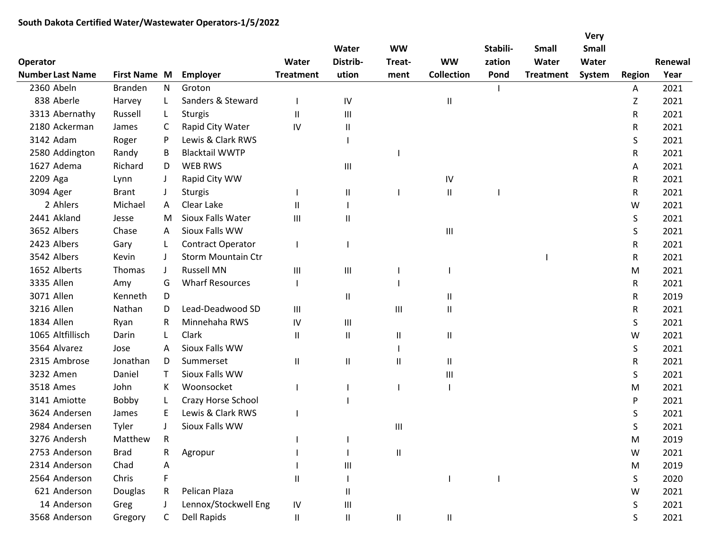|                                            |                   |              |                        |                    |                        |                                    |                   |                    |                  | <b>Very</b>           |               |         |
|--------------------------------------------|-------------------|--------------|------------------------|--------------------|------------------------|------------------------------------|-------------------|--------------------|------------------|-----------------------|---------------|---------|
|                                            |                   |              |                        | Water              | Water<br>Distrib-      | <b>WW</b><br>Treat-                | <b>WW</b>         | Stabili-<br>zation | Small<br>Water   | <b>Small</b><br>Water |               | Renewal |
| <b>Operator</b><br><b>Number Last Name</b> | First Name M      |              | <b>Employer</b>        | <b>Treatment</b>   | ution                  |                                    | <b>Collection</b> | Pond               |                  | System                |               | Year    |
| 2360 Abeln                                 | <b>Branden</b>    | N            | Groton                 |                    |                        | ment                               |                   |                    | <b>Treatment</b> |                       | <b>Region</b> | 2021    |
| 838 Aberle                                 |                   |              | Sanders & Steward      |                    |                        |                                    |                   |                    |                  |                       | Α             | 2021    |
|                                            | Harvey<br>Russell | L            |                        |                    | IV                     |                                    | Ш                 |                    |                  |                       | Z             |         |
| 3313 Abernathy                             |                   | L            | <b>Sturgis</b>         | Ш                  | $\mathbf{III}$         |                                    |                   |                    |                  |                       | R             | 2021    |
| 2180 Ackerman                              | James             | C            | Rapid City Water       | IV                 | Ш                      |                                    |                   |                    |                  |                       | R             | 2021    |
| 3142 Adam                                  | Roger             | P            | Lewis & Clark RWS      |                    |                        |                                    |                   |                    |                  |                       | S             | 2021    |
| 2580 Addington                             | Randy             | B            | <b>Blacktail WWTP</b>  |                    |                        |                                    |                   |                    |                  |                       | R             | 2021    |
| 1627 Adema                                 | Richard           | D            | <b>WEB RWS</b>         |                    | Ш                      |                                    |                   |                    |                  |                       | A             | 2021    |
| 2209 Aga                                   | Lynn              | J            | Rapid City WW          |                    |                        |                                    | IV                |                    |                  |                       | R             | 2021    |
| 3094 Ager                                  | <b>Brant</b>      | J            | <b>Sturgis</b>         |                    | Ш                      |                                    | Ш                 |                    |                  |                       | R             | 2021    |
| 2 Ahlers                                   | Michael           | Α            | Clear Lake             | Ш                  |                        |                                    |                   |                    |                  |                       | W             | 2021    |
| 2441 Akland                                | Jesse             | M            | Sioux Falls Water      | Ш                  | Ш                      |                                    |                   |                    |                  |                       | S             | 2021    |
| 3652 Albers                                | Chase             | A            | Sioux Falls WW         |                    |                        |                                    | Ш                 |                    |                  |                       | S             | 2021    |
| 2423 Albers                                | Gary              | L            | Contract Operator      |                    |                        |                                    |                   |                    |                  |                       | R             | 2021    |
| 3542 Albers                                | Kevin             | J            | Storm Mountain Ctr     |                    |                        |                                    |                   |                    |                  |                       | R             | 2021    |
| 1652 Alberts                               | Thomas            | J            | <b>Russell MN</b>      | $\mathop{\rm III}$ | $\mathbf{III}$         |                                    |                   |                    |                  |                       | M             | 2021    |
| 3335 Allen                                 | Amy               | G            | <b>Wharf Resources</b> |                    |                        |                                    |                   |                    |                  |                       | R             | 2021    |
| 3071 Allen                                 | Kenneth           | D            |                        |                    | $\mathsf{I}$           |                                    | Ш                 |                    |                  |                       | R             | 2019    |
| 3216 Allen                                 | Nathan            | D            | Lead-Deadwood SD       | III                |                        | $\ensuremath{\mathsf{III}}\xspace$ | Ш                 |                    |                  |                       | R             | 2021    |
| 1834 Allen                                 | Ryan              | R            | Minnehaha RWS          | IV                 | Ш                      |                                    |                   |                    |                  |                       | S             | 2021    |
| 1065 Altfillisch                           | Darin             | L            | Clark                  | Ш                  | Ш                      | Ш                                  | Ш                 |                    |                  |                       | W             | 2021    |
| 3564 Alvarez                               | Jose              | A            | Sioux Falls WW         |                    |                        |                                    |                   |                    |                  |                       | S             | 2021    |
| 2315 Ambrose                               | Jonathan          | D            | Summerset              | II                 | $\mathsf{I}\mathsf{I}$ | $\mathsf{II}$                      | Ш                 |                    |                  |                       | R             | 2021    |
| 3232 Amen                                  | Daniel            | $\mathsf{T}$ | Sioux Falls WW         |                    |                        |                                    | Ш                 |                    |                  |                       | S             | 2021    |
| 3518 Ames                                  | John              | К            | Woonsocket             |                    |                        |                                    |                   |                    |                  |                       | M             | 2021    |
| 3141 Amiotte                               | Bobby             | L            | Crazy Horse School     |                    |                        |                                    |                   |                    |                  |                       | P             | 2021    |
| 3624 Andersen                              | James             | Ε            | Lewis & Clark RWS      |                    |                        |                                    |                   |                    |                  |                       | S             | 2021    |
| 2984 Andersen                              | Tyler             | $\mathsf{l}$ | Sioux Falls WW         |                    |                        | Ш                                  |                   |                    |                  |                       | S             | 2021    |
| 3276 Andersh                               | Matthew           | R            |                        |                    |                        |                                    |                   |                    |                  |                       | M             | 2019    |
| 2753 Anderson                              | <b>Brad</b>       | R            | Agropur                |                    |                        | $\mathsf{I}\mathsf{I}$             |                   |                    |                  |                       | W             | 2021    |
| 2314 Anderson                              | Chad              | Α            |                        |                    | Ш                      |                                    |                   |                    |                  |                       | M             | 2019    |
| 2564 Anderson                              | Chris             | F            |                        | Ш                  |                        |                                    |                   |                    |                  |                       | S             | 2020    |
| 621 Anderson                               | Douglas           | R            | Pelican Plaza          |                    | $\mathsf{I}$           |                                    |                   |                    |                  |                       | W             | 2021    |
| 14 Anderson                                | Greg              | J            | Lennox/Stockwell Eng   | IV                 | Ш                      |                                    |                   |                    |                  |                       | S             | 2021    |
| 3568 Anderson<br>Gregory                   |                   |              | <b>Dell Rapids</b>     |                    |                        | $\sf II$                           | Ш.                |                    |                  |                       |               |         |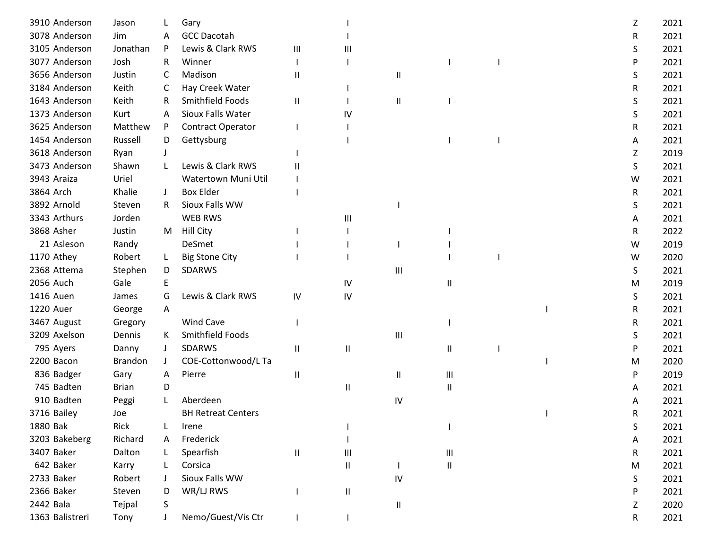| 3910 Anderson   | Jason        |              | Gary                      |                             |    |                     |                    |  | Z. | 2021 |
|-----------------|--------------|--------------|---------------------------|-----------------------------|----|---------------------|--------------------|--|----|------|
| 3078 Anderson   | Jim          | A            | <b>GCC Dacotah</b>        |                             |    |                     |                    |  | R  | 2021 |
| 3105 Anderson   | Jonathan     | P            | Lewis & Clark RWS         | $\mathop{\rm III}\nolimits$ | Ш  |                     |                    |  | S  | 2021 |
| 3077 Anderson   | Josh         | R.           | Winner                    |                             |    |                     |                    |  | P  | 2021 |
| 3656 Anderson   | Justin       | C            | Madison                   | Ш                           |    | $\mathsf{I}$        |                    |  | S  | 2021 |
| 3184 Anderson   | Keith        | C            | Hay Creek Water           |                             |    |                     |                    |  | R  | 2021 |
| 1643 Anderson   | Keith        | R            | Smithfield Foods          | Ш                           |    | $\mathsf{I}$        |                    |  | S  | 2021 |
| 1373 Anderson   | Kurt         | A            | Sioux Falls Water         |                             | IV |                     |                    |  | S  | 2021 |
| 3625 Anderson   | Matthew      | P            | Contract Operator         |                             |    |                     |                    |  | R  | 2021 |
| 1454 Anderson   | Russell      | D            | Gettysburg                |                             |    |                     |                    |  | A  | 2021 |
| 3618 Anderson   | Ryan         |              |                           |                             |    |                     |                    |  | Z  | 2019 |
| 3473 Anderson   | Shawn        |              | Lewis & Clark RWS         |                             |    |                     |                    |  | S  | 2021 |
| 3943 Araiza     | Uriel        |              | Watertown Muni Util       |                             |    |                     |                    |  | W  | 2021 |
| 3864 Arch       | Khalie       | $\perp$      | <b>Box Elder</b>          |                             |    |                     |                    |  | R  | 2021 |
| 3892 Arnold     | Steven       | R.           | Sioux Falls WW            |                             |    |                     |                    |  | S  | 2021 |
| 3343 Arthurs    | Jorden       |              | <b>WEB RWS</b>            |                             | Ш  |                     |                    |  | Α  | 2021 |
| 3868 Asher      | Justin       | M            | <b>Hill City</b>          |                             |    |                     |                    |  | R  | 2022 |
| 21 Asleson      | Randy        |              | DeSmet                    |                             |    |                     |                    |  | W  | 2019 |
| 1170 Athey      | Robert       |              | <b>Big Stone City</b>     |                             |    |                     |                    |  | W  | 2020 |
| 2368 Attema     | Stephen      | D            | SDARWS                    |                             |    | Ш                   |                    |  | S  | 2021 |
| 2056 Auch       | Gale         | E            |                           |                             | IV |                     | Ш                  |  | M  | 2019 |
| 1416 Auen       | James        | G            | Lewis & Clark RWS         | IV                          | IV |                     |                    |  | S  | 2021 |
| 1220 Auer       | George       | $\mathsf{A}$ |                           |                             |    |                     |                    |  | R  | 2021 |
| 3467 August     | Gregory      |              | Wind Cave                 |                             |    |                     |                    |  | R  | 2021 |
| 3209 Axelson    | Dennis       | K            | Smithfield Foods          |                             |    | $\mathbf{III}$      |                    |  | S  | 2021 |
| 795 Ayers       | Danny        | J            | SDARWS                    | Ш                           | Ш  |                     | Ш                  |  | P  | 2021 |
| 2200 Bacon      | Brandon      |              | COE-Cottonwood/L Ta       |                             |    |                     |                    |  | м  | 2020 |
| 836 Badger      | Gary         | A            | Pierre                    | $\mathbf{I}$                |    | Ш                   | $\mathop{\rm III}$ |  | P  | 2019 |
| 745 Badten      | <b>Brian</b> | D            |                           |                             | Ш  |                     | Ш                  |  | Α  | 2021 |
| 910 Badten      | Peggi        |              | Aberdeen                  |                             |    | ${\sf IV}$          |                    |  |    | 2021 |
| 3716 Bailey     | Joe          |              | <b>BH Retreat Centers</b> |                             |    |                     |                    |  | R  | 2021 |
| 1880 Bak        | Rick         |              | Irene                     |                             |    |                     |                    |  | S  | 2021 |
| 3203 Bakeberg   | Richard      | A            | Frederick                 |                             |    |                     |                    |  | A  | 2021 |
| 3407 Baker      | Dalton       |              | Spearfish                 | Ш                           | Ш  |                     | $\mathop{\rm III}$ |  | R  | 2021 |
| 642 Baker       | Karry        |              | Corsica                   |                             | Ш  |                     | Ш                  |  | M  | 2021 |
| 2733 Baker      | Robert       |              | Sioux Falls WW            |                             |    | IV                  |                    |  | S  | 2021 |
| 2366 Baker      | Steven       | D            | WR/LJ RWS                 |                             | Ш  |                     |                    |  | P  | 2021 |
| 2442 Bala       | Tejpal       | S            |                           |                             |    | $\mathbf \mathsf I$ |                    |  | Z  | 2020 |
| 1363 Balistreri | Tony         |              | Nemo/Guest/Vis Ctr        |                             |    |                     |                    |  | R  | 2021 |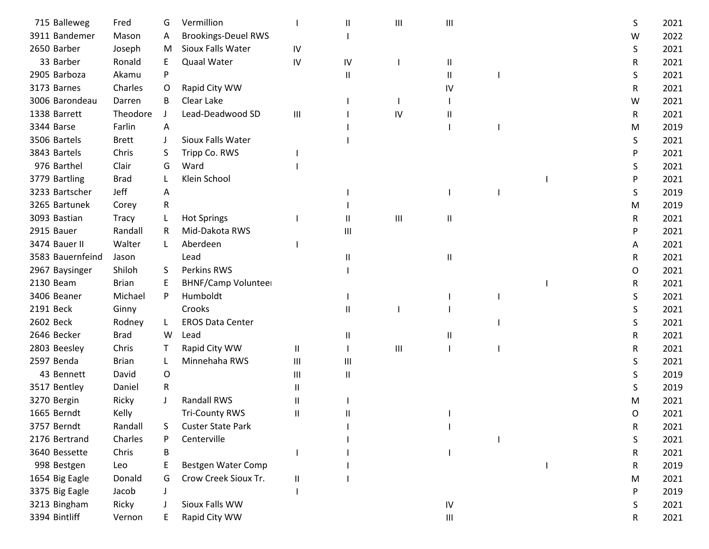| 715 Balleweg     | Fred         | G  | Vermillion                 |              | Ш            | Ш                | Ш                                  |  | S | 2021 |
|------------------|--------------|----|----------------------------|--------------|--------------|------------------|------------------------------------|--|---|------|
| 3911 Bandemer    | Mason        | A  | <b>Brookings-Deuel RWS</b> |              |              |                  |                                    |  | W | 2022 |
| 2650 Barber      | Joseph       | M  | Sioux Falls Water          | IV           |              |                  |                                    |  | S | 2021 |
| 33 Barber        | Ronald       | E  | <b>Quaal Water</b>         | IV           | IV           |                  | Ш                                  |  | R | 2021 |
| 2905 Barboza     | Akamu        | P  |                            |              | $\sf II$     |                  | Ш                                  |  | S | 2021 |
| 3173 Barnes      | Charles      | O  | Rapid City WW              |              |              |                  | IV                                 |  | R | 2021 |
| 3006 Barondeau   | Darren       | B  | Clear Lake                 |              |              |                  |                                    |  | W | 2021 |
| 1338 Barrett     | Theodore     |    | Lead-Deadwood SD           | Ш            |              | IV               | Ш                                  |  | R | 2021 |
| 3344 Barse       | Farlin       | A  |                            |              |              |                  |                                    |  | M | 2019 |
| 3506 Bartels     | <b>Brett</b> |    | Sioux Falls Water          |              |              |                  |                                    |  | S | 2021 |
| 3843 Bartels     | Chris        | S  | Tripp Co. RWS              |              |              |                  |                                    |  | P | 2021 |
| 976 Barthel      | Clair        | G  | Ward                       |              |              |                  |                                    |  | S | 2021 |
| 3779 Bartling    | <b>Brad</b>  |    | Klein School               |              |              |                  |                                    |  | P | 2021 |
| 3233 Bartscher   | Jeff         | A  |                            |              |              |                  |                                    |  | S | 2019 |
| 3265 Bartunek    | Corey        | R  |                            |              |              |                  |                                    |  | M | 2019 |
| 3093 Bastian     | <b>Tracy</b> |    | <b>Hot Springs</b>         |              | $\mathbf{H}$ | $\mathsf{III}\,$ | Ш                                  |  | R | 2021 |
| 2915 Bauer       | Randall      | R  | Mid-Dakota RWS             |              | Ш            |                  |                                    |  | P | 2021 |
| 3474 Bauer II    | Walter       | L  | Aberdeen                   |              |              |                  |                                    |  | A | 2021 |
| 3583 Bauernfeind | Jason        |    | Lead                       |              | Ш            |                  | Ш                                  |  | R | 2021 |
| 2967 Baysinger   | Shiloh       | S. | Perkins RWS                |              |              |                  |                                    |  | 0 | 2021 |
| 2130 Beam        | <b>Brian</b> | E  | <b>BHNF/Camp Volunteer</b> |              |              |                  |                                    |  | R | 2021 |
| 3406 Beaner      | Michael      | P  | Humboldt                   |              |              |                  |                                    |  | S | 2021 |
| 2191 Beck        | Ginny        |    | Crooks                     |              | $\mathbf{I}$ |                  |                                    |  | S | 2021 |
| 2602 Beck        | Rodney       | L  | <b>EROS Data Center</b>    |              |              |                  |                                    |  | S | 2021 |
| 2646 Becker      | <b>Brad</b>  | W  | Lead                       |              | $\mathsf{I}$ |                  | Ш                                  |  | R | 2021 |
| 2803 Beesley     | Chris        |    | Rapid City WW              | Ш            |              | $\mathsf{III}\,$ |                                    |  | R | 2021 |
| 2597 Benda       | <b>Brian</b> |    | Minnehaha RWS              | Ш            | Ш            |                  |                                    |  | S | 2021 |
| 43 Bennett       | David        | 0  |                            | Ш            | $\mathbf{I}$ |                  |                                    |  | S | 2019 |
| 3517 Bentley     | Daniel       | R  |                            | Ш            |              |                  |                                    |  | S | 2019 |
| 3270 Bergin      | Ricky        |    | <b>Randall RWS</b>         | Ш            |              |                  |                                    |  | M | 2021 |
| 1665 Berndt      | Kelly        |    | <b>Tri-County RWS</b>      | $\mathbf{I}$ |              |                  |                                    |  | 0 | 2021 |
| 3757 Berndt      | Randall      | S  | <b>Custer State Park</b>   |              |              |                  |                                    |  | R | 2021 |
| 2176 Bertrand    | Charles      |    | Centerville                |              |              |                  |                                    |  | S | 2021 |
| 3640 Bessette    | Chris        | B  |                            |              |              |                  |                                    |  | R | 2021 |
| 998 Bestgen      | Leo          |    | Bestgen Water Comp         |              |              |                  |                                    |  | R | 2019 |
| 1654 Big Eagle   | Donald       | G  | Crow Creek Sioux Tr.       | Ш            |              |                  |                                    |  | м | 2021 |
| 3375 Big Eagle   | Jacob        |    |                            |              |              |                  |                                    |  | P | 2019 |
| 3213 Bingham     | Ricky        |    | Sioux Falls WW             |              |              |                  | ${\sf IV}$                         |  | S | 2021 |
| 3394 Bintliff    | Vernon       |    | Rapid City WW              |              |              |                  | $\ensuremath{\mathsf{III}}\xspace$ |  | R | 2021 |
|                  |              |    |                            |              |              |                  |                                    |  |   |      |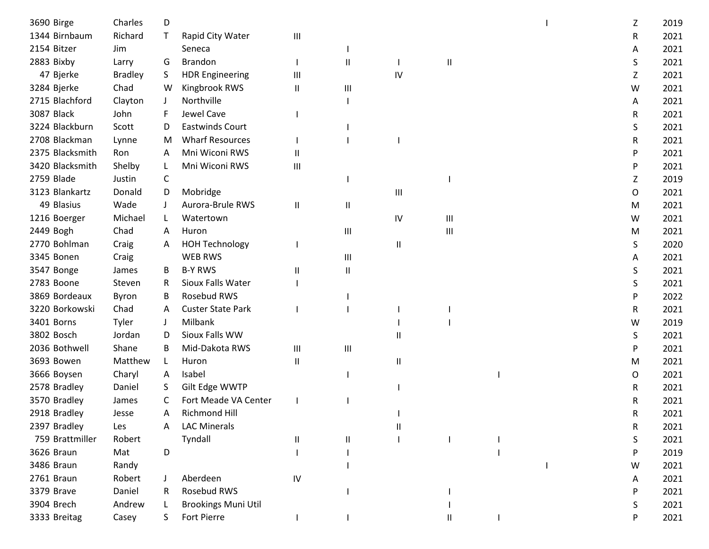| 3690 Birge      | Charles        | D            |                            |    |              |                            |                                    |  | Z | 2019 |
|-----------------|----------------|--------------|----------------------------|----|--------------|----------------------------|------------------------------------|--|---|------|
| 1344 Birnbaum   | Richard        | T            | Rapid City Water           | Ш  |              |                            |                                    |  | R | 2021 |
| 2154 Bitzer     | Jim            |              | Seneca                     |    |              |                            |                                    |  | A | 2021 |
| 2883 Bixby      | Larry          | G            | <b>Brandon</b>             |    | $\mathbf{I}$ |                            | $\sf II$                           |  | S | 2021 |
| 47 Bjerke       | <b>Bradley</b> | S.           | <b>HDR Engineering</b>     | Ш  |              | IV                         |                                    |  | Z | 2021 |
| 3284 Bjerke     | Chad           | W            | Kingbrook RWS              | Ш  | Ш            |                            |                                    |  | W | 2021 |
| 2715 Blachford  | Clayton        | J            | Northville                 |    |              |                            |                                    |  | A | 2021 |
| 3087 Black      | John           |              | Jewel Cave                 |    |              |                            |                                    |  | R | 2021 |
| 3224 Blackburn  | Scott          | D            | <b>Eastwinds Court</b>     |    |              |                            |                                    |  | S | 2021 |
| 2708 Blackman   | Lynne          | M            | <b>Wharf Resources</b>     |    |              |                            |                                    |  | R | 2021 |
| 2375 Blacksmith | Ron            | A            | Mni Wiconi RWS             | Ш  |              |                            |                                    |  | P | 2021 |
| 3420 Blacksmith | Shelby         | L            | Mni Wiconi RWS             | Ш  |              |                            |                                    |  | P | 2021 |
| 2759 Blade      | Justin         | C            |                            |    |              |                            |                                    |  | Z | 2019 |
| 3123 Blankartz  | Donald         | D            | Mobridge                   |    |              | $\mathbf{III}$             |                                    |  | 0 | 2021 |
| 49 Blasius      | Wade           |              | Aurora-Brule RWS           | Ш  | $\mathsf{I}$ |                            |                                    |  | M | 2021 |
| 1216 Boerger    | Michael        | L            | Watertown                  |    |              | IV                         | $\ensuremath{\mathsf{III}}\xspace$ |  | W | 2021 |
| 2449 Bogh       | Chad           | A            | Huron                      |    | Ш            |                            | $\mathbf{III}$                     |  | M | 2021 |
| 2770 Bohlman    | Craig          | A            | <b>HOH Technology</b>      |    |              | $\ensuremath{\mathsf{II}}$ |                                    |  | S | 2020 |
| 3345 Bonen      | Craig          |              | WEB RWS                    |    | Ш            |                            |                                    |  | A | 2021 |
| 3547 Bonge      | James          | B            | <b>B-Y RWS</b>             | Ш  | $\sf II$     |                            |                                    |  | S | 2021 |
| 2783 Boone      | Steven         | R            | Sioux Falls Water          |    |              |                            |                                    |  | S | 2021 |
| 3869 Bordeaux   | Byron          | B            | Rosebud RWS                |    |              |                            |                                    |  | P | 2022 |
| 3220 Borkowski  | Chad           | A            | <b>Custer State Park</b>   |    |              |                            |                                    |  | R | 2021 |
| 3401 Borns      | Tyler          | $\mathbf{J}$ | Milbank                    |    |              |                            |                                    |  | W | 2019 |
| 3802 Bosch      | Jordan         | D            | Sioux Falls WW             |    |              | Ш                          |                                    |  | S | 2021 |
| 2036 Bothwell   | Shane          | B            | Mid-Dakota RWS             | Ш  | Ш            |                            |                                    |  | P | 2021 |
| 3693 Bowen      | Matthew        |              | Huron                      | Ш  |              | Ш                          |                                    |  | M | 2021 |
| 3666 Boysen     | Charyl         | $\mathsf{A}$ | Isabel                     |    |              |                            |                                    |  | O | 2021 |
| 2578 Bradley    | Daniel         | S.           | Gilt Edge WWTP             |    |              |                            |                                    |  | R | 2021 |
| 3570 Bradley    | James          | C            | Fort Meade VA Center       |    |              |                            |                                    |  | R | 2021 |
| 2918 Bradley    | Jesse          | A            | <b>Richmond Hill</b>       |    |              |                            |                                    |  | R | 2021 |
| 2397 Bradley    | Les            | A            | <b>LAC Minerals</b>        |    |              | Ш                          |                                    |  | R | 2021 |
| 759 Brattmiller | Robert         |              | Tyndall                    | Ш  | $\mathbf{I}$ |                            |                                    |  | S | 2021 |
| 3626 Braun      | Mat            | D            |                            |    |              |                            |                                    |  | P | 2019 |
| 3486 Braun      | Randy          |              |                            |    |              |                            |                                    |  | W | 2021 |
| 2761 Braun      | Robert         |              | Aberdeen                   | IV |              |                            |                                    |  | A | 2021 |
| 3379 Brave      | Daniel         |              | Rosebud RWS                |    |              |                            |                                    |  | P | 2021 |
| 3904 Brech      | Andrew         |              | <b>Brookings Muni Util</b> |    |              |                            |                                    |  | S | 2021 |
| 3333 Breitag    | Casey          |              | Fort Pierre                |    |              |                            |                                    |  | P | 2021 |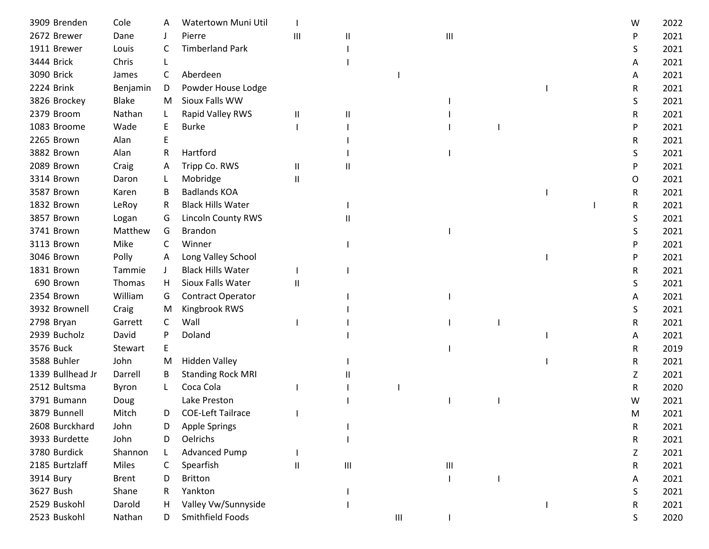| 3909 Brenden     | Cole         |              | Watertown Muni Util      |          |   |   |                                    |  | W | 2022 |
|------------------|--------------|--------------|--------------------------|----------|---|---|------------------------------------|--|---|------|
| 2672 Brewer      | Dane         |              | Pierre                   | Ш        | Ш |   | Ш                                  |  | P | 2021 |
| 1911 Brewer      | Louis        | C            | <b>Timberland Park</b>   |          |   |   |                                    |  | S | 2021 |
| 3444 Brick       | Chris        |              |                          |          |   |   |                                    |  | A | 2021 |
| 3090 Brick       | James        | C            | Aberdeen                 |          |   |   |                                    |  | A | 2021 |
| 2224 Brink       | Benjamin     | D            | Powder House Lodge       |          |   |   |                                    |  | R | 2021 |
| 3826 Brockey     | <b>Blake</b> | M            | Sioux Falls WW           |          |   |   |                                    |  | S | 2021 |
| 2379 Broom       | Nathan       |              | Rapid Valley RWS         | Ш        | Ш |   |                                    |  | R | 2021 |
| 1083 Broome      | Wade         |              | <b>Burke</b>             |          |   |   |                                    |  | P | 2021 |
| 2265 Brown       | Alan         |              |                          |          |   |   |                                    |  | R | 2021 |
| 3882 Brown       | Alan         | R            | Hartford                 |          |   |   |                                    |  | S | 2021 |
| 2089 Brown       | Craig        | A            | Tripp Co. RWS            | Ш        | Ш |   |                                    |  | P | 2021 |
| 3314 Brown       | Daron        |              | Mobridge                 | $\sf II$ |   |   |                                    |  | 0 | 2021 |
| 3587 Brown       | Karen        | B            | <b>Badlands KOA</b>      |          |   |   |                                    |  | R | 2021 |
| 1832 Brown       | LeRoy        | R            | <b>Black Hills Water</b> |          |   |   |                                    |  | R | 2021 |
| 3857 Brown       | Logan        | G            | Lincoln County RWS       |          | Ш |   |                                    |  | S | 2021 |
| 3741 Brown       | Matthew      | G            | <b>Brandon</b>           |          |   |   |                                    |  | S | 2021 |
| 3113 Brown       | Mike         | C            | Winner                   |          |   |   |                                    |  | P | 2021 |
| 3046 Brown       | Polly        | A            | Long Valley School       |          |   |   |                                    |  | P | 2021 |
| 1831 Brown       | Tammie       | $\mathbf{J}$ | <b>Black Hills Water</b> |          |   |   |                                    |  | R | 2021 |
| 690 Brown        | Thomas       | H.           | Sioux Falls Water        | Ш        |   |   |                                    |  | S | 2021 |
| 2354 Brown       | William      | G            | Contract Operator        |          |   |   |                                    |  | A | 2021 |
| 3932 Brownell    | Craig        | M            | Kingbrook RWS            |          |   |   |                                    |  | S | 2021 |
| 2798 Bryan       | Garrett      | C            | Wall                     |          |   |   |                                    |  | R | 2021 |
| 2939 Bucholz     | David        | P            | Doland                   |          |   |   |                                    |  | Α | 2021 |
| 3576 Buck        | Stewart      | E            |                          |          |   |   |                                    |  | R | 2019 |
| 3588 Buhler      | John         | M            | <b>Hidden Valley</b>     |          |   |   |                                    |  | R | 2021 |
| 1339 Bullhead Jr | Darrell      | B            | <b>Standing Rock MRI</b> |          |   |   |                                    |  | Z | 2021 |
| 2512 Bultsma     | Byron        |              | Coca Cola                |          |   |   |                                    |  | R | 2020 |
| 3791 Bumann      | Doug         |              | Lake Preston             |          |   |   |                                    |  | W | 2021 |
| 3879 Bunnell     | Mitch        | D            | <b>COE-Left Tailrace</b> |          |   |   |                                    |  | м | 2021 |
| 2608 Burckhard   | John         | D            | <b>Apple Springs</b>     |          |   |   |                                    |  | R | 2021 |
| 3933 Burdette    | John         | D            | Oelrichs                 |          |   |   |                                    |  | R | 2021 |
| 3780 Burdick     | Shannon      |              | <b>Advanced Pump</b>     |          |   |   |                                    |  | Z | 2021 |
| 2185 Burtzlaff   | Miles        | C            | Spearfish                | $\sf II$ | Ш |   | $\ensuremath{\mathsf{III}}\xspace$ |  | R | 2021 |
| 3914 Bury        | <b>Brent</b> | D            | <b>Britton</b>           |          |   |   |                                    |  | A | 2021 |
| 3627 Bush        | Shane        |              | Yankton                  |          |   |   |                                    |  | S | 2021 |
| 2529 Buskohl     | Darold       | Н.           | Valley Vw/Sunnyside      |          |   |   |                                    |  | R | 2021 |
| 2523 Buskohl     | Nathan       | D.           | Smithfield Foods         |          |   | Ш |                                    |  | S | 2020 |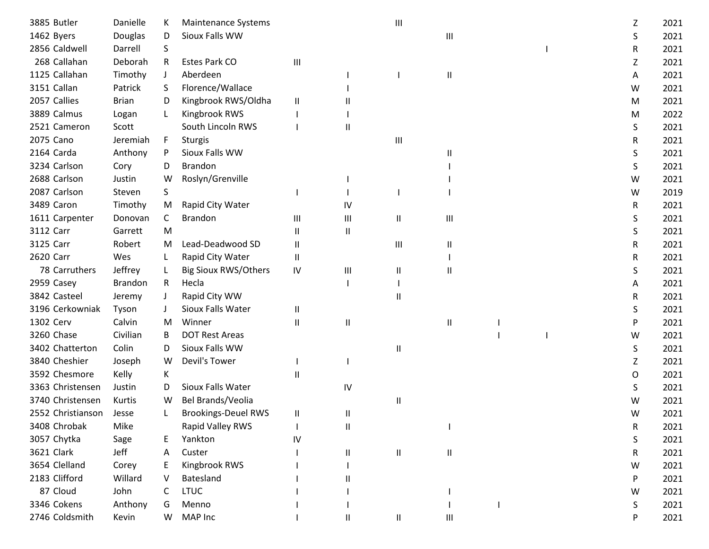| 3885 Butler       | Danielle       |         | Maintenance Systems         |                        |              |                            |   |  |   |      |
|-------------------|----------------|---------|-----------------------------|------------------------|--------------|----------------------------|---|--|---|------|
|                   |                | K.      | Sioux Falls WW              |                        |              | $\mathbf{III}$             |   |  | Ζ | 2021 |
| 1462 Byers        | Douglas        | D       |                             |                        |              |                            | Ш |  | S | 2021 |
| 2856 Caldwell     | Darrell        | S       |                             |                        |              |                            |   |  | R | 2021 |
| 268 Callahan      | Deborah        | R       | Estes Park CO               | Ш                      |              |                            |   |  | Ζ | 2021 |
| 1125 Callahan     | Timothy        | $\perp$ | Aberdeen                    |                        |              |                            | Ш |  | A | 2021 |
| 3151 Callan       | Patrick        | S.      | Florence/Wallace            |                        |              |                            |   |  | W | 2021 |
| 2057 Callies      | <b>Brian</b>   | D       | Kingbrook RWS/Oldha         | Ш                      |              |                            |   |  | M | 2021 |
| 3889 Calmus       | Logan          | L       | Kingbrook RWS               |                        |              |                            |   |  | M | 2022 |
| 2521 Cameron      | Scott          |         | South Lincoln RWS           |                        | Ш            |                            |   |  | S | 2021 |
| 2075 Cano         | Jeremiah       | F       | <b>Sturgis</b>              |                        |              | $\mathbf{III}$             |   |  | R | 2021 |
| 2164 Carda        | Anthony        | P       | Sioux Falls WW              |                        |              |                            | Ш |  | S | 2021 |
| 3234 Carlson      | Cory           | D       | <b>Brandon</b>              |                        |              |                            |   |  | S | 2021 |
| 2688 Carlson      | Justin         | W       | Roslyn/Grenville            |                        |              |                            |   |  | W | 2021 |
| 2087 Carlson      | Steven         | S       |                             |                        |              |                            |   |  | W | 2019 |
| 3489 Caron        | Timothy        | M       | Rapid City Water            |                        | IV           |                            |   |  | R | 2021 |
| 1611 Carpenter    | Donovan        | C       | <b>Brandon</b>              | Ш                      | Ш            | $\mathsf{I}\mathsf{I}$     | Ш |  | S | 2021 |
| 3112 Carr         | Garrett        | M       |                             | $\mathbf{I}$           | $\sf II$     |                            |   |  | S | 2021 |
| 3125 Carr         | Robert         | M       | Lead-Deadwood SD            | Ш                      |              | $\mathbf{III}$             | Ш |  | R | 2021 |
| 2620 Carr         | Wes            | L       | Rapid City Water            | Ш                      |              |                            |   |  | R | 2021 |
| 78 Carruthers     | Jeffrey        | L       | <b>Big Sioux RWS/Others</b> | IV                     | Ш            | Ш                          | Ш |  | S | 2021 |
| 2959 Casey        | <b>Brandon</b> | R.      | Hecla                       |                        |              |                            |   |  | Α | 2021 |
| 3842 Casteel      | Jeremy         | J       | Rapid City WW               |                        |              | $\mathbf{I}$               |   |  | R | 2021 |
| 3196 Cerkowniak   | Tyson          |         | Sioux Falls Water           | $\mathbf{\mathsf{II}}$ |              |                            |   |  | S | 2021 |
| 1302 Cerv         | Calvin         | M       | Winner                      | Ш                      | $\mathbf{I}$ |                            | Ш |  | P | 2021 |
| 3260 Chase        | Civilian       | B       | <b>DOT Rest Areas</b>       |                        |              |                            |   |  | W | 2021 |
| 3402 Chatterton   | Colin          | D       | Sioux Falls WW              |                        |              | $\ensuremath{\mathsf{II}}$ |   |  | S | 2021 |
| 3840 Cheshier     | Joseph         | W       | Devil's Tower               |                        |              |                            |   |  | Z | 2021 |
| 3592 Chesmore     | Kelly          | К       |                             | Ш                      |              |                            |   |  | O | 2021 |
| 3363 Christensen  | Justin         | D       | Sioux Falls Water           |                        | IV           |                            |   |  | S | 2021 |
| 3740 Christensen  | Kurtis         | W       | Bel Brands/Veolia           |                        |              | $\mathsf{I}$               |   |  | W | 2021 |
| 2552 Christianson | Jesse          |         | <b>Brookings-Deuel RWS</b>  | Ш                      | Ш            |                            |   |  | W | 2021 |
| 3408 Chrobak      | Mike           |         | Rapid Valley RWS            |                        | $\mathsf{I}$ |                            |   |  | R | 2021 |
| 3057 Chytka       | Sage           | Ε       | Yankton                     | IV                     |              |                            |   |  | S | 2021 |
| 3621 Clark        | Jeff           | Α       | Custer                      |                        | $\mathsf{I}$ | $\ensuremath{\mathsf{II}}$ | Ш |  | R | 2021 |
| 3654 Clelland     | Corey          | E       | Kingbrook RWS               |                        |              |                            |   |  | W | 2021 |
| 2183 Clifford     | Willard        |         | Batesland                   |                        |              |                            |   |  | P | 2021 |
| 87 Cloud          | John           | C       | <b>LTUC</b>                 |                        |              |                            |   |  | W | 2021 |
| 3346 Cokens       | Anthony        | G       | Menno                       |                        |              |                            |   |  | S | 2021 |
| 2746 Coldsmith    | Kevin          | W       | MAP Inc                     |                        | Ш            | $\mathsf{II}$              | Ш |  | P | 2021 |
|                   |                |         |                             |                        |              |                            |   |  |   |      |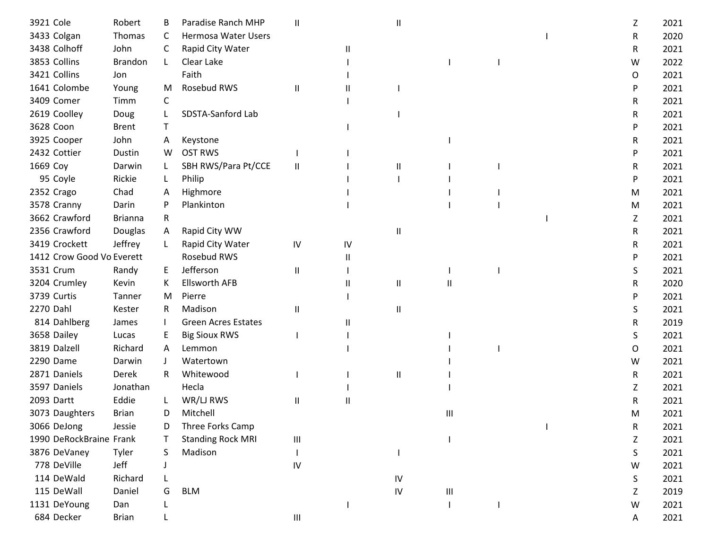| 3921 Cole                 | Robert         | B  | Paradise Ranch MHP         | $\mathbf{I}$                       |    | Ш            |   |  | Z | 2021 |
|---------------------------|----------------|----|----------------------------|------------------------------------|----|--------------|---|--|---|------|
| 3433 Colgan               | Thomas         | C  | <b>Hermosa Water Users</b> |                                    |    |              |   |  | R | 2020 |
| 3438 Colhoff              | John           | C  | Rapid City Water           |                                    | Ш  |              |   |  | R | 2021 |
| 3853 Collins              | <b>Brandon</b> | L. | Clear Lake                 |                                    |    |              |   |  | W | 2022 |
| 3421 Collins              | Jon            |    | Faith                      |                                    |    |              |   |  | 0 | 2021 |
| 1641 Colombe              | Young          | M  | Rosebud RWS                | Ш                                  |    |              |   |  | P | 2021 |
| 3409 Comer                | Timm           | C  |                            |                                    |    |              |   |  | R | 2021 |
| 2619 Coolley              | Doug           |    | SDSTA-Sanford Lab          |                                    |    |              |   |  | R | 2021 |
| 3628 Coon                 | <b>Brent</b>   | T  |                            |                                    |    |              |   |  | P | 2021 |
| 3925 Cooper               | John           | A  | Keystone                   |                                    |    |              |   |  | R | 2021 |
| 2432 Cottier              | Dustin         | W  | <b>OST RWS</b>             |                                    |    |              |   |  | P | 2021 |
| 1669 Coy                  | Darwin         | L  | SBH RWS/Para Pt/CCE        | Ш                                  |    | Ш            |   |  | R | 2021 |
| 95 Coyle                  | Rickie         | L  | Philip                     |                                    |    |              |   |  | P | 2021 |
| 2352 Crago                | Chad           | A  | Highmore                   |                                    |    |              |   |  | M | 2021 |
| 3578 Cranny               | Darin          | P  | Plankinton                 |                                    |    |              |   |  | M | 2021 |
| 3662 Crawford             | <b>Brianna</b> | R  |                            |                                    |    |              |   |  | Z | 2021 |
| 2356 Crawford             | Douglas        | A  | Rapid City WW              |                                    |    | $\mathsf{I}$ |   |  | R | 2021 |
| 3419 Crockett             | Jeffrey        | L  | Rapid City Water           | IV                                 | IV |              |   |  | R | 2021 |
| 1412 Crow Good Vo Everett |                |    | Rosebud RWS                |                                    | Ш  |              |   |  | P | 2021 |
| 3531 Crum                 | Randy          | E  | Jefferson                  | Ш                                  |    |              |   |  | S | 2021 |
| 3204 Crumley              | Kevin          | К  | <b>Ellsworth AFB</b>       |                                    | Ш  | Ш            | Ш |  | R | 2020 |
| 3739 Curtis               | Tanner         | M  | Pierre                     |                                    |    |              |   |  | P | 2021 |
| 2270 Dahl                 | Kester         | R. | Madison                    | $\mathbf{I}$                       |    | Ш            |   |  | S | 2021 |
| 814 Dahlberg              | James          |    | <b>Green Acres Estates</b> |                                    |    |              |   |  | R | 2019 |
| 3658 Dailey               | Lucas          | E  | <b>Big Sioux RWS</b>       |                                    |    |              |   |  | S | 2021 |
| 3819 Dalzell              | Richard        | A  | Lemmon                     |                                    |    |              |   |  | O | 2021 |
| 2290 Dame                 | Darwin         |    | Watertown                  |                                    |    |              |   |  | W | 2021 |
| 2871 Daniels              | Derek          | R. | Whitewood                  |                                    |    | Ш            |   |  | R | 2021 |
| 3597 Daniels              | Jonathan       |    | Hecla                      |                                    |    |              |   |  | Z | 2021 |
| 2093 Dartt                | Eddie          |    | WR/LJ RWS                  | $\mathbf{\mathsf{II}}$             | Ш  |              |   |  | R | 2021 |
| 3073 Daughters            | <b>Brian</b>   | D  | Mitchell                   |                                    |    |              | Ш |  | м | 2021 |
| 3066 DeJong               | Jessie         | D  | Three Forks Camp           |                                    |    |              |   |  | R | 2021 |
| 1990 DeRockBraine Frank   |                |    | <b>Standing Rock MRI</b>   | $\ensuremath{\mathsf{III}}\xspace$ |    |              |   |  | Z | 2021 |
| 3876 DeVaney              | Tyler          | S  | Madison                    |                                    |    |              |   |  | S | 2021 |
| 778 DeVille               | Jeff           |    |                            | IV                                 |    |              |   |  | W | 2021 |
| 114 DeWald                | Richard        |    |                            |                                    |    | IV           |   |  | S | 2021 |
| 115 DeWall                | Daniel         | G  | <b>BLM</b>                 |                                    |    | IV           | Ш |  | Z | 2019 |
| 1131 DeYoung              | Dan            |    |                            |                                    |    |              |   |  | W | 2021 |
| 684 Decker                | <b>Brian</b>   |    |                            | $\ensuremath{\mathsf{III}}\xspace$ |    |              |   |  | A | 2021 |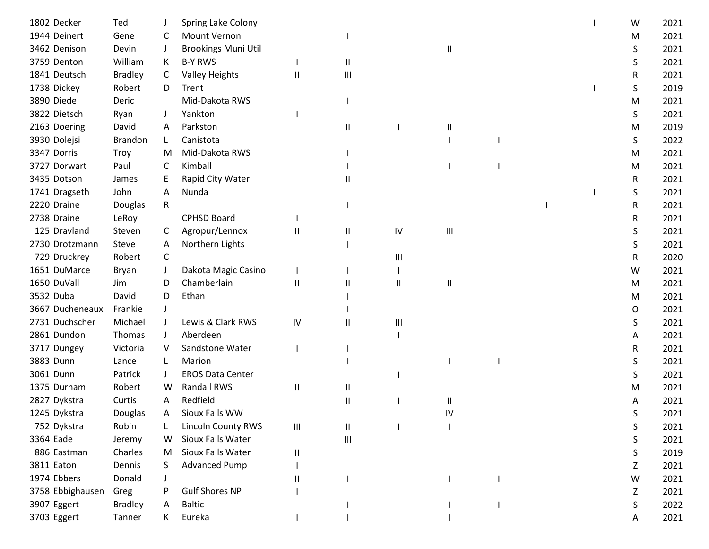| 1802 Decker      | Ted            |              | Spring Lake Colony         |                                    |                |              |                                    |  | W | 2021 |
|------------------|----------------|--------------|----------------------------|------------------------------------|----------------|--------------|------------------------------------|--|---|------|
| 1944 Deinert     | Gene           | C            | <b>Mount Vernon</b>        |                                    |                |              |                                    |  | M | 2021 |
| 3462 Denison     | Devin          | J            | <b>Brookings Muni Util</b> |                                    |                |              | Ш                                  |  | S | 2021 |
| 3759 Denton      | William        | K            | <b>B-Y RWS</b>             |                                    | Ш              |              |                                    |  | S | 2021 |
| 1841 Deutsch     | <b>Bradley</b> | C            | <b>Valley Heights</b>      | Ш                                  | Ш              |              |                                    |  | R | 2021 |
| 1738 Dickey      | Robert         | D            | Trent                      |                                    |                |              |                                    |  | S | 2019 |
| 3890 Diede       | Deric          |              | Mid-Dakota RWS             |                                    |                |              |                                    |  | М | 2021 |
| 3822 Dietsch     | Ryan           |              | Yankton                    |                                    |                |              |                                    |  | S | 2021 |
| 2163 Doering     | David          | A            | Parkston                   |                                    | Ш              |              | Ш                                  |  | M | 2019 |
| 3930 Dolejsi     | Brandon        |              | Canistota                  |                                    |                |              |                                    |  | S | 2022 |
| 3347 Dorris      | Troy           | м            | Mid-Dakota RWS             |                                    |                |              |                                    |  | M | 2021 |
| 3727 Dorwart     | Paul           | C            | Kimball                    |                                    |                |              |                                    |  | M | 2021 |
| 3435 Dotson      | James          |              | Rapid City Water           |                                    | Ш              |              |                                    |  | R | 2021 |
| 1741 Dragseth    | John           | A            | Nunda                      |                                    |                |              |                                    |  | S | 2021 |
| 2220 Draine      | Douglas        | R            |                            |                                    |                |              |                                    |  | R | 2021 |
| 2738 Draine      | LeRoy          |              | <b>CPHSD Board</b>         |                                    |                |              |                                    |  | R | 2021 |
| 125 Dravland     | Steven         | C            | Agropur/Lennox             | Ш                                  | Ш              | ${\sf IV}$   | $\ensuremath{\mathsf{III}}\xspace$ |  | S | 2021 |
| 2730 Drotzmann   | Steve          | A            | Northern Lights            |                                    |                |              |                                    |  | S | 2021 |
| 729 Druckrey     | Robert         | C            |                            |                                    |                | Ш            |                                    |  | R | 2020 |
| 1651 DuMarce     | Bryan          |              | Dakota Magic Casino        |                                    |                |              |                                    |  | W | 2021 |
| 1650 DuVall      | Jim            | D            | Chamberlain                | Ш                                  | Ш              | $\mathsf{I}$ | Ш                                  |  | M | 2021 |
| 3532 Duba        | David          | D            | Ethan                      |                                    |                |              |                                    |  | M | 2021 |
| 3667 Ducheneaux  | Frankie        |              |                            |                                    |                |              |                                    |  | 0 | 2021 |
| 2731 Duchscher   | Michael        |              | Lewis & Clark RWS          | IV                                 | Ш              | Ш            |                                    |  | S | 2021 |
| 2861 Dundon      | Thomas         | $\mathbf{J}$ | Aberdeen                   |                                    |                |              |                                    |  | A | 2021 |
| 3717 Dungey      | Victoria       | V            | Sandstone Water            |                                    |                |              |                                    |  | R | 2021 |
| 3883 Dunn        | Lance          |              | Marion                     |                                    |                |              |                                    |  | S | 2021 |
| 3061 Dunn        | Patrick        | J            | <b>EROS Data Center</b>    |                                    |                |              |                                    |  | S | 2021 |
| 1375 Durham      | Robert         | W            | Randall RWS                | Ш                                  | Ш              |              |                                    |  | м | 2021 |
| 2827 Dykstra     | Curtis         | A            | Redfield                   |                                    | Ш              |              | Ш                                  |  | Α | 2021 |
| 1245 Dykstra     | Douglas        | A            | Sioux Falls WW             |                                    |                |              | IV                                 |  | S | 2021 |
| 752 Dykstra      | Robin          |              | <b>Lincoln County RWS</b>  | $\ensuremath{\mathsf{III}}\xspace$ | Ш              |              |                                    |  | S | 2021 |
| 3364 Eade        | Jeremy         | W            | Sioux Falls Water          |                                    | $\mathbf{III}$ |              |                                    |  | S | 2021 |
| 886 Eastman      | Charles        | M            | Sioux Falls Water          | Ш                                  |                |              |                                    |  | S | 2019 |
| 3811 Eaton       | Dennis         | S            | <b>Advanced Pump</b>       |                                    |                |              |                                    |  | Ζ | 2021 |
| 1974 Ebbers      | Donald         |              |                            | Ш                                  |                |              |                                    |  | W | 2021 |
| 3758 Ebbighausen | Greg           |              | <b>Gulf Shores NP</b>      |                                    |                |              |                                    |  | Z | 2021 |
| 3907 Eggert      | <b>Bradley</b> | A            | <b>Baltic</b>              |                                    |                |              |                                    |  | S | 2022 |
| 3703 Eggert      | Tanner         | K.           | Eureka                     |                                    |                |              |                                    |  | А | 2021 |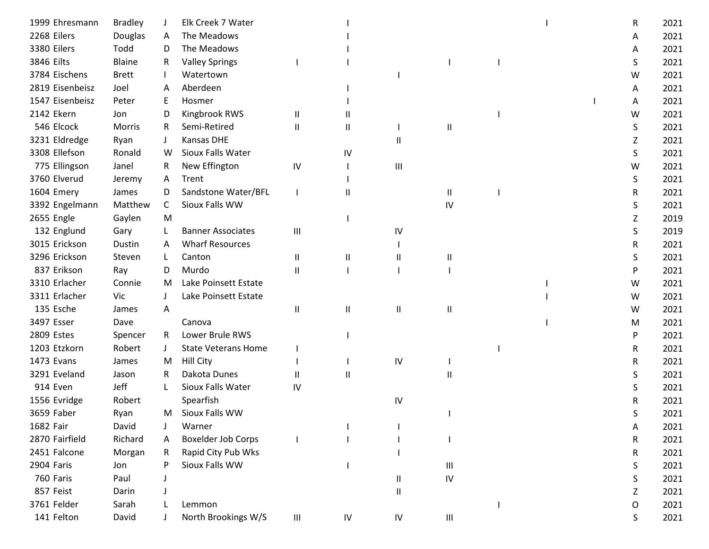| 1999 Ehresmann  | <b>Bradley</b> |              | Elk Creek 7 Water          |                                    |            |            |                                    |  | R | 2021 |
|-----------------|----------------|--------------|----------------------------|------------------------------------|------------|------------|------------------------------------|--|---|------|
| 2268 Eilers     | Douglas        | A            | The Meadows                |                                    |            |            |                                    |  | Α | 2021 |
| 3380 Eilers     | Todd           | D            | The Meadows                |                                    |            |            |                                    |  | A | 2021 |
| 3846 Eilts      | Blaine         | R            | <b>Valley Springs</b>      |                                    |            |            |                                    |  | S | 2021 |
| 3784 Eischens   | <b>Brett</b>   |              | Watertown                  |                                    |            |            |                                    |  | W | 2021 |
| 2819 Eisenbeisz | Joel           | A            | Aberdeen                   |                                    |            |            |                                    |  | A | 2021 |
| 1547 Eisenbeisz | Peter          | E            | Hosmer                     |                                    |            |            |                                    |  | A | 2021 |
| 2142 Ekern      | Jon            | D            | Kingbrook RWS              | Ш                                  |            |            |                                    |  | W | 2021 |
| 546 Elcock      | Morris         | R.           | Semi-Retired               | $\mathbf{I}$                       | Ш          |            | Ш                                  |  | S | 2021 |
| 3231 Eldredge   | Ryan           |              | <b>Kansas DHE</b>          |                                    |            | Ш          |                                    |  | Ζ | 2021 |
| 3308 Ellefson   | Ronald         | W            | Sioux Falls Water          |                                    | IV         |            |                                    |  | S | 2021 |
| 775 Ellingson   | Janel          | R            | New Effington              | ${\sf IV}$                         |            | Ш          |                                    |  | W | 2021 |
| 3760 Elverud    | Jeremy         | A            | Trent                      |                                    |            |            |                                    |  | S | 2021 |
| 1604 Emery      | James          | D            | Sandstone Water/BFL        |                                    | Ш          |            | Ш                                  |  | R | 2021 |
| 3392 Engelmann  | Matthew        | C            | Sioux Falls WW             |                                    |            |            | IV                                 |  | S | 2021 |
| 2655 Engle      | Gaylen         | M            |                            |                                    |            |            |                                    |  | Z | 2019 |
| 132 Englund     | Gary           | L            | <b>Banner Associates</b>   | Ш                                  |            | IV         |                                    |  | S | 2019 |
| 3015 Erickson   | Dustin         | A            | <b>Wharf Resources</b>     |                                    |            |            |                                    |  | R | 2021 |
| 3296 Erickson   | Steven         | L            | Canton                     | $\mathsf{I}$                       | Ш          | Ш          | Ш                                  |  | S | 2021 |
| 837 Erikson     | Ray            | D            | Murdo                      | $\mathbf{I}$                       |            |            |                                    |  | P | 2021 |
| 3310 Erlacher   | Connie         | M            | Lake Poinsett Estate       |                                    |            |            |                                    |  | W | 2021 |
| 3311 Erlacher   | Vic            |              | Lake Poinsett Estate       |                                    |            |            |                                    |  | W | 2021 |
| 135 Esche       | James          | A            |                            | $\mathsf{I}$                       | Ш          | Ш          | Ш                                  |  | W | 2021 |
| 3497 Esser      | Dave           |              | Canova                     |                                    |            |            |                                    |  | м | 2021 |
| 2809 Estes      | Spencer        | R            | Lower Brule RWS            |                                    |            |            |                                    |  | P | 2021 |
| 1203 Etzkorn    | Robert         | $\perp$      | <b>State Veterans Home</b> |                                    |            |            |                                    |  | R | 2021 |
| 1473 Evans      | James          | M            | <b>Hill City</b>           |                                    |            | IV         |                                    |  | R | 2021 |
| 3291 Eveland    | Jason          | R            | Dakota Dunes               | $\mathsf{I}$                       | Ш          |            | Ш                                  |  | S | 2021 |
| 914 Even        | Jeff           | $\mathbf{L}$ | Sioux Falls Water          | IV                                 |            |            |                                    |  | S | 2021 |
| 1556 Evridge    | Robert         |              | Spearfish                  |                                    |            | IV         |                                    |  | R | 2021 |
| 3659 Faber      | Ryan           | M            | Sioux Falls WW             |                                    |            |            |                                    |  | S | 2021 |
| 1682 Fair       | David          |              | Warner                     |                                    |            |            |                                    |  | A | 2021 |
| 2870 Fairfield  | Richard        | A            | <b>Boxelder Job Corps</b>  |                                    |            |            |                                    |  | R | 2021 |
| 2451 Falcone    | Morgan         | R            | Rapid City Pub Wks         |                                    |            |            |                                    |  | R | 2021 |
| 2904 Faris      | Jon            |              | Sioux Falls WW             |                                    |            |            | $\ensuremath{\mathsf{III}}\xspace$ |  | S | 2021 |
| 760 Faris       | Paul           |              |                            |                                    |            | Ш          | IV                                 |  | S | 2021 |
| 857 Feist       | Darin          |              |                            |                                    |            | Ш          |                                    |  | Z | 2021 |
| 3761 Felder     | Sarah          |              | Lemmon                     |                                    |            |            |                                    |  | O | 2021 |
| 141 Felton      | David          |              | North Brookings W/S        | $\ensuremath{\mathsf{III}}\xspace$ | ${\sf IV}$ | ${\sf IV}$ | $\ensuremath{\mathsf{III}}\xspace$ |  | S | 2021 |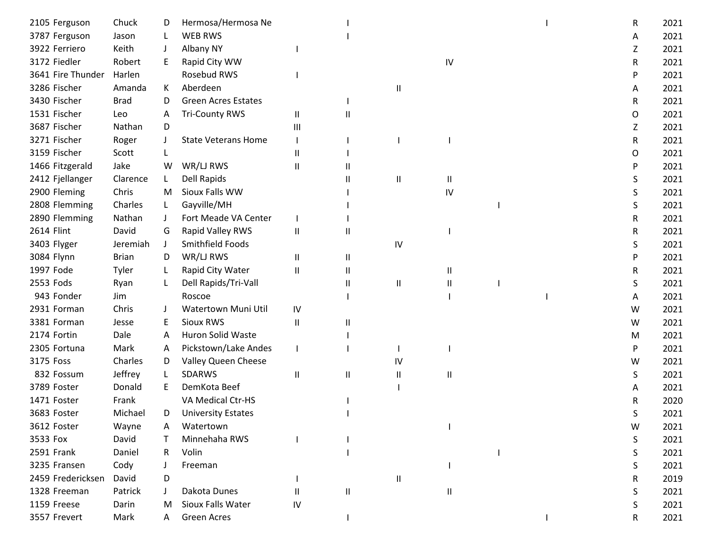| 2105 Ferguson     | Chuck        | D            | Hermosa/Hermosa Ne         |              |          |                            |    |  | R | 2021 |
|-------------------|--------------|--------------|----------------------------|--------------|----------|----------------------------|----|--|---|------|
| 3787 Ferguson     | Jason        |              | <b>WEB RWS</b>             |              |          |                            |    |  | А | 2021 |
| 3922 Ferriero     | Keith        |              | Albany NY                  |              |          |                            |    |  | Z | 2021 |
| 3172 Fiedler      | Robert       | E            | Rapid City WW              |              |          |                            | IV |  | R | 2021 |
| 3641 Fire Thunder | Harlen       |              | Rosebud RWS                |              |          |                            |    |  | P | 2021 |
| 3286 Fischer      | Amanda       | K            | Aberdeen                   |              |          | Ш                          |    |  | A | 2021 |
| 3430 Fischer      | <b>Brad</b>  | D            | <b>Green Acres Estates</b> |              |          |                            |    |  | R | 2021 |
| 1531 Fischer      | Leo          | A            | <b>Tri-County RWS</b>      | Ш            | Ш        |                            |    |  | O | 2021 |
| 3687 Fischer      | Nathan       | D            |                            | Ш            |          |                            |    |  | Z | 2021 |
| 3271 Fischer      | Roger        |              | <b>State Veterans Home</b> |              |          |                            |    |  | R | 2021 |
| 3159 Fischer      | Scott        |              |                            | Ш            |          |                            |    |  | O | 2021 |
| 1466 Fitzgerald   | Jake         | W            | WR/LJ RWS                  | $\mathbf{I}$ |          |                            |    |  | P | 2021 |
| 2412 Fjellanger   | Clarence     | L            | <b>Dell Rapids</b>         |              | Ш        | $\mathsf{I}$               | Ш  |  | S | 2021 |
| 2900 Fleming      | Chris        | M            | Sioux Falls WW             |              |          |                            | IV |  | S | 2021 |
| 2808 Flemming     | Charles      | L.           | Gayville/MH                |              |          |                            |    |  | S | 2021 |
| 2890 Flemming     | Nathan       | $\perp$      | Fort Meade VA Center       |              |          |                            |    |  | R | 2021 |
| 2614 Flint        | David        | G            | Rapid Valley RWS           | Ш            | Ш        |                            |    |  | R | 2021 |
| 3403 Flyger       | Jeremiah     | $\mathbf{J}$ | Smithfield Foods           |              |          | IV                         |    |  | S | 2021 |
| 3084 Flynn        | <b>Brian</b> | D            | WR/LJ RWS                  | Ш            | $\sf II$ |                            |    |  | P | 2021 |
| 1997 Fode         | Tyler        | L            | Rapid City Water           | Ш            | Ш        |                            | Ш. |  | R | 2021 |
| 2553 Fods         | Ryan         | L            | Dell Rapids/Tri-Vall       |              | Ш        | $\mathsf{I}\mathsf{I}$     | Ш  |  | S | 2021 |
| 943 Fonder        | Jim          |              | Roscoe                     |              |          |                            |    |  | Α | 2021 |
| 2931 Forman       | Chris        |              | Watertown Muni Util        | IV           |          |                            |    |  | W | 2021 |
| 3381 Forman       | Jesse        | E            | <b>Sioux RWS</b>           | Ш            | Ш        |                            |    |  | W | 2021 |
| 2174 Fortin       | Dale         | A            | <b>Huron Solid Waste</b>   |              |          |                            |    |  | M | 2021 |
| 2305 Fortuna      | Mark         | A            | Pickstown/Lake Andes       |              |          |                            |    |  | P | 2021 |
| 3175 Foss         | Charles      | D            | Valley Queen Cheese        |              |          | IV                         |    |  | W | 2021 |
| 832 Fossum        | Jeffrey      | L            | <b>SDARWS</b>              | $\mathbf{I}$ | $\sf II$ | $\mathsf{I}$               | Ш  |  | S | 2021 |
| 3789 Foster       | Donald       | E            | DemKota Beef               |              |          |                            |    |  | Α | 2021 |
| 1471 Foster       | Frank        |              | VA Medical Ctr-HS          |              |          |                            |    |  | R | 2020 |
| 3683 Foster       | Michael      | D            | <b>University Estates</b>  |              |          |                            |    |  | S | 2021 |
| 3612 Foster       | Wayne        | A            | Watertown                  |              |          |                            |    |  | W | 2021 |
| 3533 Fox          | David        |              | Minnehaha RWS              |              |          |                            |    |  | S | 2021 |
| 2591 Frank        | Daniel       | R.           | Volin                      |              |          |                            |    |  | S | 2021 |
| 3235 Fransen      | Cody         |              | Freeman                    |              |          |                            |    |  | S | 2021 |
| 2459 Fredericksen | David        | D            |                            |              |          | $\ensuremath{\mathsf{II}}$ |    |  | R | 2019 |
| 1328 Freeman      | Patrick      |              | Dakota Dunes               | $\mathbf{H}$ | Ш        |                            | Ш  |  | S | 2021 |
| 1159 Freese       | Darin        | м            | Sioux Falls Water          | IV           |          |                            |    |  | S | 2021 |
| 3557 Frevert      | Mark         | A            | Green Acres                |              |          |                            |    |  | R | 2021 |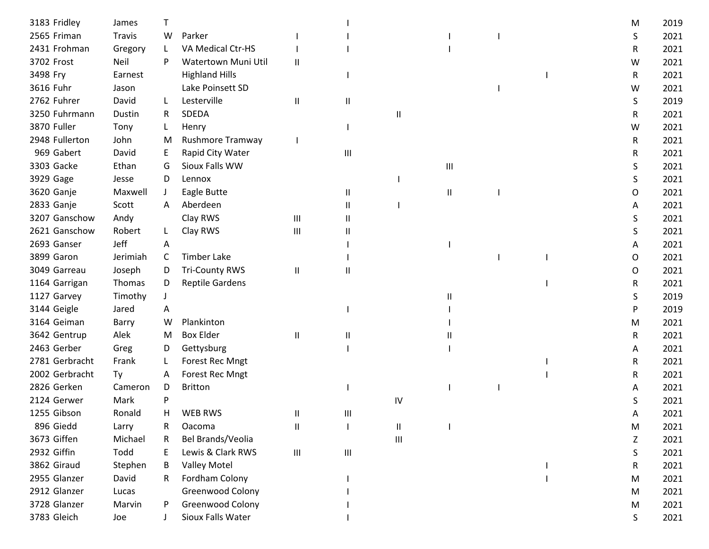| 3183 Fridley   | James    |              |                        |                                    |                                    |    |   |  | M | 2019 |
|----------------|----------|--------------|------------------------|------------------------------------|------------------------------------|----|---|--|---|------|
| 2565 Friman    | Travis   | W            | Parker                 |                                    |                                    |    |   |  | S | 2021 |
| 2431 Frohman   | Gregory  | L            | VA Medical Ctr-HS      |                                    |                                    |    |   |  | R | 2021 |
| 3702 Frost     | Neil     | P            | Watertown Muni Util    | $\mathbf{I}$                       |                                    |    |   |  | W | 2021 |
| 3498 Fry       | Earnest  |              | <b>Highland Hills</b>  |                                    |                                    |    |   |  | R | 2021 |
| 3616 Fuhr      | Jason    |              | Lake Poinsett SD       |                                    |                                    |    |   |  | W | 2021 |
| 2762 Fuhrer    | David    |              | Lesterville            | $\mathbf{\mathsf{I}}$              | Ш                                  |    |   |  | S | 2019 |
| 3250 Fuhrmann  | Dustin   | R            | SDEDA                  |                                    |                                    | Ш  |   |  | R | 2021 |
| 3870 Fuller    | Tony     | L            | Henry                  |                                    |                                    |    |   |  | W | 2021 |
| 2948 Fullerton | John     | M            | Rushmore Tramway       |                                    |                                    |    |   |  | R | 2021 |
| 969 Gabert     | David    | E            | Rapid City Water       |                                    | Ш                                  |    |   |  | R | 2021 |
| 3303 Gacke     | Ethan    | G            | Sioux Falls WW         |                                    |                                    |    | Ш |  | S | 2021 |
| 3929 Gage      | Jesse    | D            | Lennox                 |                                    |                                    |    |   |  | S | 2021 |
| 3620 Ganje     | Maxwell  | $\mathbf{I}$ | Eagle Butte            |                                    | Ш                                  |    | Ш |  | O | 2021 |
| 2833 Ganje     | Scott    | A            | Aberdeen               |                                    | Ш                                  |    |   |  | Α | 2021 |
| 3207 Ganschow  | Andy     |              | Clay RWS               | $\mathbf{III}$                     | Ш                                  |    |   |  | S | 2021 |
| 2621 Ganschow  | Robert   | L            | Clay RWS               | Ш                                  | Ш                                  |    |   |  | S | 2021 |
| 2693 Ganser    | Jeff     | A            |                        |                                    |                                    |    |   |  | A | 2021 |
| 3899 Garon     | Jerimiah | C            | <b>Timber Lake</b>     |                                    |                                    |    |   |  | O | 2021 |
| 3049 Garreau   | Joseph   | D            | <b>Tri-County RWS</b>  | $\mathbf{I}$                       | Ш                                  |    |   |  | 0 | 2021 |
| 1164 Garrigan  | Thomas   | D            | <b>Reptile Gardens</b> |                                    |                                    |    |   |  | R | 2021 |
| 1127 Garvey    | Timothy  |              |                        |                                    |                                    |    | Ш |  | S | 2019 |
| 3144 Geigle    | Jared    | A            |                        |                                    |                                    |    |   |  | P | 2019 |
| 3164 Geiman    | Barry    | W            | Plankinton             |                                    |                                    |    |   |  | м | 2021 |
| 3642 Gentrup   | Alek     | M            | <b>Box Elder</b>       | $\mathbf{\mathsf{I}}$              | Ш                                  |    |   |  | R | 2021 |
| 2463 Gerber    | Greg     | D            | Gettysburg             |                                    |                                    |    |   |  | A | 2021 |
| 2781 Gerbracht | Frank    |              | <b>Forest Rec Mngt</b> |                                    |                                    |    |   |  | R | 2021 |
| 2002 Gerbracht | Ty       | A            | <b>Forest Rec Mngt</b> |                                    |                                    |    |   |  | R | 2021 |
| 2826 Gerken    | Cameron  | D            | <b>Britton</b>         |                                    |                                    |    |   |  | A | 2021 |
| 2124 Gerwer    | Mark     | P            |                        |                                    |                                    | IV |   |  | S | 2021 |
| 1255 Gibson    | Ronald   | H            | <b>WEB RWS</b>         | Ш                                  | Ш                                  |    |   |  | A | 2021 |
| 896 Giedd      | Larry    | R            | Oacoma                 | $\mathbf{I}$                       |                                    | Ш  |   |  | M | 2021 |
| 3673 Giffen    | Michael  | R            | Bel Brands/Veolia      |                                    |                                    | Ш  |   |  | Z | 2021 |
| 2932 Giffin    | Todd     | F            | Lewis & Clark RWS      | $\ensuremath{\mathsf{III}}\xspace$ | $\ensuremath{\mathsf{III}}\xspace$ |    |   |  | S | 2021 |
| 3862 Giraud    | Stephen  | B            | <b>Valley Motel</b>    |                                    |                                    |    |   |  | R | 2021 |
| 2955 Glanzer   | David    | R.           | Fordham Colony         |                                    |                                    |    |   |  | M | 2021 |
| 2912 Glanzer   | Lucas    |              | Greenwood Colony       |                                    |                                    |    |   |  | M | 2021 |
| 3728 Glanzer   | Marvin   | P            | Greenwood Colony       |                                    |                                    |    |   |  | M | 2021 |
| 3783 Gleich    | Joe      |              | Sioux Falls Water      |                                    |                                    |    |   |  | S | 2021 |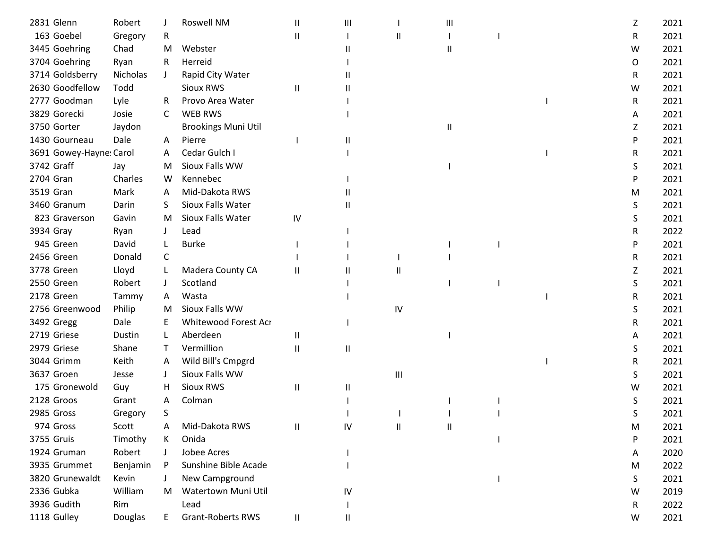| 2831 Glenn              | Robert   |              | Roswell NM                 | $\mathbf{I}$  | Ш                          |    | Ш |  | Z | 2021 |
|-------------------------|----------|--------------|----------------------------|---------------|----------------------------|----|---|--|---|------|
| 163 Goebel              | Gregory  | R            |                            | $\mathbf{I}$  |                            | Ш  |   |  | R | 2021 |
| 3445 Goehring           | Chad     | M            | Webster                    |               |                            |    |   |  | W | 2021 |
| 3704 Goehring           | Ryan     | R            | Herreid                    |               |                            |    |   |  | O | 2021 |
| 3714 Goldsberry         | Nicholas |              | Rapid City Water           |               |                            |    |   |  | R | 2021 |
| 2630 Goodfellow         | Todd     |              | Sioux RWS                  | Ш             |                            |    |   |  | W | 2021 |
| 2777 Goodman            | Lyle     | R            | Provo Area Water           |               |                            |    |   |  | R | 2021 |
| 3829 Gorecki            | Josie    | C            | <b>WEB RWS</b>             |               |                            |    |   |  | A | 2021 |
| 3750 Gorter             | Jaydon   |              | <b>Brookings Muni Util</b> |               |                            |    | Ш |  | Z | 2021 |
| 1430 Gourneau           | Dale     | A            | Pierre                     |               | Ш                          |    |   |  | P | 2021 |
| 3691 Gowey-Hayne: Carol |          | A            | Cedar Gulch I              |               |                            |    |   |  | R | 2021 |
| 3742 Graff              | Jay      | M            | Sioux Falls WW             |               |                            |    |   |  | S | 2021 |
| 2704 Gran               | Charles  | W            | Kennebec                   |               |                            |    |   |  | P | 2021 |
| 3519 Gran               | Mark     | A            | Mid-Dakota RWS             |               |                            |    |   |  | M | 2021 |
| 3460 Granum             | Darin    | S.           | Sioux Falls Water          |               | Ш                          |    |   |  | S | 2021 |
| 823 Graverson           | Gavin    | M            | Sioux Falls Water          | IV            |                            |    |   |  | S | 2021 |
| 3934 Gray               | Ryan     |              | Lead                       |               |                            |    |   |  | R | 2022 |
| 945 Green               | David    |              | <b>Burke</b>               |               |                            |    |   |  | P | 2021 |
| 2456 Green              | Donald   | C            |                            |               |                            |    |   |  | R | 2021 |
| 3778 Green              | Lloyd    |              | Madera County CA           | Ш             |                            | Ш  |   |  | Ζ | 2021 |
| 2550 Green              | Robert   |              | Scotland                   |               |                            |    |   |  | S | 2021 |
| 2178 Green              | Tammy    | A            | Wasta                      |               |                            |    |   |  | R | 2021 |
| 2756 Greenwood          | Philip   | м            | Sioux Falls WW             |               |                            | IV |   |  | S | 2021 |
| 3492 Gregg              | Dale     |              | Whitewood Forest Acr       |               |                            |    |   |  | R | 2021 |
| 2719 Griese             | Dustin   |              | Aberdeen                   | Ш             |                            |    |   |  | A | 2021 |
| 2979 Griese             | Shane    |              | Vermillion                 | $\mathbf{I}$  | $\ensuremath{\mathsf{II}}$ |    |   |  | S | 2021 |
| 3044 Grimm              | Keith    | A            | Wild Bill's Cmpgrd         |               |                            |    |   |  | R | 2021 |
| 3637 Groen              | Jesse    | $\mathbf{J}$ | Sioux Falls WW             |               |                            | Ш  |   |  | S | 2021 |
| 175 Gronewold           | Guy      | н            | Sioux RWS                  | Ш             | Ш                          |    |   |  | w | 2021 |
| 2128 Groos              | Grant    | Α            | Colman                     |               |                            |    |   |  | S | 2021 |
| 2985 Gross              | Gregory  | S            |                            |               |                            |    |   |  | S | 2021 |
| 974 Gross               | Scott    |              | Mid-Dakota RWS             | Ш             | IV                         | Ш  | Ш |  | M | 2021 |
| 3755 Gruis              | Timothy  | K            | Onida                      |               |                            |    |   |  | P | 2021 |
| 1924 Gruman             | Robert   |              | Jobee Acres                |               |                            |    |   |  | A | 2020 |
| 3935 Grummet            | Benjamin | P            | Sunshine Bible Acade       |               |                            |    |   |  | M | 2022 |
| 3820 Grunewaldt         | Kevin    |              | New Campground             |               |                            |    |   |  | S | 2021 |
| 2336 Gubka              | William  | M            | Watertown Muni Util        |               | IV                         |    |   |  | W | 2019 |
| 3936 Gudith             | Rim      |              | Lead                       |               |                            |    |   |  | R | 2022 |
| 1118 Gulley             | Douglas  | E.           | <b>Grant-Roberts RWS</b>   | $\mathbf{II}$ | Ш                          |    |   |  | W | 2021 |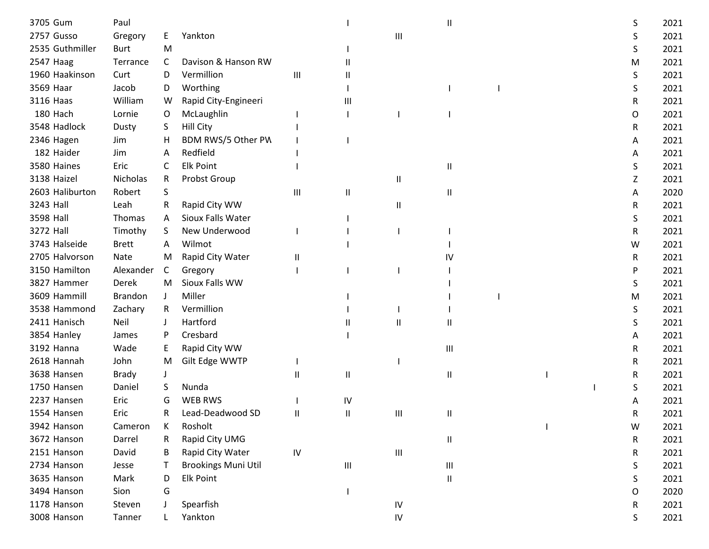| 3705 Gum        | Paul           |              |                            |                             |    |            | Ш                                  |  | S | 2021 |
|-----------------|----------------|--------------|----------------------------|-----------------------------|----|------------|------------------------------------|--|---|------|
| 2757 Gusso      | Gregory        | E            | Yankton                    |                             |    | Ш          |                                    |  | S | 2021 |
| 2535 Guthmiller | <b>Burt</b>    | M            |                            |                             |    |            |                                    |  | S | 2021 |
| 2547 Haag       | Terrance       | C            | Davison & Hanson RW        |                             | Ш  |            |                                    |  | M | 2021 |
| 1960 Haakinson  | Curt           | D            | Vermillion                 | $\mathop{\rm III}\nolimits$ | Ш  |            |                                    |  | S | 2021 |
| 3569 Haar       | Jacob          | D            | Worthing                   |                             |    |            |                                    |  | S | 2021 |
| 3116 Haas       | William        | W            | Rapid City-Engineeri       |                             | Ш  |            |                                    |  | R | 2021 |
| 180 Hach        | Lornie         | O            | McLaughlin                 |                             |    |            |                                    |  | O | 2021 |
| 3548 Hadlock    | Dusty          | S.           | <b>Hill City</b>           |                             |    |            |                                    |  | R | 2021 |
| 2346 Hagen      | Jim            | H            | BDM RWS/5 Other PW         |                             |    |            |                                    |  | A | 2021 |
| 182 Haider      | Jim            | A            | Redfield                   |                             |    |            |                                    |  | A | 2021 |
| 3580 Haines     | Eric           | C            | <b>Elk Point</b>           |                             |    |            | Ш                                  |  | S | 2021 |
| 3138 Haizel     | Nicholas       | R            | Probst Group               |                             |    | Ш          |                                    |  | Ζ | 2021 |
| 2603 Haliburton | Robert         | S            |                            | Ш                           | Ш  |            | Ш                                  |  | A | 2020 |
| 3243 Hall       | Leah           | R            | Rapid City WW              |                             |    | Ш          |                                    |  | R | 2021 |
| 3598 Hall       | Thomas         | $\mathsf{A}$ | Sioux Falls Water          |                             |    |            |                                    |  | S | 2021 |
| 3272 Hall       | Timothy        | S            | New Underwood              |                             |    |            |                                    |  | R | 2021 |
| 3743 Halseide   | <b>Brett</b>   | A            | Wilmot                     |                             |    |            |                                    |  | W | 2021 |
| 2705 Halvorson  | Nate           | M            | Rapid City Water           | Ш                           |    |            | IV                                 |  | R | 2021 |
| 3150 Hamilton   | Alexander      | C            | Gregory                    |                             |    |            |                                    |  | P | 2021 |
| 3827 Hammer     | Derek          | M            | Sioux Falls WW             |                             |    |            |                                    |  | S | 2021 |
| 3609 Hammill    | <b>Brandon</b> | $\mathbf{J}$ | Miller                     |                             |    |            |                                    |  | М | 2021 |
| 3538 Hammond    | Zachary        | R.           | Vermillion                 |                             |    |            |                                    |  | S | 2021 |
| 2411 Hanisch    | Neil           |              | Hartford                   |                             |    | Ш          | Ш                                  |  | S | 2021 |
| 3854 Hanley     | James          | P            | Cresbard                   |                             |    |            |                                    |  | A | 2021 |
| 3192 Hanna      | Wade           | E            | Rapid City WW              |                             |    |            | Ш                                  |  | R | 2021 |
| 2618 Hannah     | John           | M            | Gilt Edge WWTP             |                             |    |            |                                    |  | R | 2021 |
| 3638 Hansen     | <b>Brady</b>   |              |                            | Ш                           | Ш  |            | Ш                                  |  | R | 2021 |
| 1750 Hansen     | Daniel         | S            | Nunda                      |                             |    |            |                                    |  | S | 2021 |
| 2237 Hansen     | Eric           | G            | <b>WEB RWS</b>             |                             | IV |            |                                    |  |   | 2021 |
| 1554 Hansen     | Eric           | R.           | Lead-Deadwood SD           | $\mathbf{I}$                | Ш  | Ш          | Ш                                  |  | R | 2021 |
| 3942 Hanson     | Cameron        | К            | Rosholt                    |                             |    |            |                                    |  | W | 2021 |
| 3672 Hanson     | Darrel         | $\mathsf{R}$ | Rapid City UMG             |                             |    |            | $\, \parallel$                     |  | R | 2021 |
| 2151 Hanson     | David          | В            | Rapid City Water           | IV                          |    | Ш          |                                    |  | R | 2021 |
| 2734 Hanson     | Jesse          |              | <b>Brookings Muni Util</b> |                             | Ш  |            | $\ensuremath{\mathsf{III}}\xspace$ |  | S | 2021 |
| 3635 Hanson     | Mark           | D            | <b>Elk Point</b>           |                             |    |            | $\sf II$                           |  | S | 2021 |
| 3494 Hanson     | Sion           | G            |                            |                             |    |            |                                    |  | O | 2020 |
| 1178 Hanson     | Steven         |              | Spearfish                  |                             |    | ${\sf IV}$ |                                    |  | R | 2021 |
| 3008 Hanson     | Tanner         |              | Yankton                    |                             |    | ${\sf IV}$ |                                    |  | S | 2021 |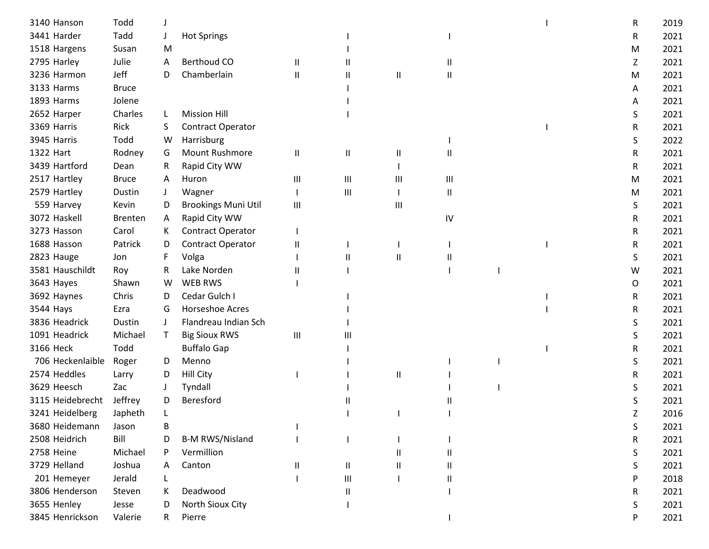| 3140 Hanson      | Todd         |              |                            |              |                                    |              |          |  | R | 2019 |
|------------------|--------------|--------------|----------------------------|--------------|------------------------------------|--------------|----------|--|---|------|
| 3441 Harder      | Tadd         |              | <b>Hot Springs</b>         |              |                                    |              |          |  | R | 2021 |
| 1518 Hargens     | Susan        | M            |                            |              |                                    |              |          |  | M | 2021 |
| 2795 Harley      | Julie        | A            | <b>Berthoud CO</b>         | $\sf II$     |                                    |              | Ш        |  | Z | 2021 |
| 3236 Harmon      | Jeff         | D            | Chamberlain                | $\mathbf{I}$ | Ш                                  | Ш            | Ш        |  | M | 2021 |
| 3133 Harms       | <b>Bruce</b> |              |                            |              |                                    |              |          |  | A | 2021 |
| 1893 Harms       | Jolene       |              |                            |              |                                    |              |          |  | A | 2021 |
| 2652 Harper      | Charles      | L            | <b>Mission Hill</b>        |              |                                    |              |          |  | S | 2021 |
| 3369 Harris      | Rick         | S.           | <b>Contract Operator</b>   |              |                                    |              |          |  | R | 2021 |
| 3945 Harris      | Todd         | W            | Harrisburg                 |              |                                    |              |          |  | S | 2022 |
| 1322 Hart        | Rodney       | G            | Mount Rushmore             | $\mathsf{I}$ | Ш                                  | $\mathsf{I}$ | Ш        |  | R | 2021 |
| 3439 Hartford    | Dean         | R            | Rapid City WW              |              |                                    |              |          |  | R | 2021 |
| 2517 Hartley     | <b>Bruce</b> | A            | Huron                      | Ш            | $\ensuremath{\mathsf{III}}\xspace$ | Ш            | Ш        |  | M | 2021 |
| 2579 Hartley     | Dustin       | J            | Wagner                     |              | $\mathbf{III}$                     |              | $\sf II$ |  | M | 2021 |
| 559 Harvey       | Kevin        | D            | <b>Brookings Muni Util</b> | Ш            |                                    | Ш            |          |  | S | 2021 |
| 3072 Haskell     | Brenten      | A            | Rapid City WW              |              |                                    |              | IV       |  | R | 2021 |
| 3273 Hasson      | Carol        | K.           | Contract Operator          |              |                                    |              |          |  | R | 2021 |
| 1688 Hasson      | Patrick      | D            | Contract Operator          | $\mathbf{I}$ |                                    |              |          |  | R | 2021 |
| 2823 Hauge       | Jon          | F            | Volga                      |              | $\mathbf{I}$                       | Ш            | Ш        |  | S | 2021 |
| 3581 Hauschildt  | Roy          | R            | Lake Norden                | Ш            |                                    |              |          |  | W | 2021 |
| 3643 Hayes       | Shawn        | W            | <b>WEB RWS</b>             |              |                                    |              |          |  | O | 2021 |
| 3692 Haynes      | Chris        | D            | Cedar Gulch I              |              |                                    |              |          |  | R | 2021 |
| 3544 Hays        | Ezra         | G            | Horseshoe Acres            |              |                                    |              |          |  | R | 2021 |
| 3836 Headrick    | Dustin       | $\perp$      | Flandreau Indian Sch       |              |                                    |              |          |  | S | 2021 |
| 1091 Headrick    | Michael      | $\mathsf{T}$ | <b>Big Sioux RWS</b>       | Ш            | Ш                                  |              |          |  | S | 2021 |
| 3166 Heck        | Todd         |              | <b>Buffalo Gap</b>         |              |                                    |              |          |  | R | 2021 |
| 706 Heckenlaible | Roger        | D            | Menno                      |              |                                    |              |          |  | S | 2021 |
| 2574 Heddles     | Larry        | D            | <b>Hill City</b>           |              |                                    | $\mathsf{I}$ |          |  | R | 2021 |
| 3629 Heesch      | Zac          |              | Tyndall                    |              |                                    |              |          |  | S | 2021 |
| 3115 Heidebrecht | Jeffrey      | D            | Beresford                  |              |                                    |              |          |  | S | 2021 |
| 3241 Heidelberg  | Japheth      |              |                            |              |                                    |              |          |  | Z | 2016 |
| 3680 Heidemann   | Jason        | В            |                            |              |                                    |              |          |  | S | 2021 |
| 2508 Heidrich    | Bill         | D            | <b>B-M RWS/Nisland</b>     |              |                                    |              |          |  | R | 2021 |
| 2758 Heine       | Michael      | P            | Vermillion                 |              |                                    | Ш            |          |  | S | 2021 |
| 3729 Helland     | Joshua       | A            | Canton                     | Ш            | Ш                                  | Ш            | Ш        |  | S | 2021 |
| 201 Hemeyer      | Jerald       |              |                            |              | $\ensuremath{\mathsf{III}}\xspace$ |              | Ш        |  | P | 2018 |
| 3806 Henderson   | Steven       |              | Deadwood                   |              |                                    |              |          |  | R | 2021 |
| 3655 Henley      | Jesse        | D            | North Sioux City           |              |                                    |              |          |  | S | 2021 |
| 3845 Henrickson  | Valerie      | R.           | Pierre                     |              |                                    |              |          |  | P | 2021 |
|                  |              |              |                            |              |                                    |              |          |  |   |      |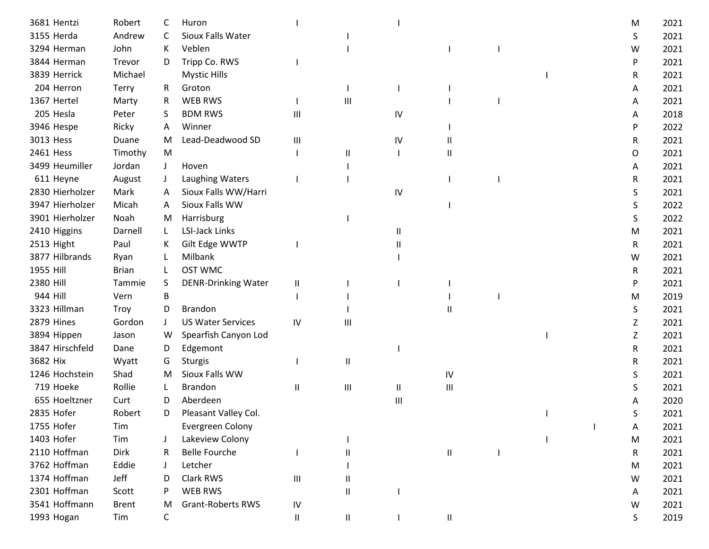| 3681 Hentzi     | Robert       | C       | Huron                      |               |                |                        |                                    |  | M | 2021 |
|-----------------|--------------|---------|----------------------------|---------------|----------------|------------------------|------------------------------------|--|---|------|
| 3155 Herda      | Andrew       | C       | Sioux Falls Water          |               |                |                        |                                    |  | S | 2021 |
| 3294 Herman     | John         | K       | Veblen                     |               |                |                        |                                    |  | W | 2021 |
| 3844 Herman     | Trevor       | D       | Tripp Co. RWS              |               |                |                        |                                    |  | P | 2021 |
| 3839 Herrick    | Michael      |         | <b>Mystic Hills</b>        |               |                |                        |                                    |  | R | 2021 |
| 204 Herron      | <b>Terry</b> | R.      | Groton                     |               |                |                        |                                    |  | A | 2021 |
| 1367 Hertel     | Marty        | R       | <b>WEB RWS</b>             |               | Ш              |                        |                                    |  | Α | 2021 |
| 205 Hesla       | Peter        | S       | <b>BDM RWS</b>             | Ш             |                | IV                     |                                    |  | Α | 2018 |
| 3946 Hespe      | Ricky        | A       | Winner                     |               |                |                        |                                    |  | P | 2022 |
| 3013 Hess       | Duane        | M       | Lead-Deadwood SD           | Ш             |                | IV                     | Ш                                  |  | R | 2021 |
| 2461 Hess       | Timothy      | M       |                            |               | Ш              |                        | Ш                                  |  | 0 | 2021 |
| 3499 Heumiller  | Jordan       | $\perp$ | Hoven                      |               |                |                        |                                    |  | Α | 2021 |
| 611 Heyne       | August       | J       | Laughing Waters            |               |                |                        |                                    |  | R | 2021 |
| 2830 Hierholzer | Mark         | A       | Sioux Falls WW/Harri       |               |                | IV                     |                                    |  | S | 2021 |
| 3947 Hierholzer | Micah        | A       | Sioux Falls WW             |               |                |                        |                                    |  | S | 2022 |
| 3901 Hierholzer | Noah         | M       | Harrisburg                 |               |                |                        |                                    |  | S | 2022 |
| 2410 Higgins    | Darnell      | L       | <b>LSI-Jack Links</b>      |               |                | Ш                      |                                    |  | M | 2021 |
| 2513 Hight      | Paul         | K       | Gilt Edge WWTP             |               |                | $\mathsf{II}$          |                                    |  | R | 2021 |
| 3877 Hilbrands  | Ryan         |         | Milbank                    |               |                |                        |                                    |  | w | 2021 |
| 1955 Hill       | <b>Brian</b> |         | <b>OST WMC</b>             |               |                |                        |                                    |  | R | 2021 |
| 2380 Hill       | Tammie       | S       | <b>DENR-Drinking Water</b> | Ш             |                |                        |                                    |  | P | 2021 |
| 944 Hill        | Vern         | B       |                            |               |                |                        |                                    |  | M | 2019 |
| 3323 Hillman    | Troy         | D       | <b>Brandon</b>             |               |                |                        | Ш                                  |  | S | 2021 |
| 2879 Hines      | Gordon       | $\perp$ | <b>US Water Services</b>   | IV            | Ш              |                        |                                    |  | Ζ | 2021 |
| 3894 Hippen     | Jason        | W       | Spearfish Canyon Lod       |               |                |                        |                                    |  | Z | 2021 |
| 3847 Hirschfeld | Dane         | D       | Edgemont                   |               |                |                        |                                    |  | R | 2021 |
| 3682 Hix        | Wyatt        | G       | <b>Sturgis</b>             |               | $\mathsf{I}$   |                        |                                    |  | R | 2021 |
| 1246 Hochstein  | Shad         | M       | Sioux Falls WW             |               |                |                        | IV                                 |  | S | 2021 |
| 719 Hoeke       | Rollie       |         | <b>Brandon</b>             | $\sf II$      | Ш              | $\mathsf{I}\mathsf{I}$ | $\ensuremath{\mathsf{III}}\xspace$ |  | S | 2021 |
| 655 Hoeltzner   | Curt         | D       | Aberdeen                   |               |                | Ш                      |                                    |  |   | 2020 |
| 2835 Hofer      | Robert       | D       | Pleasant Valley Col.       |               |                |                        |                                    |  | S | 2021 |
| 1755 Hofer      | Tim          |         | <b>Evergreen Colony</b>    |               |                |                        |                                    |  | A | 2021 |
| 1403 Hofer      | Tim          |         | Lakeview Colony            |               |                |                        |                                    |  | M | 2021 |
| 2110 Hoffman    | Dirk         | R       | <b>Belle Fourche</b>       |               | Ш              |                        | Ш                                  |  | R | 2021 |
| 3762 Hoffman    | Eddie        |         | Letcher                    |               |                |                        |                                    |  | M | 2021 |
| 1374 Hoffman    | Jeff         |         | Clark RWS                  | Ш             | Ш              |                        |                                    |  | W | 2021 |
| 2301 Hoffman    | Scott        |         | WEB RWS                    |               | $\sf II$       |                        |                                    |  | A | 2021 |
| 3541 Hoffmann   | <b>Brent</b> | M       | <b>Grant-Roberts RWS</b>   | IV            |                |                        |                                    |  | W | 2021 |
| 1993 Hogan      | Tim          | C       |                            | $\mathbf{II}$ | $\, \parallel$ |                        | 11                                 |  | S | 2019 |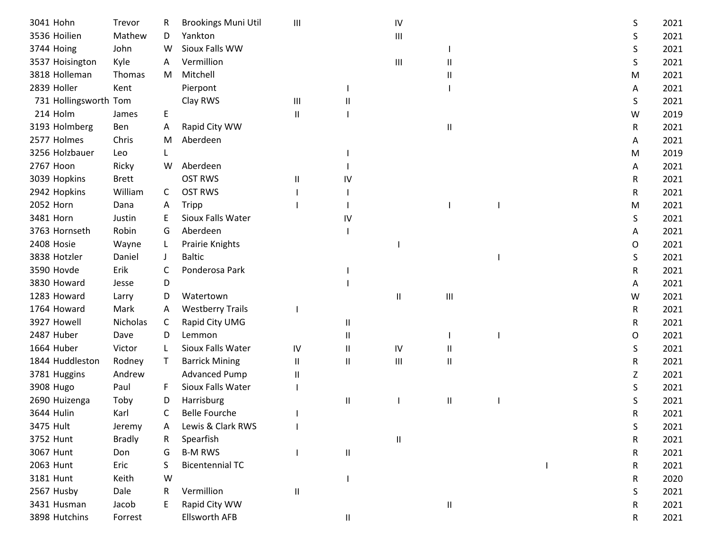| 3041 Hohn             | Trevor        | R. | <b>Brookings Muni Util</b> | $\mathbf{III}$         |               | IV       |              |  | S | 2021 |
|-----------------------|---------------|----|----------------------------|------------------------|---------------|----------|--------------|--|---|------|
| 3536 Hoilien          | Mathew        | D  | Yankton                    |                        |               | Ш        |              |  | S | 2021 |
| 3744 Hoing            | John          | w  | Sioux Falls WW             |                        |               |          |              |  | S | 2021 |
| 3537 Hoisington       | Kyle          | A  | Vermillion                 |                        |               | Ш        |              |  | S | 2021 |
| 3818 Holleman         | Thomas        | M  | Mitchell                   |                        |               |          |              |  | M | 2021 |
| 2839 Holler           | Kent          |    | Pierpont                   |                        |               |          |              |  | A | 2021 |
| 731 Hollingsworth Tom |               |    | Clay RWS                   | Ш                      | Ш             |          |              |  | S | 2021 |
| 214 Holm              | James         | E  |                            | Ш                      |               |          |              |  | W | 2019 |
| 3193 Holmberg         | Ben           | A  | Rapid City WW              |                        |               |          | Ш            |  | R | 2021 |
| 2577 Holmes           | Chris         | M  | Aberdeen                   |                        |               |          |              |  | A | 2021 |
| 3256 Holzbauer        | Leo           |    |                            |                        |               |          |              |  | M | 2019 |
| 2767 Hoon             | Ricky         | W  | Aberdeen                   |                        |               |          |              |  | A | 2021 |
| 3039 Hopkins          | <b>Brett</b>  |    | <b>OST RWS</b>             | $\mathbf{\mathsf{II}}$ | IV            |          |              |  | R | 2021 |
| 2942 Hopkins          | William       | C  | <b>OST RWS</b>             |                        |               |          |              |  | R | 2021 |
| 2052 Horn             | Dana          | A  | Tripp                      |                        |               |          |              |  | M | 2021 |
| 3481 Horn             | Justin        | Е  | Sioux Falls Water          |                        | IV            |          |              |  | S | 2021 |
| 3763 Hornseth         | Robin         | G  | Aberdeen                   |                        |               |          |              |  | A | 2021 |
| 2408 Hosie            | Wayne         | L. | Prairie Knights            |                        |               |          |              |  | 0 | 2021 |
| 3838 Hotzler          | Daniel        |    | <b>Baltic</b>              |                        |               |          |              |  | S | 2021 |
| 3590 Hovde            | Erik          | C  | Ponderosa Park             |                        |               |          |              |  | R | 2021 |
| 3830 Howard           | Jesse         | D  |                            |                        |               |          |              |  | A | 2021 |
| 1283 Howard           | Larry         | D  | Watertown                  |                        |               | Ш        | Ш            |  | W | 2021 |
| 1764 Howard           | Mark          | Α  | <b>Westberry Trails</b>    |                        |               |          |              |  | R | 2021 |
| 3927 Howell           | Nicholas      | C  | Rapid City UMG             |                        | Ш             |          |              |  | R | 2021 |
| 2487 Huber            | Dave          | D  | Lemmon                     |                        | Ш             |          |              |  | O | 2021 |
| 1664 Huber            | Victor        | L  | Sioux Falls Water          | IV                     | Ш             | IV       | Ш            |  | S | 2021 |
| 1844 Huddleston       | Rodney        | T  | <b>Barrick Mining</b>      | Ш                      | Ш             | Ш        | Ш            |  | R | 2021 |
| 3781 Huggins          | Andrew        |    | <b>Advanced Pump</b>       | $\mathbf{\mathsf{II}}$ |               |          |              |  | Z | 2021 |
| 3908 Hugo             | Paul          | F  | Sioux Falls Water          |                        |               |          |              |  | S | 2021 |
| 2690 Huizenga         | Toby          | D  | Harrisburg                 |                        | Ш             |          | Ш            |  | S | 2021 |
| 3644 Hulin            | Karl          | C  | <b>Belle Fourche</b>       |                        |               |          |              |  | R | 2021 |
| 3475 Hult             | Jeremy        | A  | Lewis & Clark RWS          |                        |               |          |              |  | S | 2021 |
| 3752 Hunt             | <b>Bradly</b> | R  | Spearfish                  |                        |               | $\sf II$ |              |  | R | 2021 |
| 3067 Hunt             | Don           | G  | <b>B-M RWS</b>             |                        | $\mathsf{II}$ |          |              |  | R | 2021 |
| 2063 Hunt             | Eric          |    | <b>Bicentennial TC</b>     |                        |               |          |              |  | R | 2021 |
| 3181 Hunt             | Keith         | W  |                            |                        |               |          |              |  | R | 2020 |
| 2567 Husby            | Dale          | R  | Vermillion                 | Ш                      |               |          |              |  | S | 2021 |
| 3431 Husman           | Jacob         |    | Rapid City WW              |                        |               |          | $\mathbf{H}$ |  | R | 2021 |
| 3898 Hutchins         | Forrest       |    | <b>Ellsworth AFB</b>       |                        | Ш             |          |              |  | R | 2021 |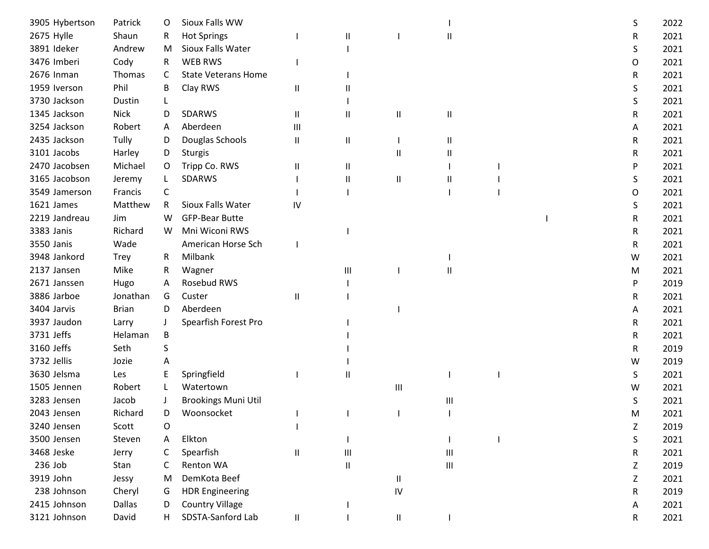| 3905 Hybertson | Patrick      | O  | Sioux Falls WW             |                            |                                    |                            |                                    |  | S | 2022 |
|----------------|--------------|----|----------------------------|----------------------------|------------------------------------|----------------------------|------------------------------------|--|---|------|
| 2675 Hylle     | Shaun        | R  | <b>Hot Springs</b>         |                            | $\mathbf{I}$                       |                            | Ш                                  |  | R | 2021 |
| 3891 Ideker    | Andrew       | M  | Sioux Falls Water          |                            |                                    |                            |                                    |  | S | 2021 |
| 3476 Imberi    | Cody         | R. | <b>WEB RWS</b>             |                            |                                    |                            |                                    |  | O | 2021 |
| 2676 Inman     | Thomas       | C  | <b>State Veterans Home</b> |                            |                                    |                            |                                    |  | R | 2021 |
| 1959 Iverson   | Phil         | B  | Clay RWS                   | Ш                          | Ш                                  |                            |                                    |  | S | 2021 |
| 3730 Jackson   | Dustin       |    |                            |                            |                                    |                            |                                    |  | S | 2021 |
| 1345 Jackson   | <b>Nick</b>  | D  | SDARWS                     | Ш                          | Ш                                  | $\mathsf{I}$               | Ш                                  |  | R | 2021 |
| 3254 Jackson   | Robert       | A  | Aberdeen                   | Ш                          |                                    |                            |                                    |  | A | 2021 |
| 2435 Jackson   | Tully        | D  | Douglas Schools            | Ш                          | $\sf II$                           |                            | Ш                                  |  | R | 2021 |
| 3101 Jacobs    | Harley       | D  | <b>Sturgis</b>             |                            |                                    | Ш                          | Ш                                  |  | R | 2021 |
| 2470 Jacobsen  | Michael      | O  | Tripp Co. RWS              | Ш                          | $\sf II$                           |                            |                                    |  | P | 2021 |
| 3165 Jacobson  | Jeremy       |    | SDARWS                     |                            | $\mathsf{I}$                       | $\sf II$                   | Ш                                  |  | S | 2021 |
| 3549 Jamerson  | Francis      | C  |                            |                            |                                    |                            |                                    |  | O | 2021 |
| 1621 James     | Matthew      | R. | Sioux Falls Water          | IV                         |                                    |                            |                                    |  | S | 2021 |
| 2219 Jandreau  | Jim          | W  | <b>GFP-Bear Butte</b>      |                            |                                    |                            |                                    |  | R | 2021 |
| 3383 Janis     | Richard      | W  | Mni Wiconi RWS             |                            |                                    |                            |                                    |  | R | 2021 |
| 3550 Janis     | Wade         |    | American Horse Sch         |                            |                                    |                            |                                    |  | R | 2021 |
| 3948 Jankord   | <b>Trey</b>  | R  | Milbank                    |                            |                                    |                            |                                    |  | W | 2021 |
| 2137 Jansen    | Mike         | R  | Wagner                     |                            | Ш                                  |                            | Ш                                  |  | M | 2021 |
| 2671 Janssen   | Hugo         | A  | Rosebud RWS                |                            |                                    |                            |                                    |  | P | 2019 |
| 3886 Jarboe    | Jonathan     | G  | Custer                     | $\sf II$                   |                                    |                            |                                    |  | R | 2021 |
| 3404 Jarvis    | <b>Brian</b> | D. | Aberdeen                   |                            |                                    |                            |                                    |  | Α | 2021 |
| 3937 Jaudon    | Larry        |    | Spearfish Forest Pro       |                            |                                    |                            |                                    |  | R | 2021 |
| 3731 Jeffs     | Helaman      | B  |                            |                            |                                    |                            |                                    |  | R | 2021 |
| 3160 Jeffs     | Seth         | S  |                            |                            |                                    |                            |                                    |  | R | 2019 |
| 3732 Jellis    | Jozie        | A  |                            |                            |                                    |                            |                                    |  | W | 2019 |
| 3630 Jelsma    | Les          | Ε  | Springfield                |                            | Ш                                  |                            |                                    |  | S | 2021 |
| 1505 Jennen    | Robert       |    | Watertown                  |                            |                                    | $\mathbf{III}$             |                                    |  | w | 2021 |
| 3283 Jensen    | Jacob        |    | <b>Brookings Muni Util</b> |                            |                                    |                            | Ш                                  |  | S | 2021 |
| 2043 Jensen    | Richard      | D  | Woonsocket                 |                            |                                    |                            |                                    |  | M | 2021 |
| 3240 Jensen    | Scott        | 0  |                            |                            |                                    |                            |                                    |  | Z | 2019 |
| 3500 Jensen    | Steven       | Α  | Elkton                     |                            |                                    |                            |                                    |  | S | 2021 |
| 3468 Jeske     | Jerry        | C  | Spearfish                  | $\ensuremath{\mathsf{II}}$ | $\ensuremath{\mathsf{III}}\xspace$ |                            | $\ensuremath{\mathsf{III}}\xspace$ |  | R | 2021 |
| 236 Job        | Stan         | C  | Renton WA                  |                            | $\sf II$                           |                            | $\ensuremath{\mathsf{III}}\xspace$ |  | Z | 2019 |
| 3919 John      | Jessy        | M  | DemKota Beef               |                            |                                    | $\ensuremath{\mathsf{II}}$ |                                    |  | Z | 2021 |
| 238 Johnson    | Cheryl       | G  | <b>HDR Engineering</b>     |                            |                                    | IV                         |                                    |  | R | 2019 |
| 2415 Johnson   | Dallas       | D  | <b>Country Village</b>     |                            |                                    |                            |                                    |  | A | 2021 |
| 3121 Johnson   | David        | Н. | SDSTA-Sanford Lab          | $\ensuremath{\mathsf{II}}$ |                                    | $\ensuremath{\mathsf{II}}$ |                                    |  | R | 2021 |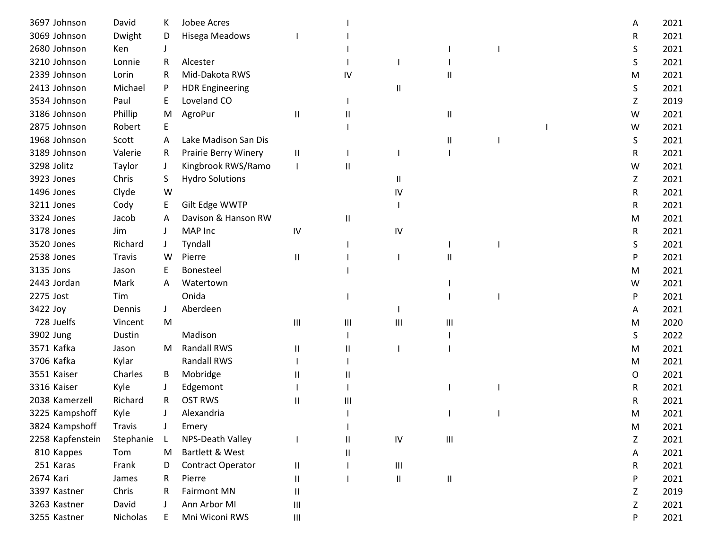| 3697 Johnson     | David         | K  | Jobee Acres            |                                    |              |              |                                    |  | A | 2021 |
|------------------|---------------|----|------------------------|------------------------------------|--------------|--------------|------------------------------------|--|---|------|
| 3069 Johnson     | Dwight        | D  | <b>Hisega Meadows</b>  |                                    |              |              |                                    |  | R | 2021 |
| 2680 Johnson     | Ken           |    |                        |                                    |              |              |                                    |  | S | 2021 |
| 3210 Johnson     | Lonnie        | R  | Alcester               |                                    |              |              |                                    |  | S | 2021 |
| 2339 Johnson     | Lorin         | R  | Mid-Dakota RWS         |                                    | IV           |              |                                    |  | м | 2021 |
| 2413 Johnson     | Michael       | P  | <b>HDR Engineering</b> |                                    |              | Ш            |                                    |  | S | 2021 |
| 3534 Johnson     | Paul          | E  | Loveland CO            |                                    |              |              |                                    |  | Z | 2019 |
| 3186 Johnson     | Phillip       | M  | AgroPur                | Ш                                  | Ш            |              | Ш                                  |  | W | 2021 |
| 2875 Johnson     | Robert        | Е  |                        |                                    |              |              |                                    |  | W | 2021 |
| 1968 Johnson     | Scott         | A  | Lake Madison San Dis   |                                    |              |              | Ш                                  |  | S | 2021 |
| 3189 Johnson     | Valerie       | R. | Prairie Berry Winery   | Ш                                  |              |              |                                    |  | R | 2021 |
| 3298 Jolitz      | Taylor        | J  | Kingbrook RWS/Ramo     |                                    | $\mathsf{I}$ |              |                                    |  | W | 2021 |
| 3923 Jones       | Chris         | S. | <b>Hydro Solutions</b> |                                    |              | $\mathbf{H}$ |                                    |  | Z | 2021 |
| 1496 Jones       | Clyde         | W  |                        |                                    |              | IV           |                                    |  | R | 2021 |
| 3211 Jones       | Cody          | E  | Gilt Edge WWTP         |                                    |              |              |                                    |  | R | 2021 |
| 3324 Jones       | Jacob         | A  | Davison & Hanson RW    |                                    | Ш            |              |                                    |  | M | 2021 |
| 3178 Jones       | Jim           |    | MAP Inc                | IV                                 |              | IV           |                                    |  | R | 2021 |
| 3520 Jones       | Richard       |    | Tyndall                |                                    |              |              |                                    |  | S | 2021 |
| 2538 Jones       | <b>Travis</b> | W  | Pierre                 | Ш                                  |              |              | Ш                                  |  | P | 2021 |
| 3135 Jons        | Jason         |    | Bonesteel              |                                    |              |              |                                    |  | M | 2021 |
| 2443 Jordan      | Mark          | A  | Watertown              |                                    |              |              |                                    |  | W | 2021 |
| 2275 Jost        | Tim           |    | Onida                  |                                    |              |              |                                    |  | P | 2021 |
| 3422 Joy         | Dennis        | J  | Aberdeen               |                                    |              |              |                                    |  | A | 2021 |
| 728 Juelfs       | Vincent       | M  |                        | $\mathop{\rm III}\nolimits$        | Ш            | Ш            | Ш                                  |  | м | 2020 |
| 3902 Jung        | Dustin        |    | Madison                |                                    |              |              |                                    |  | S | 2022 |
| 3571 Kafka       | Jason         | M  | <b>Randall RWS</b>     | Ш                                  |              |              |                                    |  | M | 2021 |
| 3706 Kafka       | Kylar         |    | <b>Randall RWS</b>     |                                    |              |              |                                    |  | M | 2021 |
| 3551 Kaiser      | Charles       | B  | Mobridge               | Ш                                  |              |              |                                    |  | 0 | 2021 |
| 3316 Kaiser      | Kyle          |    | Edgemont               |                                    |              |              |                                    |  | R | 2021 |
| 2038 Kamerzell   | Richard       | R  | <b>OST RWS</b>         | Ш                                  | Ш            |              |                                    |  | R | 2021 |
| 3225 Kampshoff   | Kyle          |    | Alexandria             |                                    |              |              |                                    |  | м | 2021 |
| 3824 Kampshoff   | <b>Travis</b> |    | Emery                  |                                    |              |              |                                    |  | M | 2021 |
| 2258 Kapfenstein | Stephanie     |    | NPS-Death Valley       |                                    | Ш            | ${\sf IV}$   | $\ensuremath{\mathsf{III}}\xspace$ |  | Z | 2021 |
| 810 Kappes       | Tom           | M  | Bartlett & West        |                                    | Ш            |              |                                    |  | A | 2021 |
| 251 Karas        | Frank         | D  | Contract Operator      | Ш                                  |              | Ш            |                                    |  | R | 2021 |
| 2674 Kari        | James         | R  | Pierre                 | Ш                                  |              | $\sf II$     | $\ensuremath{\mathsf{II}}$         |  | P | 2021 |
| 3397 Kastner     | Chris         | R  | <b>Fairmont MN</b>     | Ш                                  |              |              |                                    |  | Z | 2019 |
| 3263 Kastner     | David         |    | Ann Arbor MI           | $\ensuremath{\mathsf{III}}\xspace$ |              |              |                                    |  | Z | 2021 |
| 3255 Kastner     | Nicholas      | E  | Mni Wiconi RWS         | $\ensuremath{\mathsf{III}}\xspace$ |              |              |                                    |  | P | 2021 |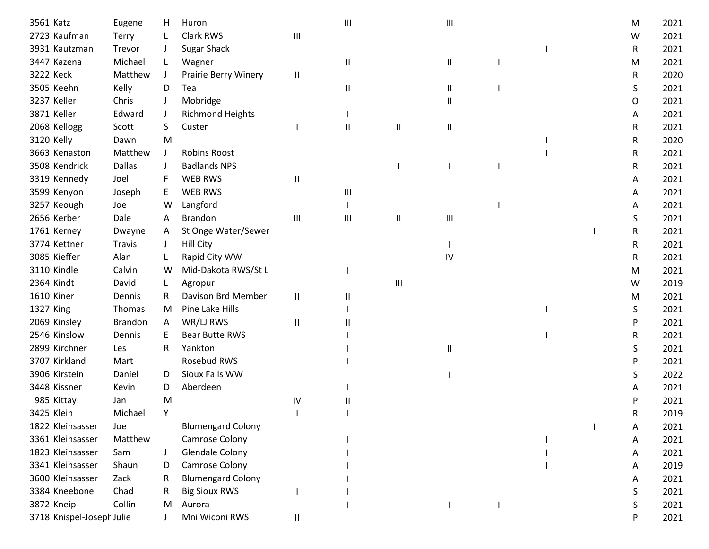| 3561 Katz                 | Eugene         | H.      | Huron                    |                             | Ш            |                        | Ш                                  |  | M | 2021 |
|---------------------------|----------------|---------|--------------------------|-----------------------------|--------------|------------------------|------------------------------------|--|---|------|
| 2723 Kaufman              | Terry          |         | Clark RWS                | Ш                           |              |                        |                                    |  | W | 2021 |
| 3931 Kautzman             | Trevor         |         | <b>Sugar Shack</b>       |                             |              |                        |                                    |  | R | 2021 |
| 3447 Kazena               | Michael        | L.      | Wagner                   |                             | $\mathbf{I}$ |                        | Ш                                  |  | M | 2021 |
| 3222 Keck                 | Matthew        | $\perp$ | Prairie Berry Winery     | $\sf II$                    |              |                        |                                    |  | R | 2020 |
| 3505 Keehn                | Kelly          | D       | Tea                      |                             | $\mathsf{I}$ |                        | Ш                                  |  | S | 2021 |
| 3237 Keller               | Chris          |         | Mobridge                 |                             |              |                        | Ш                                  |  | O | 2021 |
| 3871 Keller               | Edward         | J       | <b>Richmond Heights</b>  |                             |              |                        |                                    |  | A | 2021 |
| 2068 Kellogg              | Scott          | S       | Custer                   |                             | $\mathbf{I}$ | $\mathsf{I}\mathsf{I}$ | Ш                                  |  | R | 2021 |
| 3120 Kelly                | Dawn           | M       |                          |                             |              |                        |                                    |  | R | 2020 |
| 3663 Kenaston             | Matthew        |         | <b>Robins Roost</b>      |                             |              |                        |                                    |  | R | 2021 |
| 3508 Kendrick             | <b>Dallas</b>  |         | <b>Badlands NPS</b>      |                             |              |                        |                                    |  | R | 2021 |
| 3319 Kennedy              | Joel           |         | <b>WEB RWS</b>           | $\sf II$                    |              |                        |                                    |  | A | 2021 |
| 3599 Kenyon               | Joseph         | E       | <b>WEB RWS</b>           |                             | Ш            |                        |                                    |  | A | 2021 |
| 3257 Keough               | Joe            | W       | Langford                 |                             |              |                        |                                    |  | A | 2021 |
| 2656 Kerber               | Dale           | A       | <b>Brandon</b>           | $\mathop{\rm III}\nolimits$ | Ш            | $\mathsf{I}\mathsf{I}$ | $\ensuremath{\mathsf{III}}\xspace$ |  | S | 2021 |
| 1761 Kerney               | Dwayne         | A       | St Onge Water/Sewer      |                             |              |                        |                                    |  | R | 2021 |
| 3774 Kettner              | <b>Travis</b>  |         | <b>Hill City</b>         |                             |              |                        |                                    |  | R | 2021 |
| 3085 Kieffer              | Alan           |         | Rapid City WW            |                             |              |                        | IV                                 |  | R | 2021 |
| 3110 Kindle               | Calvin         | W       | Mid-Dakota RWS/St L      |                             |              |                        |                                    |  | M | 2021 |
| 2364 Kindt                | David          |         | Agropur                  |                             |              | $\mathbf{III}$         |                                    |  | W | 2019 |
| <b>1610 Kiner</b>         | Dennis         | R       | Davison Brd Member       | $\mathbf{II}$               | Ш            |                        |                                    |  | M | 2021 |
| 1327 King                 | Thomas         | M       | Pine Lake Hills          |                             |              |                        |                                    |  | S | 2021 |
| 2069 Kinsley              | <b>Brandon</b> | A       | WR/LJ RWS                | $\sf II$                    | Ш            |                        |                                    |  | P | 2021 |
| 2546 Kinslow              | Dennis         | E       | <b>Bear Butte RWS</b>    |                             |              |                        |                                    |  | R | 2021 |
| 2899 Kirchner             | Les            | R.      | Yankton                  |                             |              |                        | Ш                                  |  | S | 2021 |
| 3707 Kirkland             | Mart           |         | Rosebud RWS              |                             |              |                        |                                    |  | P | 2021 |
| 3906 Kirstein             | Daniel         | D       | Sioux Falls WW           |                             |              |                        |                                    |  | S | 2022 |
| 3448 Kissner              | Kevin          | D       | Aberdeen                 |                             |              |                        |                                    |  | Α | 2021 |
| 985 Kittay                | Jan            | M       |                          | IV                          |              |                        |                                    |  | P | 2021 |
| 3425 Klein                | Michael        | Y       |                          |                             |              |                        |                                    |  | R | 2019 |
| 1822 Kleinsasser          | Joe            |         | <b>Blumengard Colony</b> |                             |              |                        |                                    |  | A | 2021 |
| 3361 Kleinsasser          | Matthew        |         | Camrose Colony           |                             |              |                        |                                    |  | A | 2021 |
| 1823 Kleinsasser          | Sam            |         | <b>Glendale Colony</b>   |                             |              |                        |                                    |  | A | 2021 |
| 3341 Kleinsasser          | Shaun          | D       | Camrose Colony           |                             |              |                        |                                    |  | A | 2019 |
| 3600 Kleinsasser          | Zack           | R       | <b>Blumengard Colony</b> |                             |              |                        |                                    |  | A | 2021 |
| 3384 Kneebone             | Chad           |         | <b>Big Sioux RWS</b>     |                             |              |                        |                                    |  | S | 2021 |
| 3872 Kneip                | Collin         | M       | Aurora                   |                             |              |                        |                                    |  | S | 2021 |
| 3718 Knispel-Joseph Julie |                |         | Mni Wiconi RWS           | $\sf II$                    |              |                        |                                    |  | P | 2021 |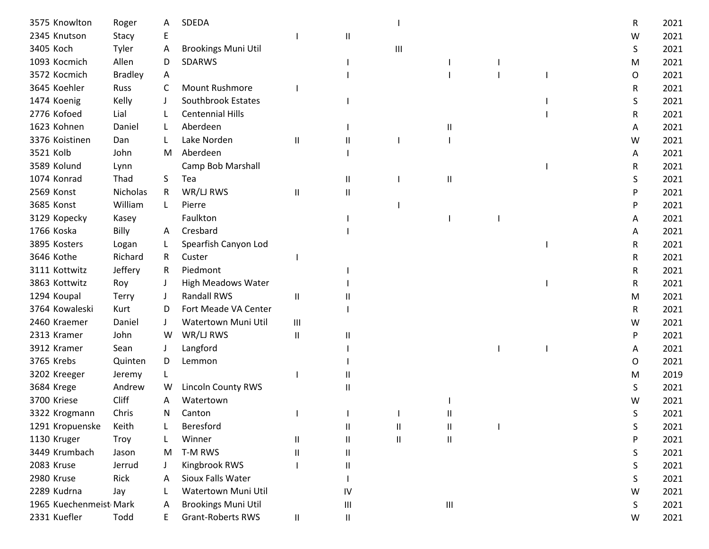| 3575 Knowlton          | Roger           | A  | SDEDA                      |          |               |                            |                                    |  | R | 2021 |
|------------------------|-----------------|----|----------------------------|----------|---------------|----------------------------|------------------------------------|--|---|------|
| 2345 Knutson           | Stacy           | Ε  |                            |          | Ш             |                            |                                    |  | W | 2021 |
| 3405 Koch              | Tyler           | A  | <b>Brookings Muni Util</b> |          |               | Ш                          |                                    |  | S | 2021 |
| 1093 Kocmich           | Allen           | D  | <b>SDARWS</b>              |          |               |                            |                                    |  | M | 2021 |
| 3572 Kocmich           | <b>Bradley</b>  | Α  |                            |          |               |                            |                                    |  | O | 2021 |
| 3645 Koehler           | <b>Russ</b>     | C  | <b>Mount Rushmore</b>      |          |               |                            |                                    |  | R | 2021 |
| 1474 Koenig            | Kelly           |    | <b>Southbrook Estates</b>  |          |               |                            |                                    |  | S | 2021 |
| 2776 Kofoed            | Lial            |    | <b>Centennial Hills</b>    |          |               |                            |                                    |  | R | 2021 |
| 1623 Kohnen            | Daniel          | L  | Aberdeen                   |          |               |                            | Ш                                  |  | A | 2021 |
| 3376 Koistinen         | Dan             |    | Lake Norden                | $\sf II$ | Ш             |                            |                                    |  | W | 2021 |
| 3521 Kolb              | John            | M  | Aberdeen                   |          |               |                            |                                    |  | A | 2021 |
| 3589 Kolund            | Lynn            |    | Camp Bob Marshall          |          |               |                            |                                    |  | R | 2021 |
| 1074 Konrad            | Thad            | S. | Tea                        |          | Ш             |                            | Ш                                  |  | S | 2021 |
| 2569 Konst             | <b>Nicholas</b> | R  | WR/LJ RWS                  | Ш        | $\mathbf{I}$  |                            |                                    |  | P | 2021 |
| 3685 Konst             | William         | L  | Pierre                     |          |               |                            |                                    |  | P | 2021 |
| 3129 Kopecky           | Kasey           |    | Faulkton                   |          |               |                            |                                    |  | A | 2021 |
| 1766 Koska             | Billy           | A  | Cresbard                   |          |               |                            |                                    |  | A | 2021 |
| 3895 Kosters           | Logan           | L. | Spearfish Canyon Lod       |          |               |                            |                                    |  | R | 2021 |
| 3646 Kothe             | Richard         | R. | Custer                     |          |               |                            |                                    |  | R | 2021 |
| 3111 Kottwitz          | Jeffery         | R  | Piedmont                   |          |               |                            |                                    |  | R | 2021 |
| 3863 Kottwitz          | Roy             |    | <b>High Meadows Water</b>  |          |               |                            |                                    |  | R | 2021 |
| 1294 Koupal            | <b>Terry</b>    |    | <b>Randall RWS</b>         | Ш        |               |                            |                                    |  | M | 2021 |
| 3764 Kowaleski         | Kurt            | D  | Fort Meade VA Center       |          |               |                            |                                    |  | R | 2021 |
| 2460 Kraemer           | Daniel          |    | Watertown Muni Util        | III      |               |                            |                                    |  | w | 2021 |
| 2313 Kramer            | John            | W  | WR/LJ RWS                  | Ш        | Ш             |                            |                                    |  | P | 2021 |
| 3912 Kramer            | Sean            |    | Langford                   |          |               |                            |                                    |  | Α | 2021 |
| 3765 Krebs             | Quinten         | D  | Lemmon                     |          |               |                            |                                    |  | O | 2021 |
| 3202 Kreeger           | Jeremy          |    |                            |          |               |                            |                                    |  | м | 2019 |
| 3684 Krege             | Andrew          | W  | <b>Lincoln County RWS</b>  |          | Ш             |                            |                                    |  | S | 2021 |
| 3700 Kriese            | <b>Cliff</b>    | A  | Watertown                  |          |               |                            |                                    |  | W | 2021 |
| 3322 Krogmann          | Chris           | N. | Canton                     |          |               |                            |                                    |  | S | 2021 |
| 1291 Kropuenske        | Keith           |    | Beresford                  |          | Ш             | Ш                          | Ш                                  |  | S | 2021 |
| 1130 Kruger            | Troy            |    | Winner                     | Ш        | $\sf II$      | $\ensuremath{\mathsf{II}}$ | Ш                                  |  | P | 2021 |
| 3449 Krumbach          | Jason           | M  | T-M RWS                    | Ш        | $\mathsf{I}$  |                            |                                    |  | S | 2021 |
| 2083 Kruse             | Jerrud          |    | Kingbrook RWS              |          | $\mathbf{I}$  |                            |                                    |  | S | 2021 |
| 2980 Kruse             | Rick            |    | Sioux Falls Water          |          |               |                            |                                    |  | S | 2021 |
| 2289 Kudrna            | Jay             |    | Watertown Muni Util        |          | IV            |                            |                                    |  | W | 2021 |
| 1965 Kuechenmeist Mark |                 | A  | <b>Brookings Muni Util</b> |          | Ш             |                            | $\ensuremath{\mathsf{III}}\xspace$ |  | S | 2021 |
| 2331 Kuefler           | Todd            | E  | <b>Grant-Roberts RWS</b>   | Ш        | $\mathbf{II}$ |                            |                                    |  | W | 2021 |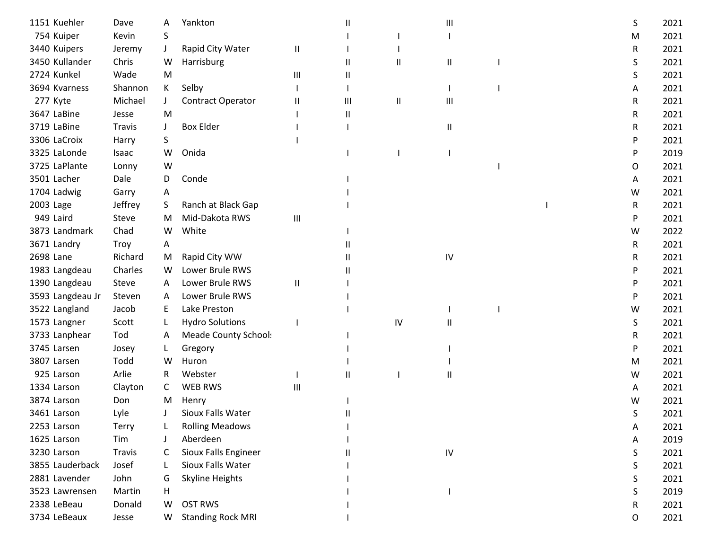| 1151 Kuehler     | Dave          | А  | Yankton                  |              | Ш            |          | Ш            |  | S | 2021 |
|------------------|---------------|----|--------------------------|--------------|--------------|----------|--------------|--|---|------|
| 754 Kuiper       | Kevin         | S  |                          |              |              |          |              |  | M | 2021 |
| 3440 Kuipers     | Jeremy        |    | Rapid City Water         | Ш            |              |          |              |  | R | 2021 |
| 3450 Kullander   | Chris         | W  | Harrisburg               |              | $\mathbf{I}$ | $\sf II$ | $\sf II$     |  | S | 2021 |
| 2724 Kunkel      | Wade          | M  |                          | Ш            | Ш            |          |              |  | S | 2021 |
| 3694 Kvarness    | Shannon       | K  | Selby                    |              |              |          |              |  | A | 2021 |
| 277 Kyte         | Michael       | J  | Contract Operator        | $\mathsf{I}$ | Ш            | $\sf II$ | Ш            |  | R | 2021 |
| 3647 LaBine      | Jesse         | M  |                          |              | Ш            |          |              |  | R | 2021 |
| 3719 LaBine      | <b>Travis</b> | J  | <b>Box Elder</b>         |              |              |          | Ш            |  | R | 2021 |
| 3306 LaCroix     | Harry         | S. |                          |              |              |          |              |  | P | 2021 |
| 3325 LaLonde     | Isaac         | W  | Onida                    |              |              |          |              |  | P | 2019 |
| 3725 LaPlante    | Lonny         | W  |                          |              |              |          |              |  | O | 2021 |
| 3501 Lacher      | Dale          | D  | Conde                    |              |              |          |              |  | A | 2021 |
| 1704 Ladwig      | Garry         | A  |                          |              |              |          |              |  | W | 2021 |
| 2003 Lage        | Jeffrey       | S. | Ranch at Black Gap       |              |              |          |              |  | R | 2021 |
| 949 Laird        | Steve         | M  | Mid-Dakota RWS           | Ш            |              |          |              |  | P | 2021 |
| 3873 Landmark    | Chad          | W  | White                    |              |              |          |              |  | W | 2022 |
| 3671 Landry      | Troy          | Α  |                          |              |              |          |              |  | R | 2021 |
| 2698 Lane        | Richard       | M  | Rapid City WW            |              | Ш            |          | IV           |  | R | 2021 |
| 1983 Langdeau    | Charles       | W  | Lower Brule RWS          |              |              |          |              |  | P | 2021 |
| 1390 Langdeau    | Steve         | A  | Lower Brule RWS          | $\sf II$     |              |          |              |  | P | 2021 |
| 3593 Langdeau Jr | Steven        | A  | Lower Brule RWS          |              |              |          |              |  | P | 2021 |
| 3522 Langland    | Jacob         | E. | Lake Preston             |              |              |          |              |  | W | 2021 |
| 1573 Langner     | Scott         |    | <b>Hydro Solutions</b>   |              |              | IV       | Ш            |  | S | 2021 |
| 3733 Lanphear    | Tod           | A  | Meade County School:     |              |              |          |              |  | R | 2021 |
| 3745 Larsen      | Josey         |    | Gregory                  |              |              |          |              |  | P | 2021 |
| 3807 Larsen      | Todd          | w  | Huron                    |              |              |          |              |  | M | 2021 |
| 925 Larson       | Arlie         | R  | Webster                  |              | $\mathbf{I}$ |          | $\mathsf{I}$ |  | W | 2021 |
| 1334 Larson      | Clayton       | C  | <b>WEB RWS</b>           | Ш            |              |          |              |  | A | 2021 |
| 3874 Larson      | Don           | M  | Henry                    |              |              |          |              |  | w | 2021 |
| 3461 Larson      | Lyle          |    | Sioux Falls Water        |              |              |          |              |  | S | 2021 |
| 2253 Larson      | Terry         |    | <b>Rolling Meadows</b>   |              |              |          |              |  | A | 2021 |
| 1625 Larson      | Tim           |    | Aberdeen                 |              |              |          |              |  | A | 2019 |
| 3230 Larson      | <b>Travis</b> | C  | Sioux Falls Engineer     |              |              |          | ${\sf IV}$   |  | S | 2021 |
| 3855 Lauderback  | Josef         |    | Sioux Falls Water        |              |              |          |              |  | S | 2021 |
| 2881 Lavender    | John          | G  | Skyline Heights          |              |              |          |              |  | S | 2021 |
| 3523 Lawrensen   | Martin        | н  |                          |              |              |          |              |  | S | 2019 |
| 2338 LeBeau      | Donald        | W  | <b>OST RWS</b>           |              |              |          |              |  | R | 2021 |
| 3734 LeBeaux     | Jesse         | W  | <b>Standing Rock MRI</b> |              |              |          |              |  | O | 2021 |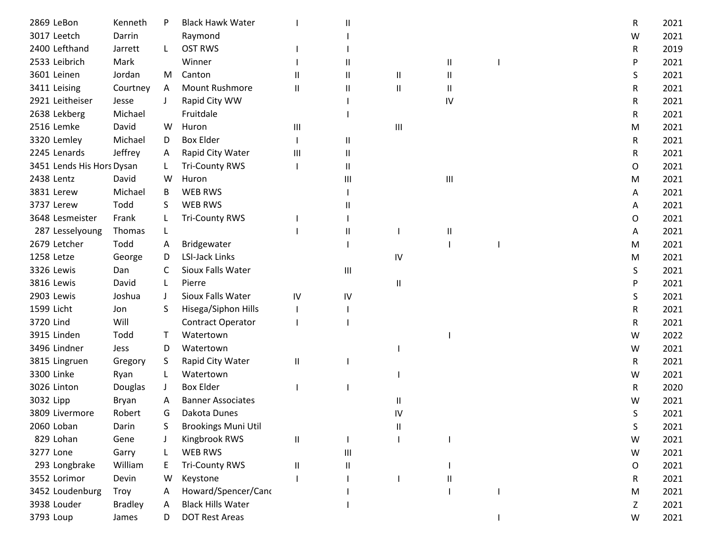| 2869 LeBon                | Kenneth        | P            | <b>Black Hawk Water</b>    |              | Ш            |                            |    | R | 2021 |
|---------------------------|----------------|--------------|----------------------------|--------------|--------------|----------------------------|----|---|------|
| 3017 Leetch               | Darrin         |              | Raymond                    |              |              |                            |    | W | 2021 |
| 2400 Lefthand             | Jarrett        | L.           | <b>OST RWS</b>             |              |              |                            |    | R | 2019 |
| 2533 Leibrich             | Mark           |              | Winner                     |              | $\mathbf{I}$ |                            | Ш  | P | 2021 |
| 3601 Leinen               | Jordan         | M            | Canton                     | $\mathbf{I}$ | $\sf II$     | $\ensuremath{\mathsf{II}}$ | Ш  | S | 2021 |
| 3411 Leising              | Courtney       | A            | <b>Mount Rushmore</b>      | Ш            | Ш            | $\ensuremath{\mathsf{II}}$ | Ш  | R | 2021 |
| 2921 Leitheiser           | Jesse          | $\mathbf{I}$ | Rapid City WW              |              |              |                            | IV | R | 2021 |
| 2638 Lekberg              | Michael        |              | Fruitdale                  |              |              |                            |    | R | 2021 |
| 2516 Lemke                | David          | W            | Huron                      | Ш            |              | $\mathsf{III}\,$           |    | M | 2021 |
| 3320 Lemley               | Michael        | D            | <b>Box Elder</b>           |              | $\sf II$     |                            |    | R | 2021 |
| 2245 Lenards              | Jeffrey        | A            | Rapid City Water           | Ш            | $\sf II$     |                            |    | R | 2021 |
| 3451 Lends His Hors Dysan |                | L            | <b>Tri-County RWS</b>      |              | $\sf II$     |                            |    | 0 | 2021 |
| 2438 Lentz                | David          | W            | Huron                      |              | Ш            |                            | Ш  | M | 2021 |
| 3831 Lerew                | Michael        | B            | <b>WEB RWS</b>             |              |              |                            |    | A | 2021 |
| 3737 Lerew                | Todd           | S            | <b>WEB RWS</b>             |              | Ш            |                            |    | A | 2021 |
| 3648 Lesmeister           | Frank          | L            | <b>Tri-County RWS</b>      |              |              |                            |    | O | 2021 |
| 287 Lesselyoung           | Thomas         | L            |                            |              | Ш            |                            | Ш  | A | 2021 |
| 2679 Letcher              | Todd           | A            | Bridgewater                |              |              |                            |    | M | 2021 |
| 1258 Letze                | George         | D            | <b>LSI-Jack Links</b>      |              |              | IV                         |    | M | 2021 |
| 3326 Lewis                | Dan            | C            | Sioux Falls Water          |              | Ш            |                            |    | S | 2021 |
| 3816 Lewis                | David          | L            | Pierre                     |              |              | $\sf II$                   |    | P | 2021 |
| 2903 Lewis                | Joshua         | $\perp$      | Sioux Falls Water          | IV           | IV           |                            |    | S | 2021 |
| 1599 Licht                | Jon            | S.           | Hisega/Siphon Hills        |              |              |                            |    | R | 2021 |
| 3720 Lind                 | Will           |              | <b>Contract Operator</b>   |              |              |                            |    | R | 2021 |
| 3915 Linden               | Todd           | T            | Watertown                  |              |              |                            |    | W | 2022 |
| 3496 Lindner              | Jess           | D            | Watertown                  |              |              |                            |    | W | 2021 |
| 3815 Lingruen             | Gregory        | S.           | Rapid City Water           | Ш            |              |                            |    | R | 2021 |
| 3300 Linke                | Ryan           | L            | Watertown                  |              |              |                            |    | W | 2021 |
| 3026 Linton               | Douglas        |              | <b>Box Elder</b>           |              |              |                            |    | R | 2020 |
| 3032 Lipp                 | Bryan          | A            | <b>Banner Associates</b>   |              |              | Ш                          |    | W | 2021 |
| 3809 Livermore            | Robert         | G            | Dakota Dunes               |              |              | IV                         |    | S | 2021 |
| 2060 Loban                | Darin          |              | <b>Brookings Muni Util</b> |              |              | Ш                          |    | S | 2021 |
| 829 Lohan                 | Gene           |              | Kingbrook RWS              | Ш            |              |                            |    | W | 2021 |
| 3277 Lone                 | Garry          |              | WEB RWS                    |              | Ш            |                            |    | W | 2021 |
| 293 Longbrake             | William        | E            | <b>Tri-County RWS</b>      | $\mathbf{I}$ | $\mathbf{I}$ |                            |    | O | 2021 |
| 3552 Lorimor              | Devin          | W            | Keystone                   |              |              |                            | Н. | R | 2021 |
| 3452 Loudenburg           | Troy           | A            | Howard/Spencer/Cand        |              |              |                            |    | M | 2021 |
| 3938 Louder               | <b>Bradley</b> | A            | <b>Black Hills Water</b>   |              |              |                            |    | Ζ | 2021 |
| 3793 Loup                 | James          | D            | <b>DOT Rest Areas</b>      |              |              |                            |    | W | 2021 |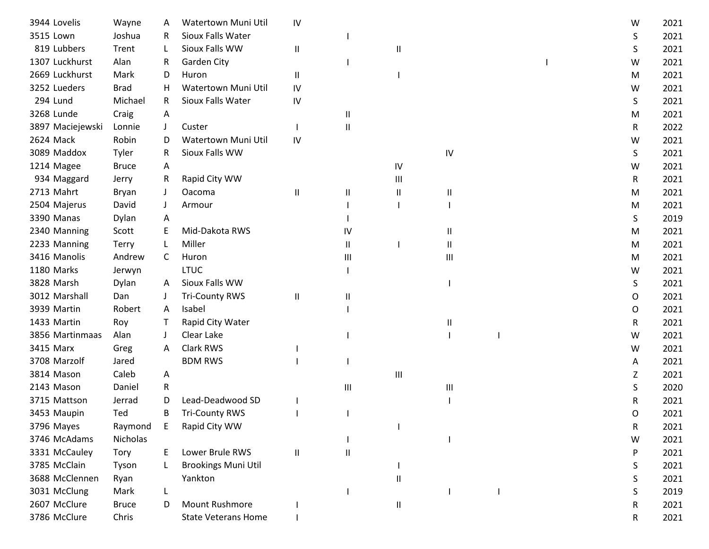| 3944 Lovelis     | Wayne        | A            | Watertown Muni Util        | IV                         |    |          |    |  | W | 2021 |
|------------------|--------------|--------------|----------------------------|----------------------------|----|----------|----|--|---|------|
| 3515 Lown        | Joshua       | R            | Sioux Falls Water          |                            |    |          |    |  | S | 2021 |
| 819 Lubbers      | Trent        |              | Sioux Falls WW             | $\ensuremath{\mathsf{II}}$ |    | Ш        |    |  | S | 2021 |
| 1307 Luckhurst   | Alan         | R            | <b>Garden City</b>         |                            |    |          |    |  | W | 2021 |
| 2669 Luckhurst   | Mark         | D            | Huron                      | Ш                          |    |          |    |  | м | 2021 |
| 3252 Lueders     | <b>Brad</b>  | H            | Watertown Muni Util        | IV                         |    |          |    |  | W | 2021 |
| 294 Lund         | Michael      | R            | Sioux Falls Water          | IV                         |    |          |    |  | S | 2021 |
| 3268 Lunde       | Craig        | A            |                            |                            | Ш  |          |    |  | M | 2021 |
| 3897 Maciejewski | Lonnie       | J            | Custer                     |                            | Ш  |          |    |  | R | 2022 |
| 2624 Mack        | Robin        | D            | Watertown Muni Util        | IV                         |    |          |    |  | W | 2021 |
| 3089 Maddox      | Tyler        | R            | Sioux Falls WW             |                            |    |          | IV |  | S | 2021 |
| 1214 Magee       | <b>Bruce</b> | A            |                            |                            |    | IV       |    |  | W | 2021 |
| 934 Maggard      | Jerry        | R.           | Rapid City WW              |                            |    | Ш        |    |  | R | 2021 |
| 2713 Mahrt       | Bryan        |              | Oacoma                     | Ш                          | Ш  | Ш        | Ш  |  | м | 2021 |
| 2504 Majerus     | David        |              | Armour                     |                            |    |          |    |  | M | 2021 |
| 3390 Manas       | Dylan        | A            |                            |                            |    |          |    |  | S | 2019 |
| 2340 Manning     | Scott        |              | Mid-Dakota RWS             |                            | IV |          | Ш  |  | M | 2021 |
| 2233 Manning     | <b>Terry</b> |              | Miller                     |                            | Ш  |          | Ш  |  | M | 2021 |
| 3416 Manolis     | Andrew       | C            | Huron                      |                            | Ш  |          | Ш  |  | м | 2021 |
| 1180 Marks       | Jerwyn       |              | <b>LTUC</b>                |                            |    |          |    |  | W | 2021 |
| 3828 Marsh       | Dylan        | A            | Sioux Falls WW             |                            |    |          |    |  | S | 2021 |
| 3012 Marshall    | Dan          |              | <b>Tri-County RWS</b>      | Ш                          | Ш  |          |    |  | O | 2021 |
| 3939 Martin      | Robert       | $\mathsf{A}$ | Isabel                     |                            |    |          |    |  | O | 2021 |
| 1433 Martin      | Roy          | T            | Rapid City Water           |                            |    |          | Ш  |  | R | 2021 |
| 3856 Martinmaas  | Alan         |              | Clear Lake                 |                            |    |          |    |  | W | 2021 |
| 3415 Marx        | Greg         | A            | Clark RWS                  |                            |    |          |    |  | W | 2021 |
| 3708 Marzolf     | Jared        |              | <b>BDM RWS</b>             |                            |    |          |    |  | A | 2021 |
| 3814 Mason       | Caleb        | А            |                            |                            |    | Ш        |    |  | Ζ | 2021 |
| 2143 Mason       | Daniel       | R            |                            |                            | Ш  |          | Ш  |  | S | 2020 |
| 3715 Mattson     | Jerrad       | D            | Lead-Deadwood SD           |                            |    |          |    |  | R | 2021 |
| 3453 Maupin      | Ted          | В            | <b>Tri-County RWS</b>      |                            |    |          |    |  | O | 2021 |
| 3796 Mayes       | Raymond      | Ε            | Rapid City WW              |                            |    |          |    |  | R | 2021 |
| 3746 McAdams     | Nicholas     |              |                            |                            |    |          |    |  | W | 2021 |
| 3331 McCauley    | Tory         | E.           | Lower Brule RWS            | $\mathbf{H}$               | Ш  |          |    |  | P | 2021 |
| 3785 McClain     | Tyson        |              | <b>Brookings Muni Util</b> |                            |    |          |    |  | S | 2021 |
| 3688 McClennen   | Ryan         |              | Yankton                    |                            |    | Ш        |    |  | S | 2021 |
| 3031 McClung     | Mark         |              |                            |                            |    |          |    |  | S | 2019 |
| 2607 McClure     | <b>Bruce</b> | D            | <b>Mount Rushmore</b>      |                            |    | $\sf II$ |    |  | R | 2021 |
| 3786 McClure     | Chris        |              | <b>State Veterans Home</b> |                            |    |          |    |  | R | 2021 |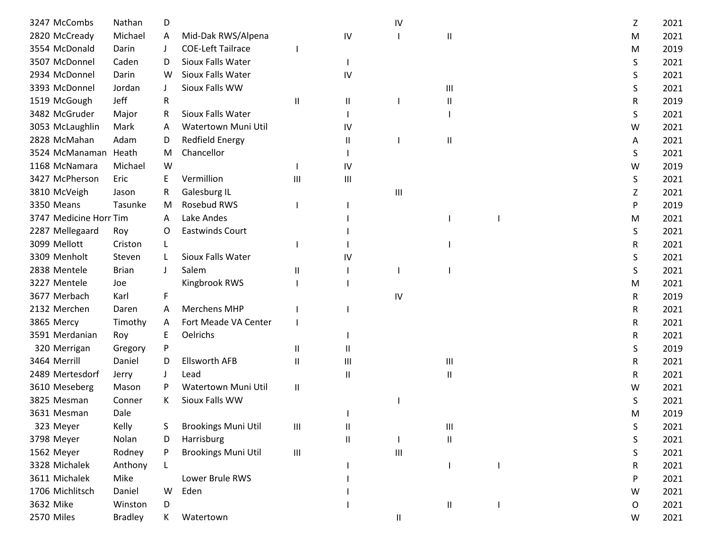| 3247 McCombs           | Nathan         | D  |                            |                                    |    | IV |               |  | Ζ | 2021 |
|------------------------|----------------|----|----------------------------|------------------------------------|----|----|---------------|--|---|------|
| 2820 McCready          | Michael        | A  | Mid-Dak RWS/Alpena         |                                    | IV |    | Ш             |  | M | 2021 |
| 3554 McDonald          | Darin          |    | <b>COE-Left Tailrace</b>   |                                    |    |    |               |  | м | 2019 |
| 3507 McDonnel          | Caden          | D  | Sioux Falls Water          |                                    |    |    |               |  | S | 2021 |
| 2934 McDonnel          | Darin          | W  | Sioux Falls Water          |                                    | IV |    |               |  | S | 2021 |
| 3393 McDonnel          | Jordan         |    | Sioux Falls WW             |                                    |    |    | Ш             |  | S | 2021 |
| 1519 McGough           | Jeff           | R  |                            | Ш                                  | Ш  |    | Ш             |  | R | 2019 |
| 3482 McGruder          | Major          | R  | Sioux Falls Water          |                                    |    |    |               |  | S | 2021 |
| 3053 McLaughlin        | Mark           | A  | Watertown Muni Util        |                                    | IV |    |               |  | W | 2021 |
| 2828 McMahan           | Adam           | D  | <b>Redfield Energy</b>     |                                    | Ш  |    | Ш             |  | A | 2021 |
| 3524 McManaman         | Heath          | M  | Chancellor                 |                                    |    |    |               |  | S | 2021 |
| 1168 McNamara          | Michael        | W  |                            |                                    | IV |    |               |  | W | 2019 |
| 3427 McPherson         | Eric           | Ε  | Vermillion                 | Ш                                  | Ш  |    |               |  | S | 2021 |
| 3810 McVeigh           | Jason          | R  | Galesburg IL               |                                    |    | Ш  |               |  | Z | 2021 |
| 3350 Means             | Tasunke        | M  | Rosebud RWS                |                                    |    |    |               |  | P | 2019 |
| 3747 Medicine Horr Tim |                | A  | Lake Andes                 |                                    |    |    |               |  | M | 2021 |
| 2287 Mellegaard        | Roy            | 0  | <b>Eastwinds Court</b>     |                                    |    |    |               |  | S | 2021 |
| 3099 Mellott           | Criston        | L  |                            |                                    |    |    |               |  | R | 2021 |
| 3309 Menholt           | Steven         |    | Sioux Falls Water          |                                    | IV |    |               |  | S | 2021 |
| 2838 Mentele           | <b>Brian</b>   |    | Salem                      | Ш                                  |    |    |               |  | S | 2021 |
| 3227 Mentele           | Joe            |    | Kingbrook RWS              |                                    |    |    |               |  | М | 2021 |
| 3677 Merbach           | Karl           | F  |                            |                                    |    | IV |               |  | R | 2019 |
| 2132 Merchen           | Daren          | A  | <b>Merchens MHP</b>        |                                    |    |    |               |  | R | 2021 |
| 3865 Mercy             | Timothy        | A  | Fort Meade VA Center       |                                    |    |    |               |  | R | 2021 |
| 3591 Merdanian         | Roy            | Е  | Oelrichs                   |                                    |    |    |               |  | R | 2021 |
| 320 Merrigan           | Gregory        | P  |                            | $\mathbf{H}$                       | Ш  |    |               |  | S | 2019 |
| 3464 Merrill           | Daniel         | D  | <b>Ellsworth AFB</b>       | $\mathbf{I}$                       | Ш  |    | Ш             |  | R | 2021 |
| 2489 Mertesdorf        | Jerry          |    | Lead                       |                                    | Ш  |    | Ш             |  | R | 2021 |
| 3610 Meseberg          | Mason          | P  | Watertown Muni Util        | $\mathbf{I}$                       |    |    |               |  | w | 2021 |
| 3825 Mesman            | Conner         | K. | Sioux Falls WW             |                                    |    |    |               |  | S | 2021 |
| 3631 Mesman            | Dale           |    |                            |                                    |    |    |               |  | м | 2019 |
| 323 Meyer              | Kelly          | S  | <b>Brookings Muni Util</b> | $\ensuremath{\mathsf{III}}\xspace$ | Ш  |    | Ш             |  | S | 2021 |
| 3798 Meyer             | Nolan          | D  | Harrisburg                 |                                    | Ш  |    | $\sf II$      |  | S | 2021 |
| 1562 Meyer             | Rodney         | P  | <b>Brookings Muni Util</b> | $\ensuremath{\mathsf{III}}\xspace$ |    | Ш  |               |  | S | 2021 |
| 3328 Michalek          | Anthony        | L  |                            |                                    |    |    |               |  | R | 2021 |
| 3611 Michalek          | Mike           |    | Lower Brule RWS            |                                    |    |    |               |  | P | 2021 |
| 1706 Michlitsch        | Daniel         | W  | Eden                       |                                    |    |    |               |  | W | 2021 |
| 3632 Mike              | Winston        | D  |                            |                                    |    |    | $\mathbf{II}$ |  | O | 2021 |
| 2570 Miles             | <b>Bradley</b> | K  | Watertown                  |                                    |    | Ш  |               |  | W | 2021 |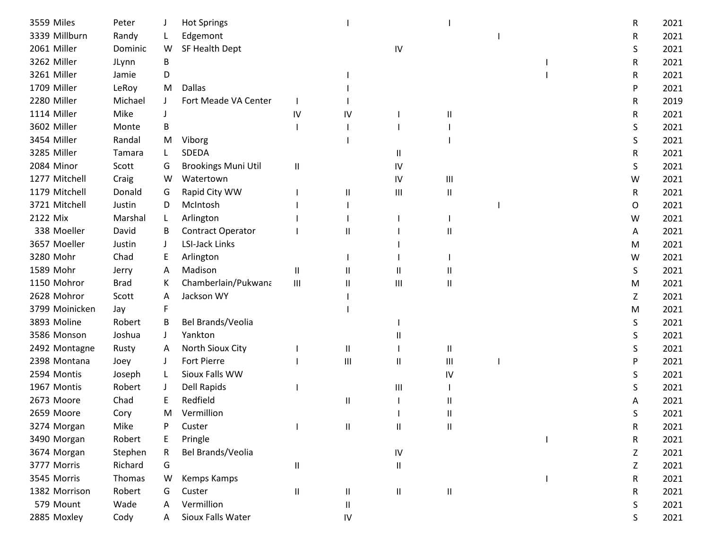| 3559 Miles     | Peter       |              | <b>Hot Springs</b>         |                            |                            |                            |                            |  | R | 2021 |
|----------------|-------------|--------------|----------------------------|----------------------------|----------------------------|----------------------------|----------------------------|--|---|------|
| 3339 Millburn  | Randy       |              | Edgemont                   |                            |                            |                            |                            |  | R | 2021 |
| 2061 Miller    | Dominic     | W            | SF Health Dept             |                            |                            | IV                         |                            |  | S | 2021 |
| 3262 Miller    | JLynn       | В            |                            |                            |                            |                            |                            |  | R | 2021 |
| 3261 Miller    | Jamie       | D            |                            |                            |                            |                            |                            |  | R | 2021 |
| 1709 Miller    | LeRoy       | M            | Dallas                     |                            |                            |                            |                            |  | P | 2021 |
| 2280 Miller    | Michael     | $\mathbf{J}$ | Fort Meade VA Center       |                            |                            |                            |                            |  | R | 2019 |
| 1114 Miller    | Mike        |              |                            | IV                         | IV                         |                            | Ш                          |  | R | 2021 |
| 3602 Miller    | Monte       | В            |                            |                            |                            |                            |                            |  | S | 2021 |
| 3454 Miller    | Randal      | M            | Viborg                     |                            |                            |                            |                            |  | S | 2021 |
| 3285 Miller    | Tamara      | L            | SDEDA                      |                            |                            | Ш                          |                            |  | R | 2021 |
| 2084 Minor     | Scott       | G            | <b>Brookings Muni Util</b> | $\ensuremath{\mathsf{II}}$ |                            | IV                         |                            |  | S | 2021 |
| 1277 Mitchell  | Craig       | W            | Watertown                  |                            |                            | IV                         | $\mathbf{III}$             |  | W | 2021 |
| 1179 Mitchell  | Donald      | G            | Rapid City WW              |                            | $\mathbf{I}$               | $\mathbf{III}$             | $\mathbf{I}$               |  | R | 2021 |
| 3721 Mitchell  | Justin      | D            | McIntosh                   |                            |                            |                            |                            |  | 0 | 2021 |
| 2122 Mix       | Marshal     | L.           | Arlington                  |                            |                            |                            |                            |  | W | 2021 |
| 338 Moeller    | David       | B            | <b>Contract Operator</b>   |                            | Ш                          |                            | Ш                          |  | A | 2021 |
| 3657 Moeller   | Justin      |              | <b>LSI-Jack Links</b>      |                            |                            |                            |                            |  | M | 2021 |
| 3280 Mohr      | Chad        | E            | Arlington                  |                            |                            |                            |                            |  | W | 2021 |
| 1589 Mohr      | Jerry       | A            | Madison                    | Ш                          | $\mathbf{I}$               | Ш                          |                            |  | S | 2021 |
| 1150 Mohror    | <b>Brad</b> | K            | Chamberlain/Pukwana        | Ш                          | $\mathsf{II}$              | Ш                          | $\mathbf{I}$               |  | M | 2021 |
| 2628 Mohror    | Scott       | A            | Jackson WY                 |                            |                            |                            |                            |  | Z | 2021 |
| 3799 Moinicken | Jay         | F            |                            |                            |                            |                            |                            |  | M | 2021 |
| 3893 Moline    | Robert      | B            | Bel Brands/Veolia          |                            |                            |                            |                            |  | S | 2021 |
| 3586 Monson    | Joshua      | $\perp$      | Yankton                    |                            |                            |                            |                            |  | S | 2021 |
| 2492 Montagne  | Rusty       | A            | North Sioux City           |                            | $\mathbf{\mathsf{I}}$      |                            | $\mathsf{I}$               |  | S | 2021 |
| 2398 Montana   | Joey        |              | Fort Pierre                |                            | Ш                          | Ш                          | Ш                          |  | P | 2021 |
| 2594 Montis    | Joseph      | L.           | Sioux Falls WW             |                            |                            |                            | IV                         |  | S | 2021 |
| 1967 Montis    | Robert      | J            | <b>Dell Rapids</b>         |                            |                            | Ш                          |                            |  | S | 2021 |
| 2673 Moore     | Chad        |              | Redfield                   |                            | Ш                          |                            |                            |  |   | 2021 |
| 2659 Moore     | Cory        | м            | Vermillion                 |                            |                            |                            |                            |  | S | 2021 |
| 3274 Morgan    | Mike        |              | Custer                     |                            | $\sf II$                   | $\ensuremath{\mathsf{II}}$ | $\ensuremath{\mathsf{II}}$ |  | R | 2021 |
| 3490 Morgan    | Robert      |              | Pringle                    |                            |                            |                            |                            |  | R | 2021 |
| 3674 Morgan    | Stephen     | R            | Bel Brands/Veolia          |                            |                            | IV                         |                            |  | Z | 2021 |
| 3777 Morris    | Richard     | G            |                            | $\sf II$                   |                            | $\ensuremath{\mathsf{II}}$ |                            |  | Z | 2021 |
| 3545 Morris    | Thomas      | W            | Kemps Kamps                |                            |                            |                            |                            |  | R | 2021 |
| 1382 Morrison  | Robert      | G            | Custer                     | Ш                          | Ш                          | $\sf II$                   | $\sf II$                   |  | R | 2021 |
| 579 Mount      | Wade        | A            | Vermillion                 |                            | $\ensuremath{\mathsf{II}}$ |                            |                            |  | S | 2021 |
| 2885 Moxley    | Cody        | A            | Sioux Falls Water          |                            | IV                         |                            |                            |  | S | 2021 |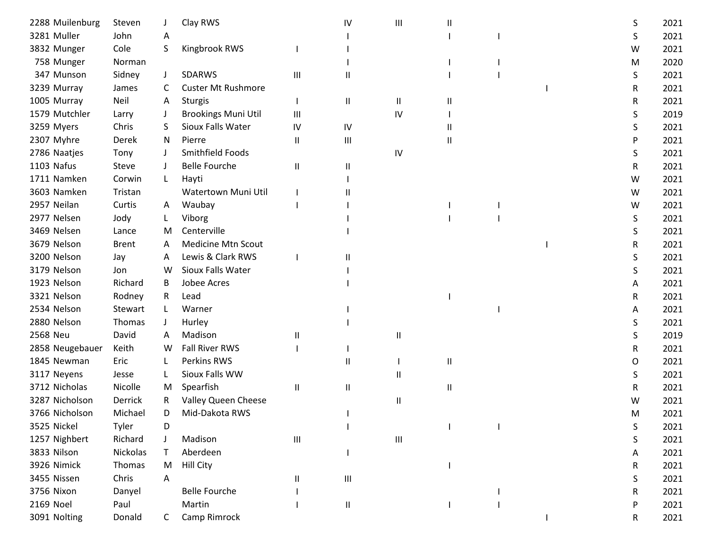| 2288 Muilenburg | Steven       |              | Clay RWS                   |                | IV                                 | Ш  |   |  | S | 2021 |
|-----------------|--------------|--------------|----------------------------|----------------|------------------------------------|----|---|--|---|------|
| 3281 Muller     | John         | A            |                            |                |                                    |    |   |  | S | 2021 |
| 3832 Munger     | Cole         | S            | Kingbrook RWS              |                |                                    |    |   |  | W | 2021 |
| 758 Munger      | Norman       |              |                            |                |                                    |    |   |  | M | 2020 |
| 347 Munson      | Sidney       | J            | SDARWS                     | Ш              | $\mathsf{I}$                       |    |   |  | S | 2021 |
| 3239 Murray     | James        | C            | <b>Custer Mt Rushmore</b>  |                |                                    |    |   |  | R | 2021 |
| 1005 Murray     | Neil         | A            | <b>Sturgis</b>             |                | Ш                                  | Ш  | Ш |  | R | 2021 |
| 1579 Mutchler   | Larry        |              | <b>Brookings Muni Util</b> | $\mathbf{III}$ |                                    | IV |   |  | S | 2019 |
| 3259 Myers      | Chris        | S            | Sioux Falls Water          | IV             | IV                                 |    |   |  | S | 2021 |
| 2307 Myhre      | Derek        | N.           | Pierre                     | Ш              | $\mathbf{III}$                     |    | Ш |  | P | 2021 |
| 2786 Naatjes    | Tony         |              | Smithfield Foods           |                |                                    | IV |   |  | S | 2021 |
| 1103 Nafus      | Steve        |              | <b>Belle Fourche</b>       | $\mathbf{I}$   | Ш                                  |    |   |  | R | 2021 |
| 1711 Namken     | Corwin       | L            | Hayti                      |                |                                    |    |   |  | W | 2021 |
| 3603 Namken     | Tristan      |              | Watertown Muni Util        |                |                                    |    |   |  | W | 2021 |
| 2957 Neilan     | Curtis       | A            | Waubay                     |                |                                    |    |   |  | W | 2021 |
| 2977 Nelsen     | Jody         |              | Viborg                     |                |                                    |    |   |  | S | 2021 |
| 3469 Nelsen     | Lance        | M            | Centerville                |                |                                    |    |   |  | S | 2021 |
| 3679 Nelson     | <b>Brent</b> | A            | <b>Medicine Mtn Scout</b>  |                |                                    |    |   |  | R | 2021 |
| 3200 Nelson     | Jay          | A            | Lewis & Clark RWS          |                |                                    |    |   |  | S | 2021 |
| 3179 Nelson     | Jon          | W            | Sioux Falls Water          |                |                                    |    |   |  | S | 2021 |
| 1923 Nelson     | Richard      | B            | Jobee Acres                |                |                                    |    |   |  | A | 2021 |
| 3321 Nelson     | Rodney       | R            | Lead                       |                |                                    |    |   |  | R | 2021 |
| 2534 Nelson     | Stewart      | L            | Warner                     |                |                                    |    |   |  | A | 2021 |
| 2880 Nelson     | Thomas       | J            | Hurley                     |                |                                    |    |   |  | S | 2021 |
| 2568 Neu        | David        | A            | Madison                    | Ш              |                                    | Ш  |   |  | S | 2019 |
| 2858 Neugebauer | Keith        | W            | <b>Fall River RWS</b>      |                |                                    |    |   |  | R | 2021 |
| 1845 Newman     | Eric         |              | Perkins RWS                |                | Ш                                  |    | Ш |  | 0 | 2021 |
| 3117 Neyens     | Jesse        | L            | Sioux Falls WW             |                |                                    | Ш  |   |  | S | 2021 |
| 3712 Nicholas   | Nicolle      | M            | Spearfish                  | $\mathbf{I}$   | $\sf II$                           |    | Ш |  | R | 2021 |
| 3287 Nicholson  | Derrick      | R.           | Valley Queen Cheese        |                |                                    | Ш  |   |  | w | 2021 |
| 3766 Nicholson  | Michael      | D            | Mid-Dakota RWS             |                |                                    |    |   |  | M | 2021 |
| 3525 Nickel     | Tyler        | D            |                            |                |                                    |    |   |  | S | 2021 |
| 1257 Nighbert   | Richard      |              | Madison                    | Ш              |                                    | Ш  |   |  | S | 2021 |
| 3833 Nilson     | Nickolas     |              | Aberdeen                   |                |                                    |    |   |  | A | 2021 |
| 3926 Nimick     | Thomas       | M            | Hill City                  |                |                                    |    |   |  | R | 2021 |
| 3455 Nissen     | Chris        | A            |                            | $\sf II$       | $\ensuremath{\mathsf{III}}\xspace$ |    |   |  | S | 2021 |
| 3756 Nixon      | Danyel       |              | <b>Belle Fourche</b>       |                |                                    |    |   |  | R | 2021 |
| 2169 Noel       | Paul         |              | Martin                     |                | $\mathsf{II}$                      |    |   |  | P | 2021 |
| 3091 Nolting    | Donald       | $\mathsf{C}$ | Camp Rimrock               |                |                                    |    |   |  | R | 2021 |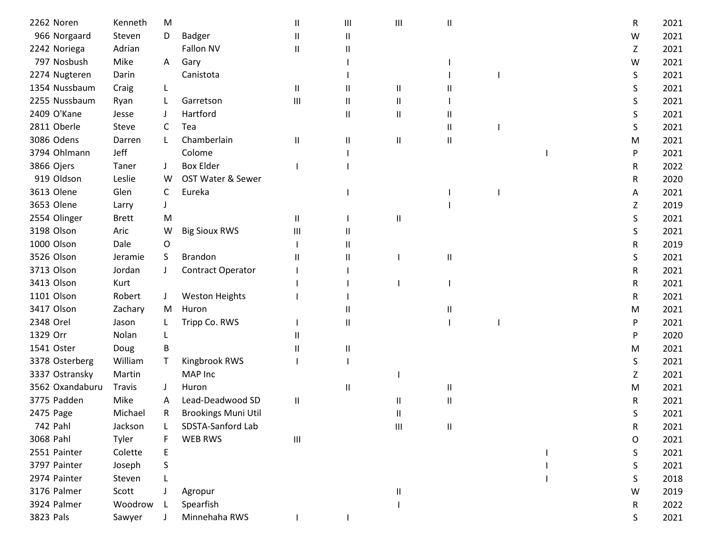| 2262 Noren      | Kenneth       | M            |                            | $\mathsf{I}$ | Ш             | Ш            | Ш |  | R | 2021 |
|-----------------|---------------|--------------|----------------------------|--------------|---------------|--------------|---|--|---|------|
| 966 Norgaard    | Steven        | D            | Badger                     | $\mathsf{I}$ | $\mathsf{II}$ |              |   |  | W | 2021 |
| 2242 Noriega    | Adrian        |              | Fallon NV                  | Ш            | Ш             |              |   |  | Ζ | 2021 |
| 797 Nosbush     | Mike          | A            | Gary                       |              |               |              |   |  | W | 2021 |
| 2274 Nugteren   | Darin         |              | Canistota                  |              |               |              |   |  | S | 2021 |
| 1354 Nussbaum   | Craig         |              |                            | $\mathbf{H}$ | Ш             | Ш            |   |  | S | 2021 |
| 2255 Nussbaum   | Ryan          |              | Garretson                  | Ш            | Ш             | Ш            |   |  | S | 2021 |
| 2409 O'Kane     | Jesse         |              | Hartford                   |              | Ш             | Ш            |   |  | S | 2021 |
| 2811 Oberle     | Steve         | C            | Tea                        |              |               |              | Ш |  | S | 2021 |
| 3086 Odens      | Darren        | $\mathbf{L}$ | Chamberlain                | Ш            | Ш             | Ш            | Ш |  | м | 2021 |
| 3794 Ohlmann    | Jeff          |              | Colome                     |              |               |              |   |  | P | 2021 |
| 3866 Ojers      | Taner         |              | <b>Box Elder</b>           |              |               |              |   |  | R | 2022 |
| 919 Oldson      | Leslie        | W            | OST Water & Sewer          |              |               |              |   |  | R | 2020 |
| 3613 Olene      | Glen          | C            | Eureka                     |              |               |              |   |  | А | 2021 |
| 3653 Olene      | Larry         |              |                            |              |               |              |   |  | Ζ | 2019 |
| 2554 Olinger    | <b>Brett</b>  | M            |                            | $\mathbf{H}$ |               | Ш            |   |  | S | 2021 |
| 3198 Olson      | Aric          | W            | <b>Big Sioux RWS</b>       | Ш            | Ш             |              |   |  | S | 2021 |
| 1000 Olson      | Dale          | 0            |                            |              | Ш             |              |   |  | R | 2019 |
| 3526 Olson      | Jeramie       | <sub>S</sub> | Brandon                    | Ш            | н             |              | Ш |  | S | 2021 |
| 3713 Olson      | Jordan        |              | Contract Operator          |              |               |              |   |  | R | 2021 |
| 3413 Olson      | Kurt          |              |                            |              |               |              |   |  | R | 2021 |
| 1101 Olson      | Robert        | J            | <b>Weston Heights</b>      |              |               |              |   |  | R | 2021 |
| 3417 Olson      | Zachary       | M            | Huron                      |              | Ш             |              | Ш |  | M | 2021 |
| 2348 Orel       | Jason         |              | Tripp Co. RWS              |              | Ш             |              |   |  | P | 2021 |
| 1329 Orr        | Nolan         |              |                            | Ш            |               |              |   |  | P | 2020 |
| 1541 Oster      | Doug          | B            |                            |              | Ш             |              |   |  | M | 2021 |
| 3378 Osterberg  | William       | Τ            | Kingbrook RWS              |              |               |              |   |  | S | 2021 |
| 3337 Ostransky  | Martin        |              | MAP Inc                    |              |               |              |   |  | Z | 2021 |
| 3562 Oxandaburu | <b>Travis</b> |              | Huron                      |              | Ш             |              | Ш |  | м | 2021 |
| 3775 Padden     | Mike          | A            | Lead-Deadwood SD           | Ш            |               | Ш            | Ш |  | R | 2021 |
| 2475 Page       | Michael       | R            | <b>Brookings Muni Util</b> |              |               | $\mathbf{H}$ |   |  | S | 2021 |
| 742 Pahl        | Jackson       |              | SDSTA-Sanford Lab          |              |               | Ш            | Ш |  | R | 2021 |
| 3068 Pahl       | Tyler         |              | WEB RWS                    | Ш            |               |              |   |  | O | 2021 |
| 2551 Painter    | Colette       | Е            |                            |              |               |              |   |  | S | 2021 |
| 3797 Painter    | Joseph        | S            |                            |              |               |              |   |  | S | 2021 |
| 2974 Painter    | Steven        |              |                            |              |               |              |   |  | S | 2018 |
| 3176 Palmer     | Scott         |              | Agropur                    |              |               | Ш            |   |  | W | 2019 |
| 3924 Palmer     | Woodrow       |              | Spearfish                  |              |               |              |   |  | R | 2022 |
| 3823 Pals       | Sawyer        |              | Minnehaha RWS              |              |               |              |   |  | S | 2021 |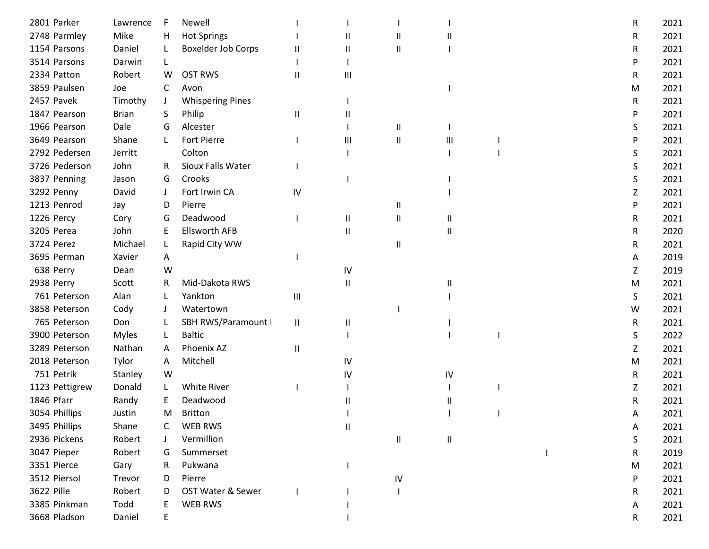| 2801 Parker    | Lawrence     |              | Newell                  |               |    |               |    |  | R | 2021 |
|----------------|--------------|--------------|-------------------------|---------------|----|---------------|----|--|---|------|
| 2748 Parmley   | Mike         | н            | <b>Hot Springs</b>      |               | Ш  | $\mathbf{H}$  |    |  | R | 2021 |
| 1154 Parsons   | Daniel       |              | Boxelder Job Corps      | Ш             | Ш  | Ш             |    |  | R | 2021 |
| 3514 Parsons   | Darwin       | L            |                         |               |    |               |    |  | P | 2021 |
| 2334 Patton    | Robert       | W            | <b>OST RWS</b>          | $\mathsf{I}$  | Ш  |               |    |  | R | 2021 |
| 3859 Paulsen   | Joe          | C            | Avon                    |               |    |               |    |  | M | 2021 |
| 2457 Pavek     | Timothy      | J            | <b>Whispering Pines</b> |               |    |               |    |  | R | 2021 |
| 1847 Pearson   | <b>Brian</b> | S            | Philip                  | Ш             | Ш  |               |    |  | P | 2021 |
| 1966 Pearson   | Dale         | G            | Alcester                |               |    | Ш             |    |  | S | 2021 |
| 3649 Pearson   | Shane        | $\mathbf{L}$ | <b>Fort Pierre</b>      |               | Ш  | Ш             | Ш  |  | P | 2021 |
| 2792 Pedersen  | Jerritt      |              | Colton                  |               |    |               |    |  | S | 2021 |
| 3726 Pederson  | John         | R            | Sioux Falls Water       |               |    |               |    |  | S | 2021 |
| 3837 Penning   | Jason        | G            | Crooks                  |               |    |               |    |  | S | 2021 |
| 3292 Penny     | David        | J            | Fort Irwin CA           | IV            |    |               |    |  | Ζ | 2021 |
| 1213 Penrod    | Jay          | D            | Pierre                  |               |    | Ш             |    |  | P | 2021 |
| 1226 Percy     | Cory         | G            | Deadwood                |               | Ш  | Ш             | Ш  |  | R | 2021 |
| 3205 Perea     | John         | E            | <b>Ellsworth AFB</b>    |               | Ш  |               | Ш  |  | R | 2020 |
| 3724 Perez     | Michael      |              | Rapid City WW           |               |    | Ш             |    |  | R | 2021 |
| 3695 Perman    | Xavier       | A            |                         |               |    |               |    |  | A | 2019 |
| 638 Perry      | Dean         | W            |                         |               | IV |               |    |  | Ζ | 2019 |
| 2938 Perry     | Scott        | R.           | Mid-Dakota RWS          |               | Ш  |               | П. |  | M | 2021 |
| 761 Peterson   | Alan         |              | Yankton                 | Ш             |    |               |    |  | S | 2021 |
| 3858 Peterson  | Cody         |              | Watertown               |               |    |               |    |  | W | 2021 |
| 765 Peterson   | Don          |              | SBH RWS/Paramount I     | Ш             | Ш  |               |    |  | R | 2021 |
| 3900 Peterson  | <b>Myles</b> | L            | <b>Baltic</b>           |               |    |               |    |  | S | 2022 |
| 3289 Peterson  | Nathan       | A            | Phoenix AZ              | $\mathsf{II}$ |    |               |    |  | Ζ | 2021 |
| 2018 Peterson  | Tylor        | Α            | Mitchell                |               | IV |               |    |  | M | 2021 |
| 751 Petrik     | Stanley      | W            |                         |               | IV |               | IV |  | R | 2021 |
| 1123 Pettigrew | Donald       | L            | White River             |               |    |               |    |  | Z | 2021 |
| 1846 Pfarr     | Randy        |              | Deadwood                |               | Ш  |               |    |  | R | 2021 |
| 3054 Phillips  | Justin       | M            | <b>Britton</b>          |               |    |               |    |  | А | 2021 |
| 3495 Phillips  | Shane        |              | <b>WEB RWS</b>          |               | Ш  |               |    |  | Α | 2021 |
| 2936 Pickens   | Robert       |              | Vermillion              |               |    | $\mathsf{II}$ | Ш  |  | S | 2021 |
| 3047 Pieper    | Robert       | G            | Summerset               |               |    |               |    |  | R | 2019 |
| 3351 Pierce    | Gary         | R            | Pukwana                 |               |    |               |    |  | M | 2021 |
| 3512 Piersol   | Trevor       | D            | Pierre                  |               |    | ${\sf IV}$    |    |  | P | 2021 |
| 3622 Pille     | Robert       | D            | OST Water & Sewer       |               |    |               |    |  | R | 2021 |
| 3385 Pinkman   | Todd         |              | WEB RWS                 |               |    |               |    |  | Α | 2021 |
| 3668 Pladson   | Daniel       | E            |                         |               |    |               |    |  | R | 2021 |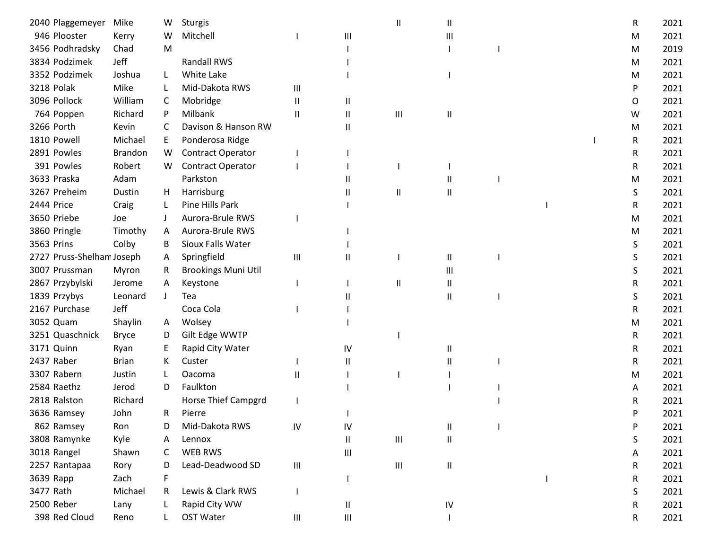| 2040 Plaggemeyer          | Mike           | W            | Sturgis                    |                                    |                                    | $\mathsf{I}$                       | Ш          |  | R | 2021 |
|---------------------------|----------------|--------------|----------------------------|------------------------------------|------------------------------------|------------------------------------|------------|--|---|------|
| 946 Plooster              | Kerry          | W            | Mitchell                   |                                    | $\mathbf{III}$                     |                                    | Ш          |  | M | 2021 |
| 3456 Podhradsky           | Chad           | M            |                            |                                    |                                    |                                    |            |  | M | 2019 |
| 3834 Podzimek             | Jeff           |              | <b>Randall RWS</b>         |                                    |                                    |                                    |            |  | M | 2021 |
| 3352 Podzimek             | Joshua         | L            | White Lake                 |                                    |                                    |                                    |            |  | м | 2021 |
| <b>3218 Polak</b>         | Mike           |              | Mid-Dakota RWS             | Ш                                  |                                    |                                    |            |  | P | 2021 |
| 3096 Pollock              | William        | C            | Mobridge                   | Ш                                  | Ш                                  |                                    |            |  | 0 | 2021 |
| 764 Poppen                | Richard        | P            | Milbank                    | $\mathbf{I}$                       | Ш                                  | Ш                                  | Ш          |  | W | 2021 |
| 3266 Porth                | Kevin          | C            | Davison & Hanson RW        |                                    | Ш                                  |                                    |            |  | M | 2021 |
| 1810 Powell               | Michael        | E            | Ponderosa Ridge            |                                    |                                    |                                    |            |  | R | 2021 |
| 2891 Powles               | <b>Brandon</b> | W            | Contract Operator          |                                    |                                    |                                    |            |  | R | 2021 |
| 391 Powles                | Robert         | W            | <b>Contract Operator</b>   |                                    |                                    |                                    |            |  | R | 2021 |
| 3633 Praska               | Adam           |              | Parkston                   |                                    |                                    |                                    |            |  | M | 2021 |
| 3267 Preheim              | Dustin         | H            | Harrisburg                 |                                    |                                    | $\mathsf{II}$                      | Ш          |  | S | 2021 |
| 2444 Price                | Craig          | L            | Pine Hills Park            |                                    |                                    |                                    |            |  | R | 2021 |
| 3650 Priebe               | Joe            |              | Aurora-Brule RWS           |                                    |                                    |                                    |            |  | M | 2021 |
| 3860 Pringle              | Timothy        | A            | Aurora-Brule RWS           |                                    |                                    |                                    |            |  | м | 2021 |
| 3563 Prins                | Colby          | B            | Sioux Falls Water          |                                    |                                    |                                    |            |  | S | 2021 |
| 2727 Pruss-Shelham Joseph |                | A            | Springfield                | Ш                                  | н                                  |                                    | Ш          |  | S | 2021 |
| 3007 Prussman             | Myron          | R            | <b>Brookings Muni Util</b> |                                    |                                    |                                    | Ш          |  | S | 2021 |
| 2867 Przybylski           | Jerome         | A            | Keystone                   |                                    |                                    | $\mathsf{II}$                      | Ш          |  | R | 2021 |
| 1839 Przybys              | Leonard        | $\mathbf{J}$ | Tea                        |                                    |                                    |                                    | Ш          |  | S | 2021 |
| 2167 Purchase             | Jeff           |              | Coca Cola                  |                                    |                                    |                                    |            |  | R | 2021 |
| 3052 Quam                 | Shaylin        | A            | Wolsey                     |                                    |                                    |                                    |            |  | м | 2021 |
| 3251 Quaschnick           | <b>Bryce</b>   | D            | Gilt Edge WWTP             |                                    |                                    |                                    |            |  | R | 2021 |
| 3171 Quinn                | Ryan           | Е            | Rapid City Water           |                                    | IV                                 |                                    | Ш          |  | R | 2021 |
| 2437 Raber                | <b>Brian</b>   | K.           | Custer                     |                                    | $\mathbf{H}$                       |                                    |            |  | R | 2021 |
| 3307 Rabern               | Justin         | L            | Oacoma                     | $\mathsf{I}$                       |                                    |                                    |            |  | M | 2021 |
| 2584 Raethz               | Jerod          | D            | Faulkton                   |                                    |                                    |                                    |            |  | Α | 2021 |
| 2818 Ralston              | Richard        |              | Horse Thief Campgrd        |                                    |                                    |                                    |            |  | R | 2021 |
| 3636 Ramsey               | John           | R            | Pierre                     |                                    |                                    |                                    |            |  | P | 2021 |
| 862 Ramsey                | Ron            | D            | Mid-Dakota RWS             | ${\sf IV}$                         | IV                                 |                                    | Ш          |  | P | 2021 |
| 3808 Ramynke              | Kyle           | Α            | Lennox                     |                                    | Ш                                  | $\ensuremath{\mathsf{III}}\xspace$ | $\sf H$    |  | S | 2021 |
| 3018 Rangel               | Shawn          | C            | WEB RWS                    |                                    | $\mathbf{III}$                     |                                    |            |  | A | 2021 |
| 2257 Rantapaa             | Rory           | D            | Lead-Deadwood SD           | $\ensuremath{\mathsf{III}}\xspace$ |                                    | $\ensuremath{\mathsf{III}}\xspace$ | Ш          |  | R | 2021 |
| 3639 Rapp                 | Zach           | F            |                            |                                    |                                    |                                    |            |  | R | 2021 |
| 3477 Rath                 | Michael        | R            | Lewis & Clark RWS          |                                    |                                    |                                    |            |  | S | 2021 |
| 2500 Reber                | Lany           |              | Rapid City WW              |                                    | Ш                                  |                                    | ${\sf IV}$ |  | R | 2021 |
| 398 Red Cloud             | Reno           |              | OST Water                  | Ш                                  | $\ensuremath{\mathsf{III}}\xspace$ |                                    |            |  | R | 2021 |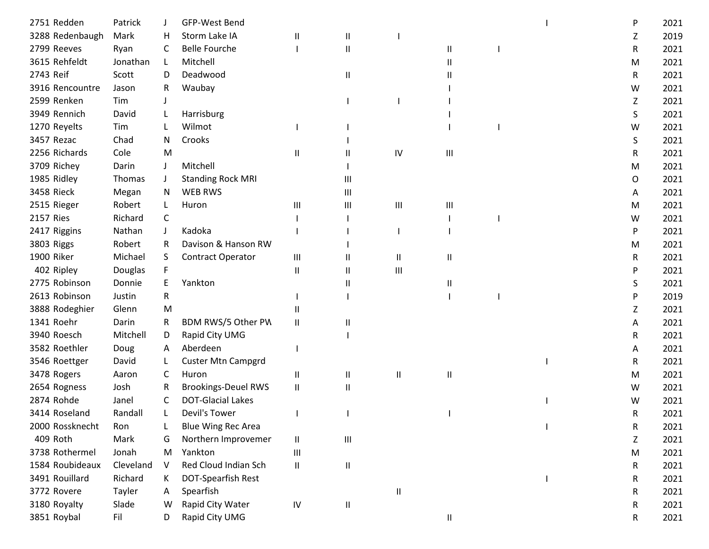| 2751 Redden       | Patrick   |    | GFP-West Bend              |                            |                |               |   |  | P | 2021 |
|-------------------|-----------|----|----------------------------|----------------------------|----------------|---------------|---|--|---|------|
| 3288 Redenbaugh   | Mark      | н  | Storm Lake IA              | $\mathsf{I}$               | Ш              |               |   |  | Z | 2019 |
| 2799 Reeves       | Ryan      | C  | <b>Belle Fourche</b>       |                            | Ш              |               | Ш |  | R | 2021 |
| 3615 Rehfeldt     | Jonathan  | L  | Mitchell                   |                            |                |               | Ш |  | M | 2021 |
| 2743 Reif         | Scott     | D  | Deadwood                   |                            | Ш              |               |   |  | R | 2021 |
| 3916 Rencountre   | Jason     | R. | Waubay                     |                            |                |               |   |  | W | 2021 |
| 2599 Renken       | Tim       |    |                            |                            |                |               |   |  | Z | 2021 |
| 3949 Rennich      | David     |    | Harrisburg                 |                            |                |               |   |  | S | 2021 |
| 1270 Reyelts      | Tim       |    | Wilmot                     |                            |                |               |   |  | W | 2021 |
| 3457 Rezac        | Chad      | N  | Crooks                     |                            |                |               |   |  | S | 2021 |
| 2256 Richards     | Cole      | M  |                            | Ш                          |                | $\mathsf{IV}$ | Ш |  | R | 2021 |
| 3709 Richey       | Darin     |    | Mitchell                   |                            |                |               |   |  | M | 2021 |
| 1985 Ridley       | Thomas    |    | <b>Standing Rock MRI</b>   |                            | Ш              |               |   |  | 0 | 2021 |
| <b>3458 Rieck</b> | Megan     | N. | <b>WEB RWS</b>             |                            | $\mathbf{III}$ |               |   |  | A | 2021 |
| 2515 Rieger       | Robert    | L  | Huron                      | Ш                          | Ш              | Ш             | Ш |  | M | 2021 |
| 2157 Ries         | Richard   | C  |                            |                            |                |               |   |  | W | 2021 |
| 2417 Riggins      | Nathan    |    | Kadoka                     |                            |                |               |   |  | P | 2021 |
| 3803 Riggs        | Robert    | R  | Davison & Hanson RW        |                            |                |               |   |  | M | 2021 |
| 1900 Riker        | Michael   | S. | Contract Operator          | $\mathbf{III}$             | Ш              | Ш             | Ш |  | R | 2021 |
| 402 Ripley        | Douglas   |    |                            | $\mathbf{I}$               | Ш              | Ш             |   |  | P | 2021 |
| 2775 Robinson     | Donnie    | E  | Yankton                    |                            | Ш              |               | Ш |  | S | 2021 |
| 2613 Robinson     | Justin    | R  |                            |                            |                |               |   |  | P | 2019 |
| 3888 Rodeghier    | Glenn     | M  |                            |                            |                |               |   |  | Ζ | 2021 |
| 1341 Roehr        | Darin     | R  | BDM RWS/5 Other PV         | Ш                          |                |               |   |  | A | 2021 |
| 3940 Roesch       | Mitchell  | D  | Rapid City UMG             |                            |                |               |   |  | R | 2021 |
| 3582 Roethler     | Doug      | A  | Aberdeen                   |                            |                |               |   |  | A | 2021 |
| 3546 Roettger     | David     |    | <b>Custer Mtn Campgrd</b>  |                            |                |               |   |  | R | 2021 |
| 3478 Rogers       | Aaron     | C  | Huron                      | $\sf II$                   | Ш              | Ш             | Ш |  | M | 2021 |
| 2654 Rogness      | Josh      | R  | <b>Brookings-Deuel RWS</b> | $\sf II$                   | Ш              |               |   |  | W | 2021 |
| 2874 Rohde        | Janel     | C  | <b>DOT-Glacial Lakes</b>   |                            |                |               |   |  | w | 2021 |
| 3414 Roseland     | Randall   | L  | Devil's Tower              |                            |                |               |   |  | R | 2021 |
| 2000 Rossknecht   | Ron       |    | <b>Blue Wing Rec Area</b>  |                            |                |               |   |  | R | 2021 |
| 409 Roth          | Mark      | G  | Northern Improvemer        | $\ensuremath{\mathsf{II}}$ | $\mathbf{III}$ |               |   |  | Z | 2021 |
| 3738 Rothermel    | Jonah     | M  | Yankton                    | $\mathbf{III}$             |                |               |   |  | M | 2021 |
| 1584 Roubideaux   | Cleveland | V  | Red Cloud Indian Sch       | $\ensuremath{\mathsf{II}}$ | $\sf II$       |               |   |  | R | 2021 |
| 3491 Rouillard    | Richard   | K. | DOT-Spearfish Rest         |                            |                |               |   |  | R | 2021 |
| 3772 Rovere       | Tayler    | A  | Spearfish                  |                            |                | Ш             |   |  | R | 2021 |
| 3180 Royalty      | Slade     | W  | Rapid City Water           | ${\sf IV}$                 | $\mathsf{II}$  |               |   |  | R | 2021 |
| 3851 Roybal       | Fil       | D  | Rapid City UMG             |                            |                |               | Ш |  | R | 2021 |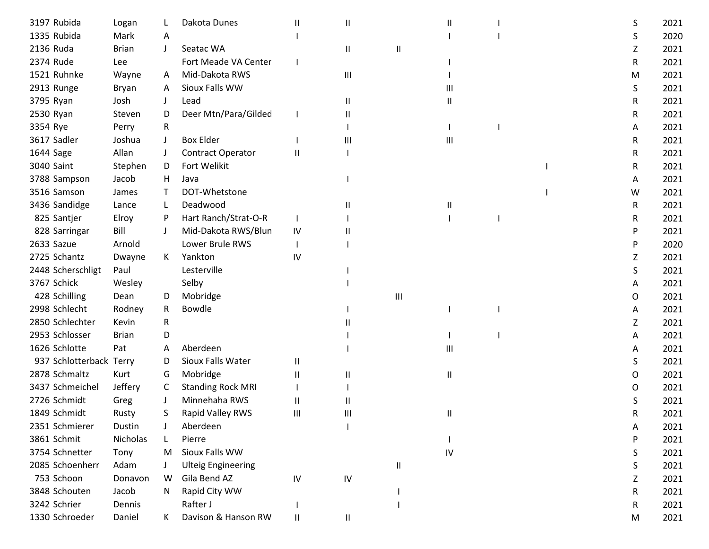| 3197 Rubida             | Logan        |         | Dakota Dunes              | Ш            | Ш              |   |                |  | S  | 2021 |
|-------------------------|--------------|---------|---------------------------|--------------|----------------|---|----------------|--|----|------|
| 1335 Rubida             | Mark         | A       |                           |              |                |   |                |  | S  | 2020 |
| 2136 Ruda               | <b>Brian</b> | $\perp$ | Seatac WA                 |              | Ш              | Ш |                |  | Z  | 2021 |
| 2374 Rude               | Lee          |         | Fort Meade VA Center      |              |                |   |                |  | R  | 2021 |
| 1521 Ruhnke             | Wayne        | A       | Mid-Dakota RWS            |              | Ш              |   |                |  | M  | 2021 |
| 2913 Runge              | Bryan        | A       | Sioux Falls WW            |              |                |   | Ш              |  | S. | 2021 |
| 3795 Ryan               | Josh         |         | Lead                      |              | Ш              |   | Ш              |  | R  | 2021 |
| 2530 Ryan               | Steven       | D       | Deer Mtn/Para/Gilded      |              | Ш              |   |                |  | R  | 2021 |
| 3354 Rye                | Perry        | R       |                           |              |                |   |                |  | A  | 2021 |
| 3617 Sadler             | Joshua       | $\perp$ | <b>Box Elder</b>          |              | $\mathbf{III}$ |   | $\mathbf{III}$ |  | R  | 2021 |
| 1644 Sage               | Allan        |         | Contract Operator         | Ш            |                |   |                |  | R  | 2021 |
| 3040 Saint              | Stephen      | D       | Fort Welikit              |              |                |   |                |  | R  | 2021 |
| 3788 Sampson            | Jacob        | H       | Java                      |              |                |   |                |  | A  | 2021 |
| 3516 Samson             | James        | T       | DOT-Whetstone             |              |                |   |                |  | W  | 2021 |
| 3436 Sandidge           | Lance        | L       | Deadwood                  |              |                |   | Ш              |  | R  | 2021 |
| 825 Santjer             | Elroy        | P       | Hart Ranch/Strat-O-R      |              |                |   |                |  | R  | 2021 |
| 828 Sarringar           | Bill         |         | Mid-Dakota RWS/Blun       | IV           |                |   |                |  | P  | 2021 |
| 2633 Sazue              | Arnold       |         | Lower Brule RWS           |              |                |   |                |  | P  | 2020 |
| 2725 Schantz            | Dwayne       | K       | Yankton                   | IV           |                |   |                |  | z  | 2021 |
| 2448 Scherschligt       | Paul         |         | Lesterville               |              |                |   |                |  | S  | 2021 |
| 3767 Schick             | Wesley       |         | Selby                     |              |                |   |                |  | A  | 2021 |
| 428 Schilling           | Dean         | D       | Mobridge                  |              |                | Ш |                |  | 0  | 2021 |
| 2998 Schlecht           | Rodney       | R       | Bowdle                    |              |                |   |                |  | A  | 2021 |
| 2850 Schlechter         | Kevin        | R       |                           |              |                |   |                |  | Z  | 2021 |
| 2953 Schlosser          | <b>Brian</b> | D       |                           |              |                |   |                |  | A  | 2021 |
| 1626 Schlotte           | Pat          | A       | Aberdeen                  |              |                |   | Ш              |  | Α  | 2021 |
| 937 Schlotterback Terry |              | D       | Sioux Falls Water         | Ш            |                |   |                |  | S  | 2021 |
| 2878 Schmaltz           | Kurt         | G       | Mobridge                  | $\mathsf{I}$ | н              |   | Ш              |  | 0  | 2021 |
| 3437 Schmeichel         | Jeffery      | C       | <b>Standing Rock MRI</b>  |              |                |   |                |  | 0  | 2021 |
| 2726 Schmidt            | Greg         |         | Minnehaha RWS             | $\mathsf{I}$ |                |   |                |  |    | 2021 |
| 1849 Schmidt            | Rusty        | S       | Rapid Valley RWS          | Ш            | Ш              |   | $\mathbf{H}$   |  | R  | 2021 |
| 2351 Schmierer          | Dustin       |         | Aberdeen                  |              |                |   |                |  | A  | 2021 |
| 3861 Schmit             | Nicholas     |         | Pierre                    |              |                |   |                |  | P  | 2021 |
| 3754 Schnetter          | Tony         | M       | Sioux Falls WW            |              |                |   | IV             |  | S  | 2021 |
| 2085 Schoenherr         | Adam         |         | <b>Ulteig Engineering</b> |              |                | Ш |                |  | S  | 2021 |
| 753 Schoon              | Donavon      | W       | Gila Bend AZ              | ${\sf IV}$   | IV             |   |                |  | Ζ  | 2021 |
| 3848 Schouten           | Jacob        | N.      | Rapid City WW             |              |                |   |                |  | R  | 2021 |
| 3242 Schrier            | Dennis       |         | Rafter J                  |              |                |   |                |  | R  | 2021 |
| 1330 Schroeder          | Daniel       | K       | Davison & Hanson RW       | Ш            | Ш              |   |                |  | M  | 2021 |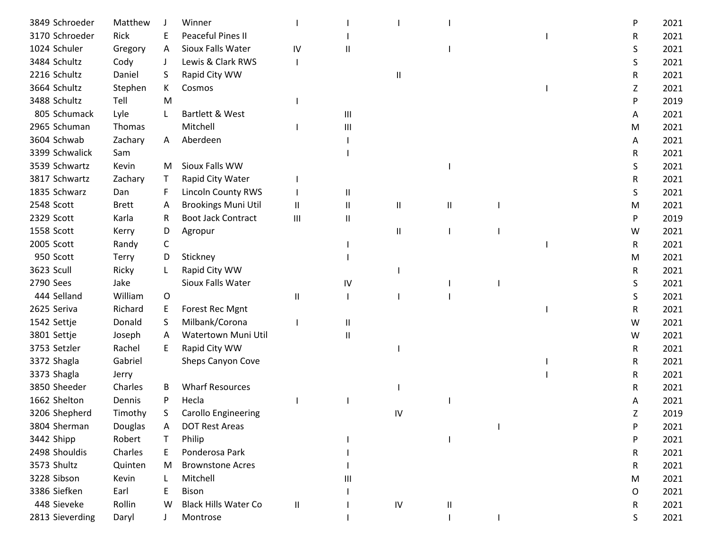| 3849 Schroeder  | Matthew      |    | Winner                      |               |          |            |   |  | P | 2021 |
|-----------------|--------------|----|-----------------------------|---------------|----------|------------|---|--|---|------|
| 3170 Schroeder  | Rick         | E. | Peaceful Pines II           |               |          |            |   |  | R | 2021 |
| 1024 Schuler    | Gregory      | A  | Sioux Falls Water           | IV            | Ш        |            |   |  | S | 2021 |
| 3484 Schultz    | Cody         | J  | Lewis & Clark RWS           |               |          |            |   |  | S | 2021 |
| 2216 Schultz    | Daniel       | S. | Rapid City WW               |               |          | Ш          |   |  | R | 2021 |
| 3664 Schultz    | Stephen      | K  | Cosmos                      |               |          |            |   |  | Ζ | 2021 |
| 3488 Schultz    | Tell         | M  |                             |               |          |            |   |  | P | 2019 |
| 805 Schumack    | Lyle         |    | Bartlett & West             |               | Ш        |            |   |  | A | 2021 |
| 2965 Schuman    | Thomas       |    | Mitchell                    |               | Ш        |            |   |  | M | 2021 |
| 3604 Schwab     | Zachary      | A  | Aberdeen                    |               |          |            |   |  | A | 2021 |
| 3399 Schwalick  | Sam          |    |                             |               |          |            |   |  | R | 2021 |
| 3539 Schwartz   | Kevin        | M  | Sioux Falls WW              |               |          |            |   |  | S | 2021 |
| 3817 Schwartz   | Zachary      | T  | Rapid City Water            |               |          |            |   |  | R | 2021 |
| 1835 Schwarz    | Dan          | F  | <b>Lincoln County RWS</b>   |               | $\sf II$ |            |   |  | S | 2021 |
| 2548 Scott      | <b>Brett</b> | A  | <b>Brookings Muni Util</b>  | $\mathbf{H}$  | Ш        | Ш          | Ш |  | М | 2021 |
| 2329 Scott      | Karla        | R  | <b>Boot Jack Contract</b>   | Ш             | Ш        |            |   |  | P | 2019 |
| 1558 Scott      | Kerry        | D  | Agropur                     |               |          | $\sf II$   |   |  | W | 2021 |
| 2005 Scott      | Randy        | C  |                             |               |          |            |   |  | R | 2021 |
| 950 Scott       | <b>Terry</b> | D  | Stickney                    |               |          |            |   |  | M | 2021 |
| 3623 Scull      | Ricky        |    | Rapid City WW               |               |          |            |   |  | R | 2021 |
| 2790 Sees       | Jake         |    | Sioux Falls Water           |               | IV       |            |   |  | S | 2021 |
| 444 Selland     | William      | 0  |                             | Ш             |          |            |   |  | S | 2021 |
| 2625 Seriva     | Richard      | E. | Forest Rec Mgnt             |               |          |            |   |  | R | 2021 |
| 1542 Settje     | Donald       | S  | Milbank/Corona              |               | Ш        |            |   |  | W | 2021 |
| 3801 Settje     | Joseph       | A  | Watertown Muni Util         |               | Ш        |            |   |  | W | 2021 |
| 3753 Setzler    | Rachel       | E. | Rapid City WW               |               |          |            |   |  | R | 2021 |
| 3372 Shagla     | Gabriel      |    | Sheps Canyon Cove           |               |          |            |   |  | R | 2021 |
| 3373 Shagla     | Jerry        |    |                             |               |          |            |   |  | R | 2021 |
| 3850 Sheeder    | Charles      | B  | <b>Wharf Resources</b>      |               |          |            |   |  | R | 2021 |
| 1662 Shelton    | Dennis       | P  | Hecla                       |               |          |            |   |  | A | 2021 |
| 3206 Shepherd   | Timothy      | S. | <b>Carollo Engineering</b>  |               |          | IV         |   |  | Z | 2019 |
| 3804 Sherman    | Douglas      | A  | <b>DOT Rest Areas</b>       |               |          |            |   |  | P | 2021 |
| 3442 Shipp      | Robert       | T  | Philip                      |               |          |            |   |  | P | 2021 |
| 2498 Shouldis   | Charles      | E. | Ponderosa Park              |               |          |            |   |  | R | 2021 |
| 3573 Shultz     | Quinten      | M  | <b>Brownstone Acres</b>     |               |          |            |   |  | R | 2021 |
| 3228 Sibson     | Kevin        |    | Mitchell                    |               | Ш        |            |   |  | M | 2021 |
| 3386 Siefken    | Earl         |    | <b>Bison</b>                |               |          |            |   |  |   | 2021 |
| 448 Sieveke     | Rollin       | W  | <b>Black Hills Water Co</b> |               |          | ${\sf IV}$ |   |  | 0 | 2021 |
|                 |              |    |                             | $\mathbf{II}$ |          |            | Ш |  | R |      |
| 2813 Sieverding | Daryl        |    | Montrose                    |               |          |            |   |  | S | 2021 |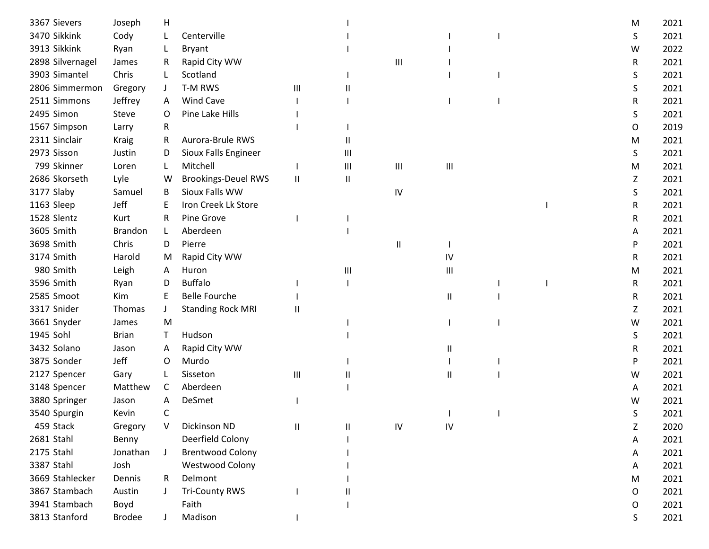| 3367 Sievers     | Joseph        | н            |                            |              |                |               |                                    |  | M | 2021 |
|------------------|---------------|--------------|----------------------------|--------------|----------------|---------------|------------------------------------|--|---|------|
| 3470 Sikkink     | Cody          |              | Centerville                |              |                |               |                                    |  | S | 2021 |
| 3913 Sikkink     | Ryan          |              | Bryant                     |              |                |               |                                    |  | W | 2022 |
| 2898 Silvernagel | James         | R.           | Rapid City WW              |              |                | Ш             |                                    |  | R | 2021 |
| 3903 Simantel    | Chris         | L            | Scotland                   |              |                |               |                                    |  | S | 2021 |
| 2806 Simmermon   | Gregory       | J            | T-M RWS                    | Ш            |                |               |                                    |  | S | 2021 |
| 2511 Simmons     | Jeffrey       | A            | Wind Cave                  |              |                |               |                                    |  | R | 2021 |
| 2495 Simon       | Steve         | O            | Pine Lake Hills            |              |                |               |                                    |  | S | 2021 |
| 1567 Simpson     | Larry         | R            |                            |              |                |               |                                    |  | O | 2019 |
| 2311 Sinclair    | <b>Kraig</b>  | R            | Aurora-Brule RWS           |              | Ш              |               |                                    |  | M | 2021 |
| 2973 Sisson      | Justin        | D            | Sioux Falls Engineer       |              | Ш              |               |                                    |  | S | 2021 |
| 799 Skinner      | Loren         | L            | Mitchell                   |              | $\mathbf{III}$ | Ш             | $\ensuremath{\mathsf{III}}\xspace$ |  | M | 2021 |
| 2686 Skorseth    | Lyle          | W            | <b>Brookings-Deuel RWS</b> | $\sf II$     | Ш              |               |                                    |  | Z | 2021 |
| 3177 Slaby       | Samuel        | B            | Sioux Falls WW             |              |                | ${\sf IV}$    |                                    |  | S | 2021 |
| 1163 Sleep       | Jeff          | E            | Iron Creek Lk Store        |              |                |               |                                    |  | R | 2021 |
| 1528 Slentz      | Kurt          | R            | Pine Grove                 |              |                |               |                                    |  | R | 2021 |
| 3605 Smith       | Brandon       | L            | Aberdeen                   |              |                |               |                                    |  | A | 2021 |
| 3698 Smith       | Chris         | D            | Pierre                     |              |                | $\mathsf{II}$ |                                    |  | P | 2021 |
| 3174 Smith       | Harold        | M            | Rapid City WW              |              |                |               | IV                                 |  | R | 2021 |
| 980 Smith        | Leigh         | A            | Huron                      |              | Ш              |               | Ш                                  |  | M | 2021 |
| 3596 Smith       | Ryan          | D            | <b>Buffalo</b>             |              |                |               |                                    |  | R | 2021 |
| 2585 Smoot       | Kim           | E            | <b>Belle Fourche</b>       |              |                |               | Ш                                  |  | R | 2021 |
| 3317 Snider      | Thomas        | J            | <b>Standing Rock MRI</b>   | Ш            |                |               |                                    |  | Z | 2021 |
| 3661 Snyder      | James         | M            |                            |              |                |               |                                    |  | W | 2021 |
| 1945 Sohl        | <b>Brian</b>  | T            | Hudson                     |              |                |               |                                    |  | S | 2021 |
| 3432 Solano      | Jason         | A            | Rapid City WW              |              |                |               | Ш                                  |  | R | 2021 |
| 3875 Sonder      | Jeff          | O            | Murdo                      |              |                |               |                                    |  | P | 2021 |
| 2127 Spencer     | Gary          |              | Sisseton                   | Ш            |                |               | Ш                                  |  | W | 2021 |
| 3148 Spencer     | Matthew       | C            | Aberdeen                   |              |                |               |                                    |  | A | 2021 |
| 3880 Springer    | Jason         | A            | DeSmet                     |              |                |               |                                    |  | w | 2021 |
| 3540 Spurgin     | Kevin         | C            |                            |              |                |               |                                    |  | S | 2021 |
| 459 Stack        | Gregory       | v            | Dickinson ND               | $\mathbf{I}$ |                | $\mathsf{IV}$ | IV                                 |  | Z | 2020 |
| 2681 Stahl       | Benny         |              | Deerfield Colony           |              |                |               |                                    |  | A | 2021 |
| 2175 Stahl       | Jonathan      | $\mathbf{J}$ | <b>Brentwood Colony</b>    |              |                |               |                                    |  | A | 2021 |
| 3387 Stahl       | Josh          |              | <b>Westwood Colony</b>     |              |                |               |                                    |  | A | 2021 |
| 3669 Stahlecker  | Dennis        | R            | Delmont                    |              |                |               |                                    |  | M | 2021 |
| 3867 Stambach    | Austin        |              | <b>Tri-County RWS</b>      |              |                |               |                                    |  | 0 | 2021 |
| 3941 Stambach    | Boyd          |              | Faith                      |              |                |               |                                    |  | O | 2021 |
| 3813 Stanford    | <b>Brodee</b> |              | Madison                    |              |                |               |                                    |  | S | 2021 |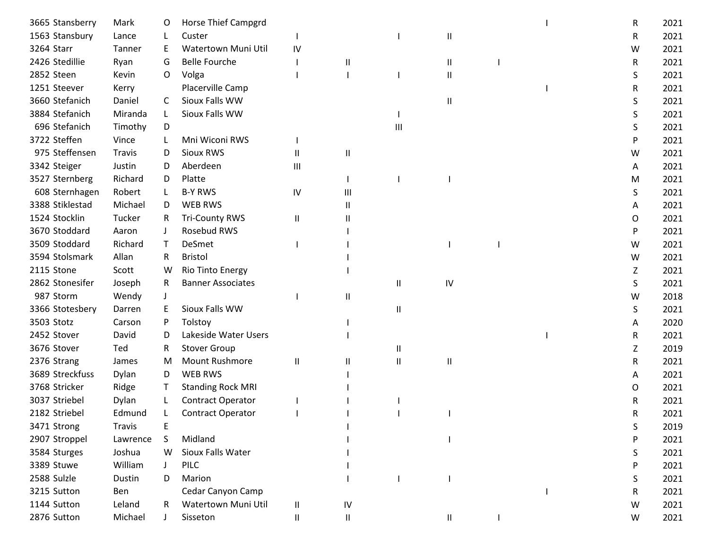| 3665 Stansberry | Mark     | O            | <b>Horse Thief Campgrd</b> |                   |            |   |    |  | R | 2021 |
|-----------------|----------|--------------|----------------------------|-------------------|------------|---|----|--|---|------|
| 1563 Stansbury  | Lance    |              | Custer                     |                   |            |   | Ш  |  | R | 2021 |
| 3264 Starr      | Tanner   | E            | Watertown Muni Util        | IV                |            |   |    |  | W | 2021 |
| 2426 Stedillie  | Ryan     | G            | <b>Belle Fourche</b>       |                   | Ш          |   | Ш  |  | R | 2021 |
| 2852 Steen      | Kevin    | O            | Volga                      |                   |            |   | Ш  |  | S | 2021 |
| 1251 Steever    | Kerry    |              | Placerville Camp           |                   |            |   |    |  | R | 2021 |
| 3660 Stefanich  | Daniel   | C            | Sioux Falls WW             |                   |            |   | Ш  |  | S | 2021 |
| 3884 Stefanich  | Miranda  | L            | Sioux Falls WW             |                   |            |   |    |  | S | 2021 |
| 696 Stefanich   | Timothy  | D            |                            |                   |            | Ш |    |  | S | 2021 |
| 3722 Steffen    | Vince    |              | Mni Wiconi RWS             |                   |            |   |    |  | P | 2021 |
| 975 Steffensen  | Travis   | D            | Sioux RWS                  | $\mathsf{I}$      | Ш          |   |    |  | W | 2021 |
| 3342 Steiger    | Justin   | D            | Aberdeen                   | Ш                 |            |   |    |  | A | 2021 |
| 3527 Sternberg  | Richard  | D            | Platte                     |                   |            |   |    |  | M | 2021 |
| 608 Sternhagen  | Robert   |              | <b>B-Y RWS</b>             | ${\sf IV}$        | Ш          |   |    |  | S | 2021 |
| 3388 Stiklestad | Michael  | D            | <b>WEB RWS</b>             |                   | Ш          |   |    |  | A | 2021 |
| 1524 Stocklin   | Tucker   | R            | <b>Tri-County RWS</b>      | $\mathbf{I}$      |            |   |    |  | 0 | 2021 |
| 3670 Stoddard   | Aaron    |              | Rosebud RWS                |                   |            |   |    |  | P | 2021 |
| 3509 Stoddard   | Richard  | $\mathsf T$  | DeSmet                     |                   |            |   |    |  | W | 2021 |
| 3594 Stolsmark  | Allan    | R            | <b>Bristol</b>             |                   |            |   |    |  | W | 2021 |
| 2115 Stone      | Scott    | w            | Rio Tinto Energy           |                   |            |   |    |  | Z | 2021 |
| 2862 Stonesifer | Joseph   | R            | <b>Banner Associates</b>   |                   |            | Ш | IV |  | S | 2021 |
| 987 Storm       | Wendy    |              |                            |                   | Ш          |   |    |  | W | 2018 |
| 3366 Stotesbery | Darren   | E.           | Sioux Falls WW             |                   |            | Ш |    |  | S | 2021 |
| 3503 Stotz      | Carson   | P            | Tolstoy                    |                   |            |   |    |  | A | 2020 |
| 2452 Stover     | David    | D            | Lakeside Water Users       |                   |            |   |    |  | R | 2021 |
| 3676 Stover     | Ted      | R            | <b>Stover Group</b>        |                   |            | Ш |    |  | Z | 2019 |
| 2376 Strang     | James    | M            | <b>Mount Rushmore</b>      | Ш                 | Ш          | Ш | Ш  |  | R | 2021 |
| 3689 Streckfuss | Dylan    | D            | <b>WEB RWS</b>             |                   |            |   |    |  | A | 2021 |
| 3768 Stricker   | Ridge    |              | <b>Standing Rock MRI</b>   |                   |            |   |    |  | O | 2021 |
| 3037 Striebel   | Dylan    |              | Contract Operator          |                   |            |   |    |  | R | 2021 |
| 2182 Striebel   | Edmund   |              | <b>Contract Operator</b>   |                   |            |   |    |  | R | 2021 |
| 3471 Strong     | Travis   | Ε            |                            |                   |            |   |    |  | S | 2019 |
| 2907 Stroppel   | Lawrence | S            | Midland                    |                   |            |   |    |  | P | 2021 |
| 3584 Sturges    | Joshua   | W            | Sioux Falls Water          |                   |            |   |    |  | S | 2021 |
| 3389 Stuwe      | William  | $\mathbf{J}$ | <b>PILC</b>                |                   |            |   |    |  | P | 2021 |
| 2588 Sulzle     | Dustin   | D            | Marion                     |                   |            |   |    |  | S | 2021 |
| 3215 Sutton     | Ben      |              | Cedar Canyon Camp          |                   |            |   |    |  | R | 2021 |
| 1144 Sutton     | Leland   | R.           | Watertown Muni Util        | $\, \, \parallel$ | ${\sf IV}$ |   |    |  | W | 2021 |
| 2876 Sutton     | Michael  |              | Sisseton                   | $\mathsf{I}$      | Ш          |   | Ш  |  | W | 2021 |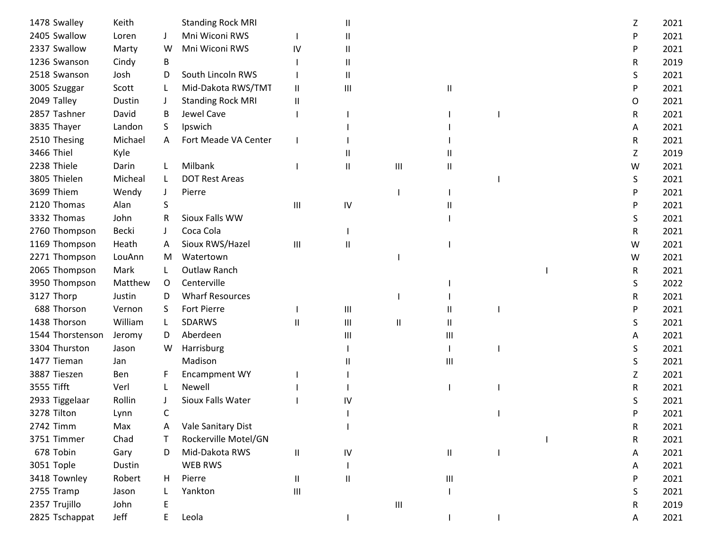| 1478 Swalley     | Keith   |         | <b>Standing Rock MRI</b> |                             |              |                                    |    |  | Z | 2021 |
|------------------|---------|---------|--------------------------|-----------------------------|--------------|------------------------------------|----|--|---|------|
| 2405 Swallow     | Loren   |         | Mni Wiconi RWS           |                             | Ш            |                                    |    |  | P | 2021 |
| 2337 Swallow     | Marty   | W       | Mni Wiconi RWS           | IV                          | $\mathbf{I}$ |                                    |    |  | P | 2021 |
| 1236 Swanson     | Cindy   | B       |                          |                             | $\mathbf{I}$ |                                    |    |  | R | 2019 |
| 2518 Swanson     | Josh    | D       | South Lincoln RWS        |                             | $\sf II$     |                                    |    |  | S | 2021 |
| 3005 Szuggar     | Scott   |         | Mid-Dakota RWS/TMT       | Ш                           | Ш            |                                    | Ш  |  | P | 2021 |
| 2049 Talley      | Dustin  |         | <b>Standing Rock MRI</b> | Ш                           |              |                                    |    |  | O | 2021 |
| 2857 Tashner     | David   | B       | Jewel Cave               |                             |              |                                    |    |  | R | 2021 |
| 3835 Thayer      | Landon  | S.      | Ipswich                  |                             |              |                                    |    |  | A | 2021 |
| 2510 Thesing     | Michael | A       | Fort Meade VA Center     |                             |              |                                    |    |  | R | 2021 |
| 3466 Thiel       | Kyle    |         |                          |                             |              |                                    |    |  | Ζ | 2019 |
| 2238 Thiele      | Darin   | L       | Milbank                  |                             | $\sf II$     | $\ensuremath{\mathsf{III}}\xspace$ | 11 |  | W | 2021 |
| 3805 Thielen     | Micheal | L       | <b>DOT Rest Areas</b>    |                             |              |                                    |    |  | S | 2021 |
| 3699 Thiem       | Wendy   | J       | Pierre                   |                             |              |                                    |    |  | P | 2021 |
| 2120 Thomas      | Alan    | S       |                          | Ш                           | IV           |                                    |    |  | P | 2021 |
| 3332 Thomas      | John    | R       | Sioux Falls WW           |                             |              |                                    |    |  | S | 2021 |
| 2760 Thompson    | Becki   |         | Coca Cola                |                             |              |                                    |    |  | R | 2021 |
| 1169 Thompson    | Heath   | A       | Sioux RWS/Hazel          | $\mathop{\rm III}\nolimits$ | Ш            |                                    |    |  | W | 2021 |
| 2271 Thompson    | LouAnn  | M       | Watertown                |                             |              |                                    |    |  | W | 2021 |
| 2065 Thompson    | Mark    |         | Outlaw Ranch             |                             |              |                                    |    |  | R | 2021 |
| 3950 Thompson    | Matthew | $\circ$ | Centerville              |                             |              |                                    |    |  | S | 2022 |
| 3127 Thorp       | Justin  | D       | <b>Wharf Resources</b>   |                             |              |                                    |    |  | R | 2021 |
| 688 Thorson      | Vernon  | S.      | <b>Fort Pierre</b>       |                             | Ш            |                                    | Ш  |  | P | 2021 |
| 1438 Thorson     | William | L       | <b>SDARWS</b>            | Ш                           | Ш            | $\mathsf{I}$                       | Ш  |  | S | 2021 |
| 1544 Thorstenson | Jeromy  | D       | Aberdeen                 |                             | Ш            |                                    | Ш  |  | A | 2021 |
| 3304 Thurston    | Jason   | W       | Harrisburg               |                             |              |                                    |    |  | S | 2021 |
| 1477 Tieman      | Jan     |         | Madison                  |                             |              |                                    | Ш  |  | S | 2021 |
| 3887 Tieszen     | Ben     | F       | <b>Encampment WY</b>     |                             |              |                                    |    |  | Z | 2021 |
| 3555 Tifft       | Verl    |         | Newell                   |                             |              |                                    |    |  | R | 2021 |
| 2933 Tiggelaar   | Rollin  |         | Sioux Falls Water        |                             | IV           |                                    |    |  |   | 2021 |
| 3278 Tilton      | Lynn    | C       |                          |                             |              |                                    |    |  |   | 2021 |
| 2742 Timm        | Max     | A       | Vale Sanitary Dist       |                             |              |                                    |    |  | R | 2021 |
| 3751 Timmer      | Chad    | Τ       | Rockerville Motel/GN     |                             |              |                                    |    |  | R | 2021 |
| 678 Tobin        | Gary    | D       | Mid-Dakota RWS           | $\mathsf{I}$                | IV           |                                    | Ш  |  | A | 2021 |
| 3051 Tople       | Dustin  |         | <b>WEB RWS</b>           |                             |              |                                    |    |  | A | 2021 |
| 3418 Townley     | Robert  | H       | Pierre                   | Ш                           | $\mathbf{I}$ |                                    | Ш  |  | P | 2021 |
| 2755 Tramp       | Jason   |         | Yankton                  | Ш                           |              |                                    |    |  | S | 2021 |
| 2357 Trujillo    | John    |         |                          |                             |              | $\ensuremath{\mathsf{III}}\xspace$ |    |  | R | 2019 |
| 2825 Tschappat   | Jeff    | E       | Leola                    |                             |              |                                    |    |  | А | 2021 |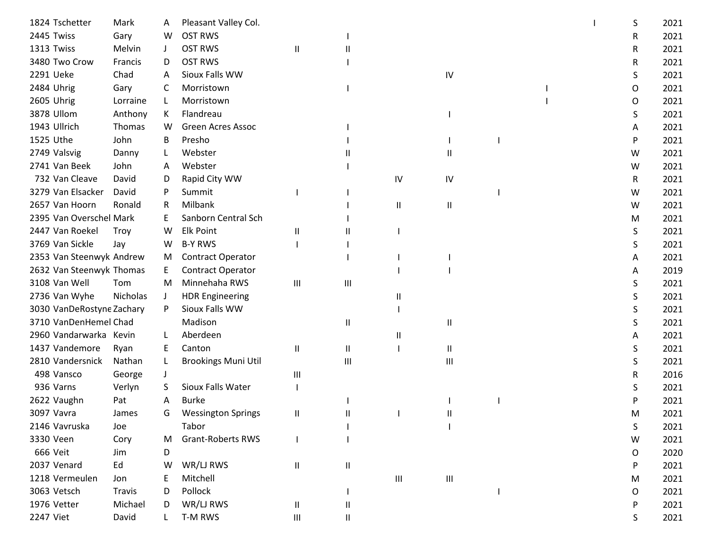| 1824 Tschetter            | Mark     | A  | Pleasant Valley Col.       |              |               |    |                |  | S | 2021 |
|---------------------------|----------|----|----------------------------|--------------|---------------|----|----------------|--|---|------|
| 2445 Twiss                | Gary     | W  | <b>OST RWS</b>             |              |               |    |                |  | R | 2021 |
| 1313 Twiss                | Melvin   |    | <b>OST RWS</b>             | $\mathbf{I}$ |               |    |                |  | R | 2021 |
| 3480 Two Crow             | Francis  | D  | <b>OST RWS</b>             |              |               |    |                |  | R | 2021 |
| 2291 Ueke                 | Chad     | A  | Sioux Falls WW             |              |               |    | IV             |  | S | 2021 |
| 2484 Uhrig                | Gary     | C  | Morristown                 |              |               |    |                |  | O | 2021 |
| 2605 Uhrig                | Lorraine | L  | Morristown                 |              |               |    |                |  | O | 2021 |
| 3878 Ullom                | Anthony  | K. | Flandreau                  |              |               |    |                |  | S | 2021 |
| 1943 Ullrich              | Thomas   | W  | <b>Green Acres Assoc</b>   |              |               |    |                |  | A | 2021 |
| 1525 Uthe                 | John     | B  | Presho                     |              |               |    |                |  | P | 2021 |
| 2749 Valsvig              | Danny    | L  | Webster                    |              |               |    | Ш              |  | W | 2021 |
| 2741 Van Beek             | John     | Α  | Webster                    |              |               |    |                |  | W | 2021 |
| 732 Van Cleave            | David    | D  | Rapid City WW              |              |               | IV | IV             |  | R | 2021 |
| 3279 Van Elsacker         | David    |    | Summit                     |              |               |    |                |  | W | 2021 |
| 2657 Van Hoorn            | Ronald   | R  | Milbank                    |              |               | Ш  | Ш              |  | W | 2021 |
| 2395 Van Overschel Mark   |          | E  | Sanborn Central Sch        |              |               |    |                |  | M | 2021 |
| 2447 Van Roekel           | Troy     | W  | <b>Elk Point</b>           | Ш            |               |    |                |  | S | 2021 |
| 3769 Van Sickle           | Jay      | W  | <b>B-Y RWS</b>             |              |               |    |                |  | S | 2021 |
| 2353 Van Steenwyk Andrew  |          | M  | <b>Contract Operator</b>   |              |               |    |                |  | A | 2021 |
| 2632 Van Steenwyk Thomas  |          | E  | Contract Operator          |              |               |    |                |  | A | 2019 |
| 3108 Van Well             | Tom      | M  | Minnehaha RWS              | Ш            | Ш             |    |                |  | S | 2021 |
| 2736 Van Wyhe             | Nicholas | J  | <b>HDR Engineering</b>     |              |               |    |                |  | S | 2021 |
| 3030 VanDeRostyne Zachary |          | P  | Sioux Falls WW             |              |               |    |                |  | S | 2021 |
| 3710 VanDenHemel Chad     |          |    | Madison                    |              | $\mathsf{I}$  |    | Ш              |  | S | 2021 |
| 2960 Vandarwarka Kevin    |          |    | Aberdeen                   |              |               | Ш  |                |  | A | 2021 |
| 1437 Vandemore            | Ryan     | E  | Canton                     | Ш            | $\mathsf{II}$ |    | Ш              |  | S | 2021 |
| 2810 Vandersnick          | Nathan   | L  | <b>Brookings Muni Util</b> |              | Ш             |    | $\mathbf{III}$ |  | S | 2021 |
| 498 Vansco                | George   |    |                            | Ш            |               |    |                |  | R | 2016 |
| 936 Varns                 | Verlyn   | S. | Sioux Falls Water          |              |               |    |                |  | S | 2021 |
| 2622 Vaughn               | Pat      | A  | <b>Burke</b>               |              |               |    |                |  | P | 2021 |
| 3097 Vavra                | James    | G  | <b>Wessington Springs</b>  | Ш            |               |    |                |  | M | 2021 |
| 2146 Vavruska             | Joe      |    | Tabor                      |              |               |    |                |  | S | 2021 |
| 3330 Veen                 | Cory     | M  | <b>Grant-Roberts RWS</b>   |              |               |    |                |  | W | 2021 |
| 666 Veit                  | Jim      | D  |                            |              |               |    |                |  | O | 2020 |
| 2037 Venard               | Ed       | W  | WR/LJ RWS                  | $\sf II$     | $\sf II$      |    |                |  | P | 2021 |
| 1218 Vermeulen            | Jon      |    | Mitchell                   |              |               | Ш  | Ш              |  | M | 2021 |
| 3063 Vetsch               | Travis   | D  | Pollock                    |              |               |    |                |  | O | 2021 |
| 1976 Vetter               | Michael  | D  | WR/LJ RWS                  | Ш            | Ш             |    |                |  | P | 2021 |
| 2247 Viet                 | David    |    | T-M RWS                    | Ш            | Ш             |    |                |  | S | 2021 |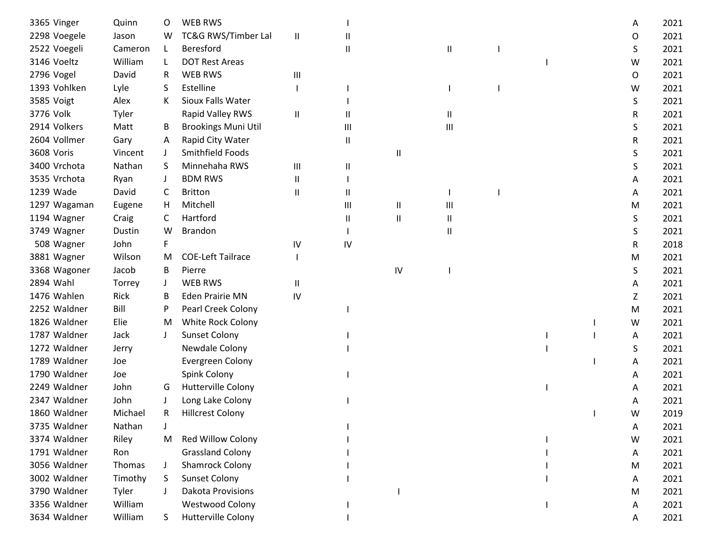| 3365 Vinger  | Quinn   | O            | <b>WEB RWS</b>             |               |              |    |                                    |  | A | 2021 |
|--------------|---------|--------------|----------------------------|---------------|--------------|----|------------------------------------|--|---|------|
| 2298 Voegele | Jason   | W            | TC&G RWS/Timber Lal        | $\mathbf{I}$  |              |    |                                    |  | O | 2021 |
| 2522 Voegeli | Cameron | L            | Beresford                  |               | Ш            |    | Ш                                  |  | S | 2021 |
| 3146 Voeltz  | William | L            | <b>DOT Rest Areas</b>      |               |              |    |                                    |  | W | 2021 |
| 2796 Vogel   | David   | R            | <b>WEB RWS</b>             | Ш             |              |    |                                    |  | 0 | 2021 |
| 1393 Vohlken | Lyle    | S            | Estelline                  |               |              |    |                                    |  | W | 2021 |
| 3585 Voigt   | Alex    | К            | Sioux Falls Water          |               |              |    |                                    |  | S | 2021 |
| 3776 Volk    | Tyler   |              | Rapid Valley RWS           | $\mathbf{  }$ |              |    | Ш                                  |  | R | 2021 |
| 2914 Volkers | Matt    | B            | <b>Brookings Muni Util</b> |               | Ш            |    | $\ensuremath{\mathsf{III}}\xspace$ |  | S | 2021 |
| 2604 Vollmer | Gary    | A            | Rapid City Water           |               | Ш            |    |                                    |  | R | 2021 |
| 3608 Voris   | Vincent | J            | Smithfield Foods           |               |              | Ш  |                                    |  | S | 2021 |
| 3400 Vrchota | Nathan  | S.           | Minnehaha RWS              | Ш             | Ш            |    |                                    |  | S | 2021 |
| 3535 Vrchota | Ryan    |              | <b>BDM RWS</b>             | Ш             |              |    |                                    |  | A | 2021 |
| 1239 Wade    | David   | C            | <b>Britton</b>             | Ш             | Ш            |    |                                    |  | A | 2021 |
| 1297 Wagaman | Eugene  | H            | Mitchell                   |               | Ш            | Ш  | Ш                                  |  | M | 2021 |
| 1194 Wagner  | Craig   | C            | Hartford                   |               | $\mathsf{I}$ | Ш  | Ш                                  |  | S | 2021 |
| 3749 Wagner  | Dustin  | W            | <b>Brandon</b>             |               |              |    | Ш                                  |  | S | 2021 |
| 508 Wagner   | John    | F            |                            | IV            | IV           |    |                                    |  | R | 2018 |
| 3881 Wagner  | Wilson  | M            | <b>COE-Left Tailrace</b>   |               |              |    |                                    |  | M | 2021 |
| 3368 Wagoner | Jacob   | B            | Pierre                     |               |              | IV |                                    |  | S | 2021 |
| 2894 Wahl    | Torrey  | $\mathsf{J}$ | <b>WEB RWS</b>             | Ш             |              |    |                                    |  | A | 2021 |
| 1476 Wahlen  | Rick    | B            | <b>Eden Prairie MN</b>     | IV            |              |    |                                    |  | Z | 2021 |
| 2252 Waldner | Bill    | P            | Pearl Creek Colony         |               |              |    |                                    |  | M | 2021 |
| 1826 Waldner | Elie    | M            | White Rock Colony          |               |              |    |                                    |  | W | 2021 |
| 1787 Waldner | Jack    | $\perp$      | <b>Sunset Colony</b>       |               |              |    |                                    |  | A | 2021 |
| 1272 Waldner | Jerry   |              | Newdale Colony             |               |              |    |                                    |  | S | 2021 |
| 1789 Waldner | Joe     |              | Evergreen Colony           |               |              |    |                                    |  | A | 2021 |
| 1790 Waldner | Joe     |              | Spink Colony               |               |              |    |                                    |  | A | 2021 |
| 2249 Waldner | John    | G            | <b>Hutterville Colony</b>  |               |              |    |                                    |  | A | 2021 |
| 2347 Waldner | John    |              | Long Lake Colony           |               |              |    |                                    |  | A | 2021 |
| 1860 Waldner | Michael | R            | <b>Hillcrest Colony</b>    |               |              |    |                                    |  | W | 2019 |
| 3735 Waldner | Nathan  |              |                            |               |              |    |                                    |  | A | 2021 |
| 3374 Waldner | Riley   | M            | Red Willow Colony          |               |              |    |                                    |  | W | 2021 |
| 1791 Waldner | Ron     |              | <b>Grassland Colony</b>    |               |              |    |                                    |  | A | 2021 |
| 3056 Waldner | Thomas  |              | <b>Shamrock Colony</b>     |               |              |    |                                    |  | M | 2021 |
| 3002 Waldner | Timothy | S.           | <b>Sunset Colony</b>       |               |              |    |                                    |  | A | 2021 |
| 3790 Waldner | Tyler   |              | Dakota Provisions          |               |              |    |                                    |  | M | 2021 |
| 3356 Waldner | William |              | Westwood Colony            |               |              |    |                                    |  | A | 2021 |
| 3634 Waldner | William | S.           | <b>Hutterville Colony</b>  |               |              |    |                                    |  | A | 2021 |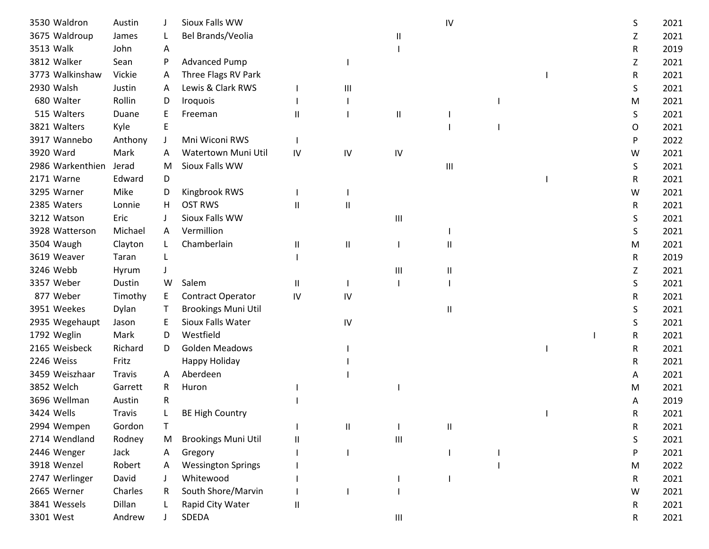| 3530 Waldron     | Austin        |              | Sioux Falls WW             |              |    |              | IV             |  | S | 2021 |
|------------------|---------------|--------------|----------------------------|--------------|----|--------------|----------------|--|---|------|
| 3675 Waldroup    | James         |              | Bel Brands/Veolia          |              |    | $\mathbf{I}$ |                |  | Ζ | 2021 |
| 3513 Walk        | John          | A            |                            |              |    |              |                |  | R | 2019 |
| 3812 Walker      | Sean          | P            | <b>Advanced Pump</b>       |              |    |              |                |  | Z | 2021 |
| 3773 Walkinshaw  | Vickie        | A            | Three Flags RV Park        |              |    |              |                |  | R | 2021 |
| 2930 Walsh       | Justin        | A            | Lewis & Clark RWS          |              | Ш  |              |                |  | S | 2021 |
| 680 Walter       | Rollin        | D            | Iroquois                   |              |    |              |                |  | M | 2021 |
| 515 Walters      | Duane         | E            | Freeman                    | Ш            |    | $\mathsf{I}$ |                |  | S | 2021 |
| 3821 Walters     | Kyle          | E            |                            |              |    |              |                |  | 0 | 2021 |
| 3917 Wannebo     | Anthony       |              | Mni Wiconi RWS             |              |    |              |                |  | P | 2022 |
| 3920 Ward        | Mark          | A            | Watertown Muni Util        | IV           | IV | IV           |                |  | W | 2021 |
| 2986 Warkenthien | Jerad         | M            | Sioux Falls WW             |              |    |              | $\mathbf{III}$ |  | S | 2021 |
| 2171 Warne       | Edward        | D            |                            |              |    |              |                |  | R | 2021 |
| 3295 Warner      | Mike          | D            | Kingbrook RWS              |              |    |              |                |  | W | 2021 |
| 2385 Waters      | Lonnie        | H            | <b>OST RWS</b>             | Ш            | Ш  |              |                |  | R | 2021 |
| 3212 Watson      | Eric          |              | Sioux Falls WW             |              |    | Ш            |                |  | S | 2021 |
| 3928 Watterson   | Michael       | A            | Vermillion                 |              |    |              |                |  | S | 2021 |
| 3504 Waugh       | Clayton       |              | Chamberlain                | Ш            | Ш  |              | Ш              |  | M | 2021 |
| 3619 Weaver      | Taran         |              |                            |              |    |              |                |  | R | 2019 |
| 3246 Webb        | Hyrum         |              |                            |              |    | Ш            | Ш              |  | Ζ | 2021 |
| 3357 Weber       | Dustin        | W            | Salem                      | $\mathbf{H}$ |    |              |                |  | S | 2021 |
| 877 Weber        | Timothy       | Е            | <b>Contract Operator</b>   | IV           | IV |              |                |  | R | 2021 |
| 3951 Weekes      | Dylan         | Т            | <b>Brookings Muni Util</b> |              |    |              | Ш              |  | S | 2021 |
| 2935 Wegehaupt   | Jason         | E            | Sioux Falls Water          |              | IV |              |                |  | S | 2021 |
| 1792 Weglin      | Mark          | D            | Westfield                  |              |    |              |                |  | R | 2021 |
| 2165 Weisbeck    | Richard       | D            | <b>Golden Meadows</b>      |              |    |              |                |  | R | 2021 |
| 2246 Weiss       | Fritz         |              | Happy Holiday              |              |    |              |                |  | R | 2021 |
| 3459 Weiszhaar   | <b>Travis</b> | $\mathsf{A}$ | Aberdeen                   |              |    |              |                |  | A | 2021 |
| 3852 Welch       | Garrett       | R            | Huron                      |              |    |              |                |  | м | 2021 |
| 3696 Wellman     | Austin        | R            |                            |              |    |              |                |  | Α | 2019 |
| 3424 Wells       | Travis        |              | <b>BE High Country</b>     |              |    |              |                |  | R | 2021 |
| 2994 Wempen      | Gordon        | T            |                            |              | Ш  |              | Ш              |  | R | 2021 |
| 2714 Wendland    | Rodney        | M            | <b>Brookings Muni Util</b> | Ш            |    | Ш            |                |  | S | 2021 |
| 2446 Wenger      | Jack          | А            | Gregory                    |              |    |              |                |  | P | 2021 |
| 3918 Wenzel      | Robert        | A            | <b>Wessington Springs</b>  |              |    |              |                |  | M | 2022 |
| 2747 Werlinger   | David         |              | Whitewood                  |              |    |              |                |  | R | 2021 |
| 2665 Werner      | Charles       | R            | South Shore/Marvin         |              |    |              |                |  | W | 2021 |
| 3841 Wessels     | Dillan        |              | Rapid City Water           | Ш            |    |              |                |  | R | 2021 |
| 3301 West        | Andrew        |              | SDEDA                      |              |    | Ш            |                |  | R | 2021 |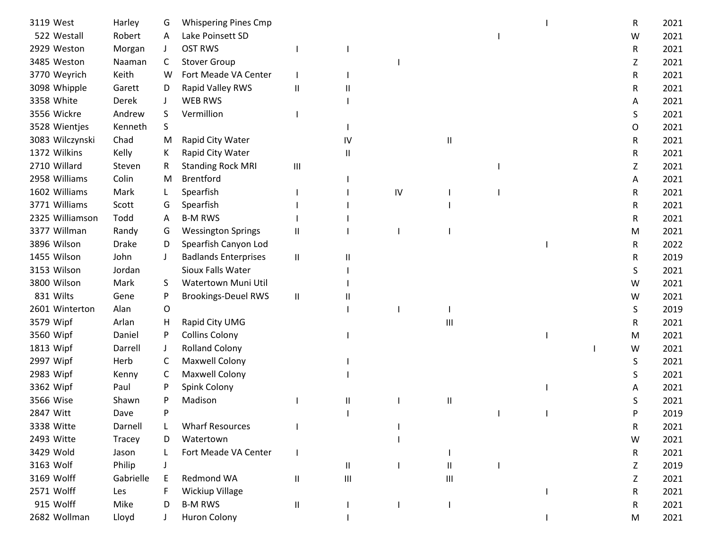| 3119 West       | Harley       | G            | <b>Whispering Pines Cmp</b> |               |          |    |                                    |  | R | 2021 |
|-----------------|--------------|--------------|-----------------------------|---------------|----------|----|------------------------------------|--|---|------|
| 522 Westall     | Robert       | Α            | Lake Poinsett SD            |               |          |    |                                    |  | W | 2021 |
| 2929 Weston     | Morgan       | J            | <b>OST RWS</b>              |               |          |    |                                    |  | R | 2021 |
| 3485 Weston     | Naaman       | C            | <b>Stover Group</b>         |               |          |    |                                    |  | Z | 2021 |
| 3770 Weyrich    | Keith        | W            | Fort Meade VA Center        |               |          |    |                                    |  | R | 2021 |
| 3098 Whipple    | Garett       | D            | Rapid Valley RWS            | Ш             |          |    |                                    |  | R | 2021 |
| 3358 White      | Derek        | $\mathbf{J}$ | WEB RWS                     |               |          |    |                                    |  | A | 2021 |
| 3556 Wickre     | Andrew       | S            | Vermillion                  |               |          |    |                                    |  | S | 2021 |
| 3528 Wientjes   | Kenneth      | S            |                             |               |          |    |                                    |  | O | 2021 |
| 3083 Wilczynski | Chad         | M            | Rapid City Water            |               | IV       |    | Ш                                  |  | R | 2021 |
| 1372 Wilkins    | Kelly        | K            | Rapid City Water            |               | $\sf II$ |    |                                    |  | R | 2021 |
| 2710 Willard    | Steven       | R            | <b>Standing Rock MRI</b>    | Ш             |          |    |                                    |  | Z | 2021 |
| 2958 Williams   | Colin        | M            | <b>Brentford</b>            |               |          |    |                                    |  | Α | 2021 |
| 1602 Williams   | Mark         |              | Spearfish                   |               |          | IV |                                    |  | R | 2021 |
| 3771 Williams   | Scott        | G            | Spearfish                   |               |          |    |                                    |  | R | 2021 |
| 2325 Williamson | Todd         | A            | <b>B-M RWS</b>              |               |          |    |                                    |  | R | 2021 |
| 3377 Willman    | Randy        | G            | <b>Wessington Springs</b>   | Ш             |          |    |                                    |  | M | 2021 |
| 3896 Wilson     | <b>Drake</b> | D            | Spearfish Canyon Lod        |               |          |    |                                    |  | R | 2022 |
| 1455 Wilson     | John         | $\perp$      | <b>Badlands Enterprises</b> | $\mathbf{II}$ | Ш        |    |                                    |  | R | 2019 |
| 3153 Wilson     | Jordan       |              | Sioux Falls Water           |               |          |    |                                    |  | S | 2021 |
| 3800 Wilson     | Mark         | S.           | Watertown Muni Util         |               |          |    |                                    |  | W | 2021 |
| 831 Wilts       | Gene         | P            | <b>Brookings-Deuel RWS</b>  | $\mathbf{II}$ |          |    |                                    |  | W | 2021 |
| 2601 Winterton  | Alan         | O            |                             |               |          |    |                                    |  | S | 2019 |
| 3579 Wipf       | Arlan        | H            | Rapid City UMG              |               |          |    | Ш                                  |  | R | 2021 |
| 3560 Wipf       | Daniel       | P            | <b>Collins Colony</b>       |               |          |    |                                    |  | M | 2021 |
| 1813 Wipf       | Darrell      | J            | <b>Rolland Colony</b>       |               |          |    |                                    |  | W | 2021 |
| 2997 Wipf       | Herb         | C            | Maxwell Colony              |               |          |    |                                    |  | S | 2021 |
| 2983 Wipf       | Kenny        | C            | Maxwell Colony              |               |          |    |                                    |  | S | 2021 |
| 3362 Wipf       | Paul         |              | Spink Colony                |               |          |    |                                    |  | А | 2021 |
| 3566 Wise       | Shawn        | P            | Madison                     |               | Ш        |    | $\mathsf{I}$                       |  | S | 2021 |
| 2847 Witt       | Dave         |              |                             |               |          |    |                                    |  | P | 2019 |
| 3338 Witte      | Darnell      |              | <b>Wharf Resources</b>      |               |          |    |                                    |  | R | 2021 |
| 2493 Witte      | Tracey       | D            | Watertown                   |               |          |    |                                    |  | W | 2021 |
| 3429 Wold       | Jason        |              | Fort Meade VA Center        |               |          |    |                                    |  | R | 2021 |
| 3163 Wolf       | Philip       |              |                             |               | Ш        |    | Ш                                  |  | Z | 2019 |
| 3169 Wolff      | Gabrielle    |              | Redmond WA                  | Ш             | Ш        |    | $\ensuremath{\mathsf{III}}\xspace$ |  | Z | 2021 |
| 2571 Wolff      | Les          |              | <b>Wickiup Village</b>      |               |          |    |                                    |  | R | 2021 |
| 915 Wolff       | Mike         | D            | <b>B-M RWS</b>              | Ш             |          |    |                                    |  | R | 2021 |
| 2682 Wollman    | Lloyd        |              | <b>Huron Colony</b>         |               |          |    |                                    |  | M | 2021 |